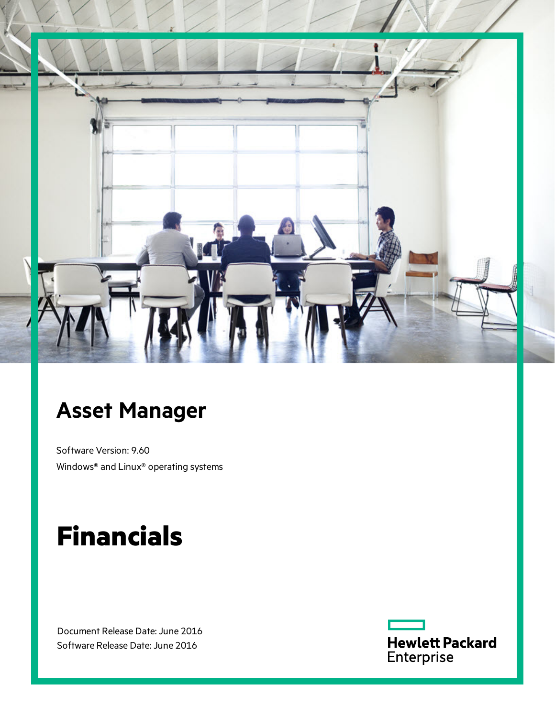

# **Asset Manager**

Software Version: 9.60 Windows® and Linux® operating systems

# **Financials**

Document Release Date: June 2016 Software Release Date: June 2016

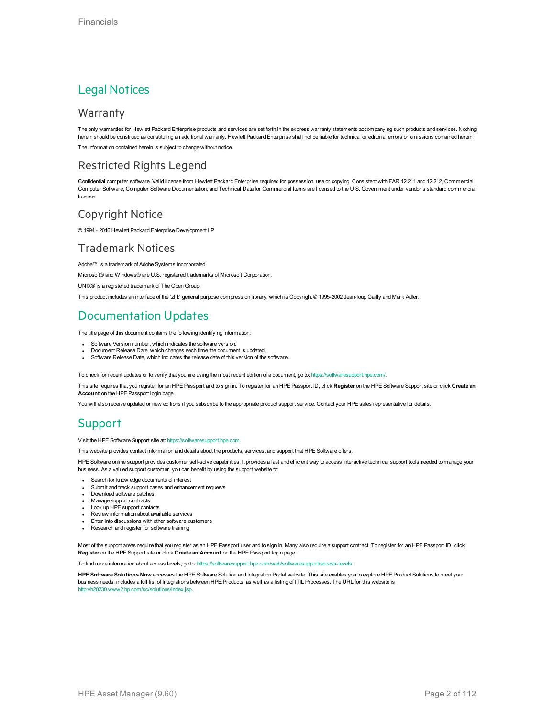### Legal Notices

#### **Warranty**

The only warranties for Hewlett Packard Enterprise products and services are set forth in the express warranty statements accompanying such products and services. Nothing herein should be construed as constituting an additional warranty. Hewlett Packard Enterprise shall not be liable for technical or editorial errors or omissions contained herein. The information contained herein is subject to change without notice.

### Restricted Rights Legend

Confidential computer software. Valid license from Hewlett Packard Enterprise required for possession, use or copying. Consistent with FAR 12.211 and 12.212, Commercial Computer Software, Computer Software Documentation, and Technical Data for Commercial Items are licensed to the U.S. Government under vendor's standard commercial license.

### Copyright Notice

© 1994 - 2016 Hewlett Packard Enterprise Development LP

#### Trademark Notices

Adobe™ is a trademark of Adobe Systems Incorporated.

Microsoft® and Windows® are U.S. registered trademarks of Microsoft Corporation.

UNIX® is a registered trademark of The Open Group.

This product includes an interface of the 'zlib' general purpose compression library, which is Copyright © 1995-2002 Jean-loup Gailly and Mark Adler.

### Documentation Updates

The title page of this document contains the following identifying information:

- Software Version number, which indicates the software version.
- Document Release Date, which changes each time the document is updated.
- Software Release Date, which indicates the release date of this version of the software.

To check for recent updates or to verify that you are using the most recent edition of a document, go to: <https://softwaresupport.hpe.com/>.

This site requires that you register for an HPE Passport and to sign in. To register for an HPE Passport ID, click **Register** on the HPE Software Support site or click **Create an Account** on the HPE Passport login page.

You will also receive updated or new editions if you subscribe to the appropriate product support service. Contact your HPE sales representative for details.

### **Support**

Visit the HPE Software Support site at: [https://softwaresupport.hpe.com.](https://softwaresupport.hpe.com/)

This website provides contact information and details about the products, services, and support that HPE Software offers.

HPE Software online support provides customer self-solve capabilities. It provides a fast and efficient way to access interactive technical support tools needed to manage your business. As a valued support customer, you can benefit by using the support website to:

- Search for knowledge documents of interest
- Submit and track support cases and enhancement requests
- Download software patches
- Manage support contracts Look up HPE support contacts
- 
- Review information about available services Enter into discussions with other software customers
- Research and register for software training
- 

Most of the support areas require that you register as an HPE Passport user and to sign in. Many also require a support contract. To register for an HPE Passport ID, click **Register** on the HPE Support site or click **Create an Account** on the HPE Passport login page.

To find more information about access levels, go to: <https://softwaresupport.hpe.com/web/softwaresupport/access-levels>.

**HPE Software Solutions Now** accesses the HPE Software Solution and Integration Portal website. This site enables you to explore HPE Product Solutions to meet your business needs, includes a full list of Integrations between HPE Products, as well as a listing of ITIL Processes. The URL for this website is [http://h20230.www2.hp.com/sc/solutions/index.jsp.](http://h20230.www2.hp.com/sc/solutions/index.jsp)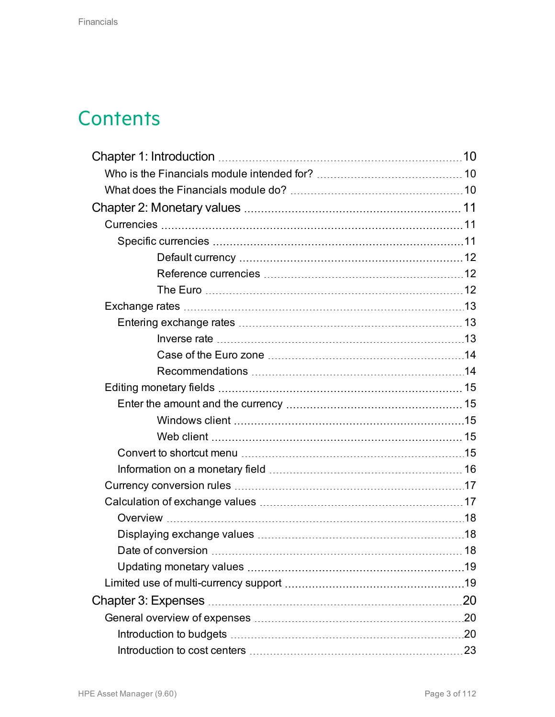# **Contents**

| .19 |
|-----|
|     |
|     |
|     |
|     |
|     |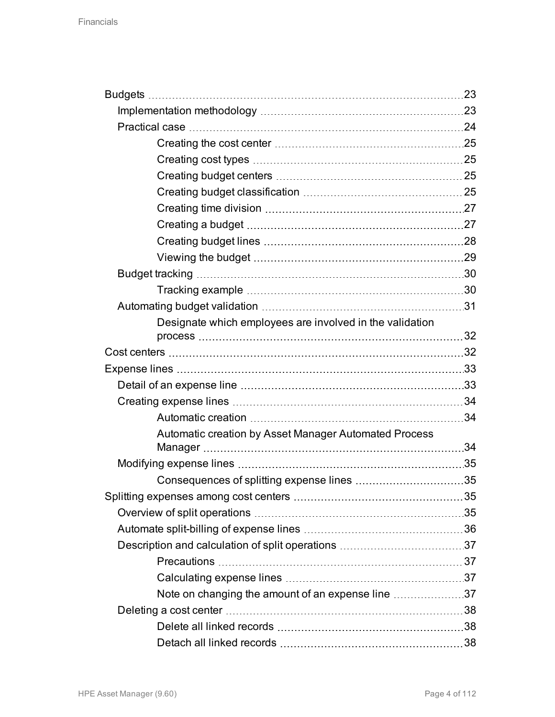| Designate which employees are involved in the validation |  |
|----------------------------------------------------------|--|
|                                                          |  |
|                                                          |  |
|                                                          |  |
|                                                          |  |
|                                                          |  |
|                                                          |  |
| Automatic creation by Asset Manager Automated Process    |  |
|                                                          |  |
|                                                          |  |
|                                                          |  |
|                                                          |  |
|                                                          |  |
|                                                          |  |
|                                                          |  |
|                                                          |  |
| Note on changing the amount of an expense line 37        |  |
|                                                          |  |
|                                                          |  |
|                                                          |  |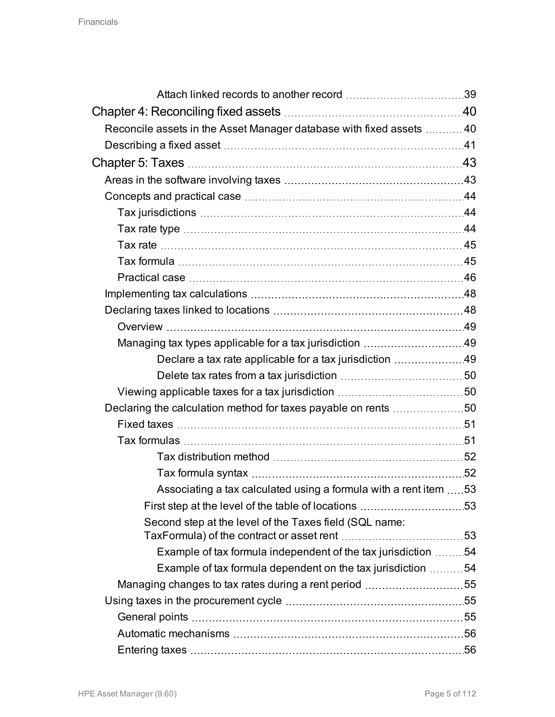| Reconcile assets in the Asset Manager database with fixed assets  40 |  |
|----------------------------------------------------------------------|--|
|                                                                      |  |
|                                                                      |  |
|                                                                      |  |
|                                                                      |  |
|                                                                      |  |
|                                                                      |  |
|                                                                      |  |
|                                                                      |  |
|                                                                      |  |
|                                                                      |  |
|                                                                      |  |
|                                                                      |  |
|                                                                      |  |
| Declare a tax rate applicable for a tax jurisdiction 49              |  |
|                                                                      |  |
|                                                                      |  |
| Declaring the calculation method for taxes payable on rents 50       |  |
|                                                                      |  |
|                                                                      |  |
|                                                                      |  |
|                                                                      |  |
| Associating a tax calculated using a formula with a rent item  53    |  |
|                                                                      |  |
| Second step at the level of the Taxes field (SQL name:               |  |
|                                                                      |  |
| Example of tax formula independent of the tax jurisdiction 54        |  |
| Example of tax formula dependent on the tax jurisdiction 54          |  |
| Managing changes to tax rates during a rent period 55                |  |
|                                                                      |  |
|                                                                      |  |
|                                                                      |  |
|                                                                      |  |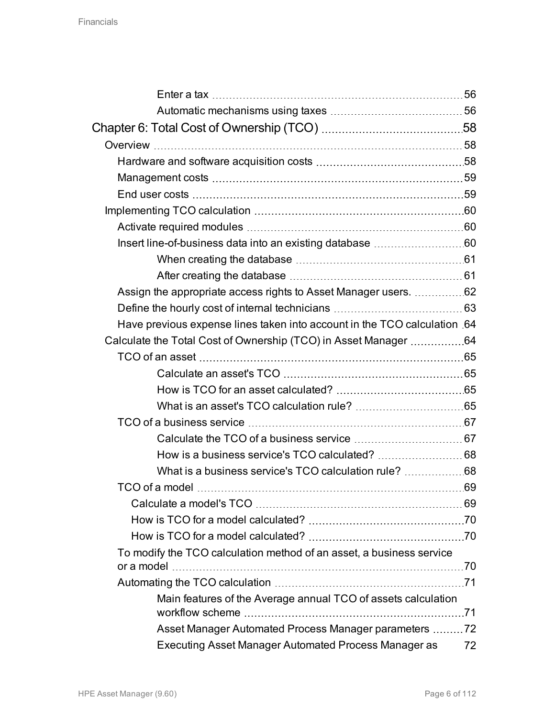| Assign the appropriate access rights to Asset Manager users. 62          |    |
|--------------------------------------------------------------------------|----|
|                                                                          |    |
| Have previous expense lines taken into account in the TCO calculation 64 |    |
| Calculate the Total Cost of Ownership (TCO) in Asset Manager 64          |    |
|                                                                          |    |
|                                                                          |    |
|                                                                          |    |
|                                                                          |    |
|                                                                          |    |
|                                                                          |    |
|                                                                          |    |
|                                                                          |    |
|                                                                          |    |
|                                                                          |    |
|                                                                          |    |
|                                                                          |    |
| To modify the TCO calculation method of an asset, a business service     |    |
|                                                                          |    |
|                                                                          |    |
| Main features of the Average annual TCO of assets calculation            |    |
|                                                                          |    |
| Asset Manager Automated Process Manager parameters 72                    |    |
| Executing Asset Manager Automated Process Manager as                     | 72 |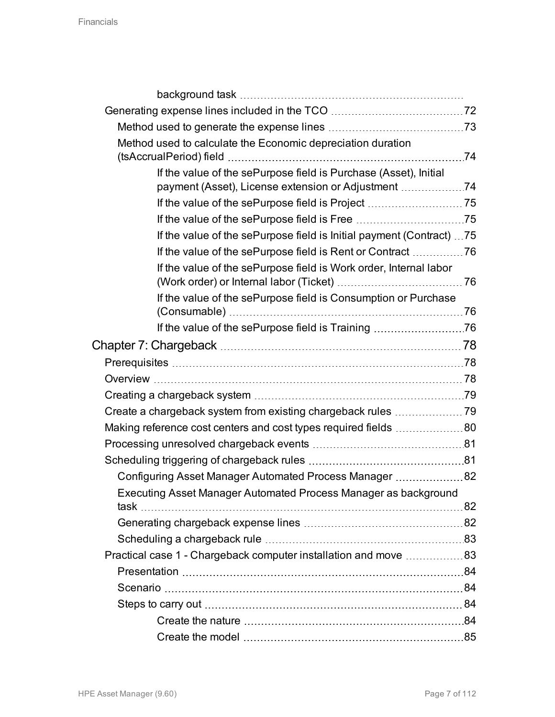| Method used to calculate the Economic depreciation duration           |  |
|-----------------------------------------------------------------------|--|
|                                                                       |  |
| If the value of the sePurpose field is Purchase (Asset), Initial      |  |
| payment (Asset), License extension or Adjustment                      |  |
|                                                                       |  |
|                                                                       |  |
| If the value of the sePurpose field is Initial payment (Contract)  75 |  |
|                                                                       |  |
| If the value of the sePurpose field is Work order, Internal labor     |  |
| If the value of the sePurpose field is Consumption or Purchase        |  |
|                                                                       |  |
|                                                                       |  |
|                                                                       |  |
|                                                                       |  |
|                                                                       |  |
|                                                                       |  |
|                                                                       |  |
| Making reference cost centers and cost types required fields 80       |  |
|                                                                       |  |
|                                                                       |  |
| Configuring Asset Manager Automated Process Manager 82                |  |
| Executing Asset Manager Automated Process Manager as background       |  |
|                                                                       |  |
|                                                                       |  |
| Practical case 1 - Chargeback computer installation and move 83       |  |
|                                                                       |  |
|                                                                       |  |
|                                                                       |  |
|                                                                       |  |
|                                                                       |  |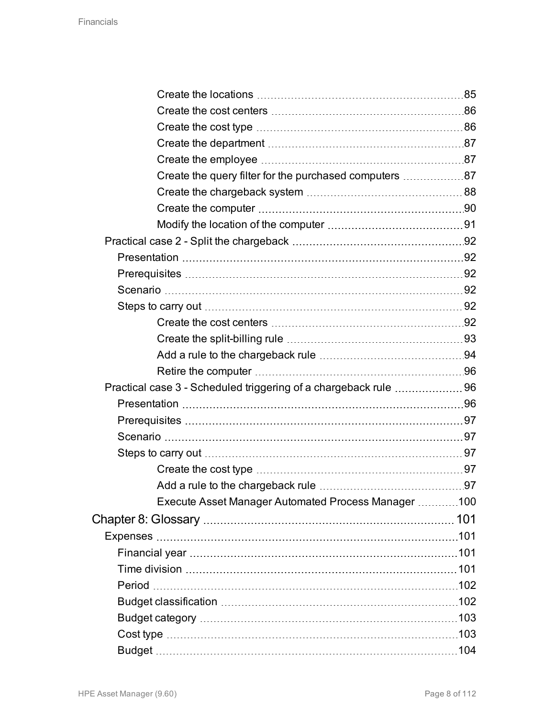| Create the query filter for the purchased computers 87           |  |
|------------------------------------------------------------------|--|
|                                                                  |  |
|                                                                  |  |
|                                                                  |  |
|                                                                  |  |
|                                                                  |  |
|                                                                  |  |
|                                                                  |  |
|                                                                  |  |
|                                                                  |  |
|                                                                  |  |
|                                                                  |  |
|                                                                  |  |
| Practical case 3 - Scheduled triggering of a chargeback rule  96 |  |
|                                                                  |  |
|                                                                  |  |
|                                                                  |  |
|                                                                  |  |
|                                                                  |  |
|                                                                  |  |
| Execute Asset Manager Automated Process Manager 100              |  |
|                                                                  |  |
|                                                                  |  |
|                                                                  |  |
|                                                                  |  |
|                                                                  |  |
|                                                                  |  |
|                                                                  |  |
|                                                                  |  |
|                                                                  |  |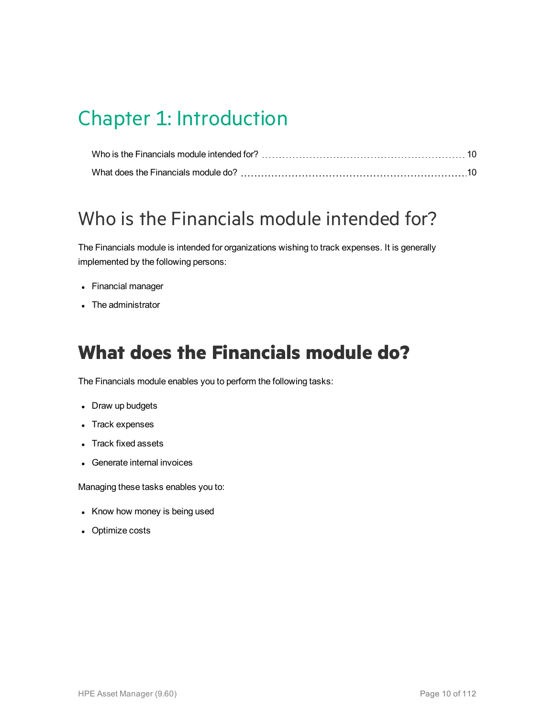# <span id="page-9-0"></span>Chapter 1: Introduction

## <span id="page-9-1"></span>Who is the Financials module intended for?

The Financials module is intended for organizations wishing to track expenses. It is generally implemented by the following persons:

- Financial manager
- The administrator

## <span id="page-9-2"></span>**What does the Financials module do?**

The Financials module enables you to perform the following tasks:

- Draw up budgets
- Track expenses
- Track fixed assets
- Generate internal invoices

Managing these tasks enables you to:

- Know how money is being used
- Optimize costs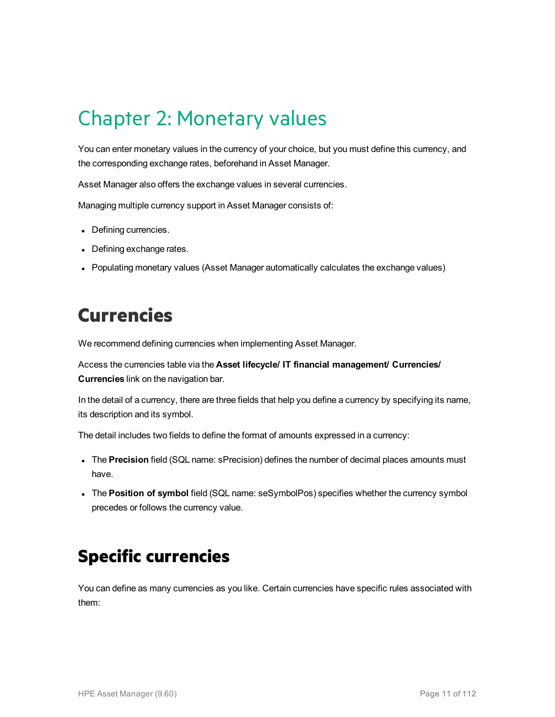# <span id="page-10-0"></span>Chapter 2: Monetary values

You can enter monetary values in the currency of your choice, but you must define this currency, and the corresponding exchange rates, beforehand in Asset Manager.

Asset Manager also offers the exchange values in several currencies.

Managing multiple currency support in Asset Manager consists of:

- Defining currencies.
- Defining exchange rates.
- Populating monetary values (Asset Manager automatically calculates the exchange values)

## <span id="page-10-1"></span>**Currencies**

We recommend defining currencies when implementing Asset Manager.

Access the currencies table via the **Asset lifecycle/ IT financial management/ Currencies/ Currencies** link on the navigation bar.

In the detail of a currency, there are three fields that help you define a currency by specifying its name, its description and its symbol.

The detail includes two fields to define the format of amounts expressed in a currency:

- **The Precision** field (SQL name: sPrecision) defines the number of decimal places amounts must have.
- <span id="page-10-2"></span>**.** The Position of symbol field (SQL name: seSymbolPos) specifies whether the currency symbol precedes or follows the currency value.

## **Specific currencies**

You can define as many currencies as you like. Certain currencies have specific rules associated with them: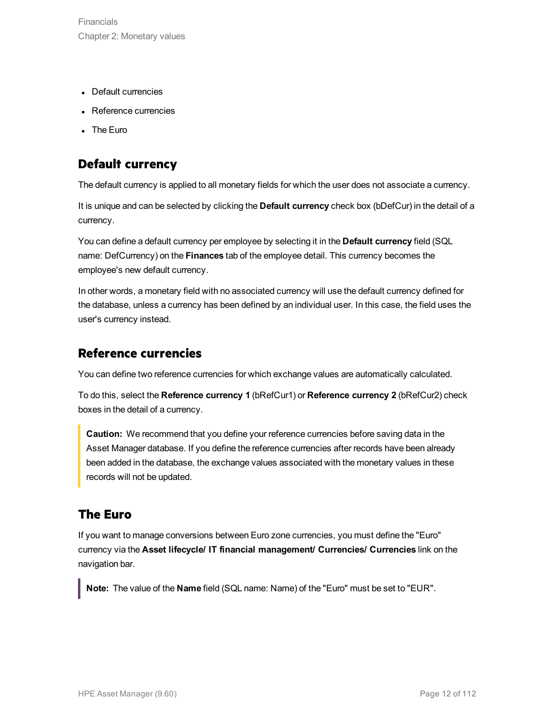- Default currencies
- Reference currencies
- The Euro

### <span id="page-11-0"></span>**Default currency**

The default currency is applied to all monetary fields for which the user does not associate a currency.

It is unique and can be selected by clicking the **Default currency** check box (bDefCur) in the detail of a currency.

You can define a default currency per employee by selecting it in the **Default currency** field (SQL name: DefCurrency) on the **Finances** tab of the employee detail. This currency becomes the employee's new default currency.

In other words, a monetary field with no associated currency will use the default currency defined for the database, unless a currency has been defined by an individual user. In this case, the field uses the user's currency instead.

### <span id="page-11-1"></span>**Reference currencies**

You can define two reference currencies for which exchange values are automatically calculated.

To do this, select the **Reference currency 1** (bRefCur1) or **Reference currency 2** (bRefCur2) check boxes in the detail of a currency.

**Caution:** We recommend that you define your reference currencies before saving data in the Asset Manager database. If you define the reference currencies after records have been already been added in the database, the exchange values associated with the monetary values in these records will not be updated.

### <span id="page-11-2"></span>**The Euro**

If you want to manage conversions between Euro zone currencies, you must define the "Euro" currency via the **Asset lifecycle/ IT financial management/ Currencies/ Currencies** link on the navigation bar.

**Note:** The value of the **Name** field (SQL name: Name) of the "Euro" must be set to "EUR".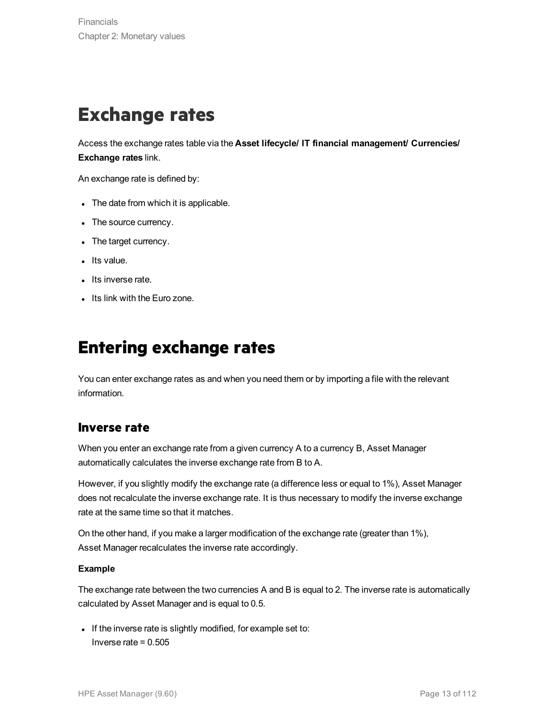## <span id="page-12-0"></span>**Exchange rates**

Access the exchange rates table via the **Asset lifecycle/ IT financial management/ Currencies/ Exchange rates** link.

An exchange rate is defined by:

- The date from which it is applicable.
- The source currency.
- The target currency.
- Its value.
- Its inverse rate.
- <span id="page-12-1"></span>• Its link with the Euro zone.

## **Entering exchange rates**

You can enter exchange rates as and when you need them or by importing a file with the relevant information.

#### <span id="page-12-2"></span>**Inverse rate**

When you enter an exchange rate from a given currency A to a currency B, Asset Manager automatically calculates the inverse exchange rate from B to A.

However, if you slightly modify the exchange rate (a difference less or equal to 1%), Asset Manager does not recalculate the inverse exchange rate. It is thus necessary to modify the inverse exchange rate at the same time so that it matches.

On the other hand, if you make a larger modification of the exchange rate (greater than 1%), Asset Manager recalculates the inverse rate accordingly.

#### **Example**

The exchange rate between the two currencies A and B is equal to 2. The inverse rate is automatically calculated by Asset Manager and is equal to 0.5.

If the inverse rate is slightly modified, for example set to: Inverse rate = 0.505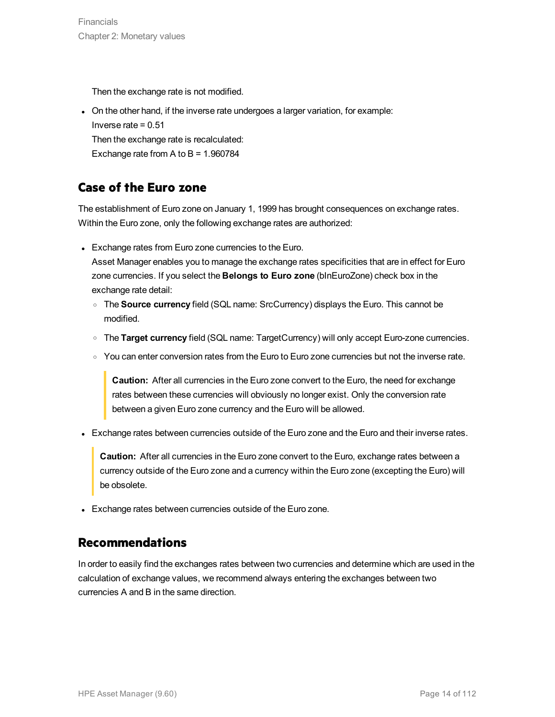Then the exchange rate is not modified.

• On the other hand, if the inverse rate undergoes a larger variation, for example: Inverse rate = 0.51 Then the exchange rate is recalculated: Exchange rate from A to  $B = 1.960784$ 

### <span id="page-13-0"></span>**Case of the Euro zone**

The establishment of Euro zone on January 1, 1999 has brought consequences on exchange rates. Within the Euro zone, only the following exchange rates are authorized:

• Exchange rates from Euro zone currencies to the Euro.

Asset Manager enables you to manage the exchange rates specificities that are in effect for Euro zone currencies. If you select the **Belongs to Euro zone** (bInEuroZone) check box in the exchange rate detail:

- <sup>o</sup> The **Source currency** field (SQL name: SrcCurrency) displays the Euro. This cannot be modified.
- <sup>o</sup> The **Target currency** field (SQL name: TargetCurrency) will only accept Euro-zone currencies.
- $\circ$  You can enter conversion rates from the Euro to Euro zone currencies but not the inverse rate.

**Caution:** After all currencies in the Euro zone convert to the Euro, the need for exchange rates between these currencies will obviously no longer exist. Only the conversion rate between a given Euro zone currency and the Euro will be allowed.

• Exchange rates between currencies outside of the Euro zone and the Euro and their inverse rates.

**Caution:** After all currencies in the Euro zone convert to the Euro, exchange rates between a currency outside of the Euro zone and a currency within the Euro zone (excepting the Euro) will be obsolete.

• Exchange rates between currencies outside of the Euro zone.

### <span id="page-13-1"></span>**Recommendations**

In order to easily find the exchanges rates between two currencies and determine which are used in the calculation of exchange values, we recommend always entering the exchanges between two currencies A and B in the same direction.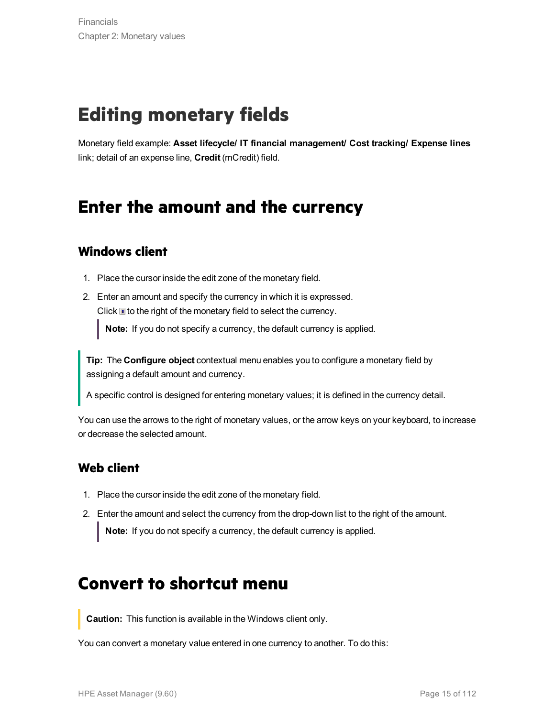# <span id="page-14-0"></span>**Editing monetary fields**

<span id="page-14-1"></span>Monetary field example: **Asset lifecycle/ IT financial management/ Cost tracking/ Expense lines** link; detail of an expense line, **Credit** (mCredit) field.

## **Enter the amount and the currency**

### <span id="page-14-2"></span>**Windows client**

- 1. Place the cursor inside the edit zone of the monetary field.
- 2. Enter an amount and specify the currency in which it is expressed. Click  $\blacksquare$  to the right of the monetary field to select the currency.

**Note:** If you do not specify a currency, the default currency is applied.

**Tip:** The **Configure object** contextual menu enables you to configure a monetary field by assigning a default amount and currency.

A specific control is designed for entering monetary values; it is defined in the currency detail.

You can use the arrows to the right of monetary values, or the arrow keys on your keyboard, to increase or decrease the selected amount.

### <span id="page-14-3"></span>**Web client**

- 1. Place the cursor inside the edit zone of the monetary field.
- <span id="page-14-4"></span>2. Enter the amount and select the currency from the drop-down list to the right of the amount. **Note:** If you do not specify a currency, the default currency is applied.

### **Convert to shortcut menu**

**Caution:** This function is available in the Windows client only.

You can convert a monetary value entered in one currency to another. To do this: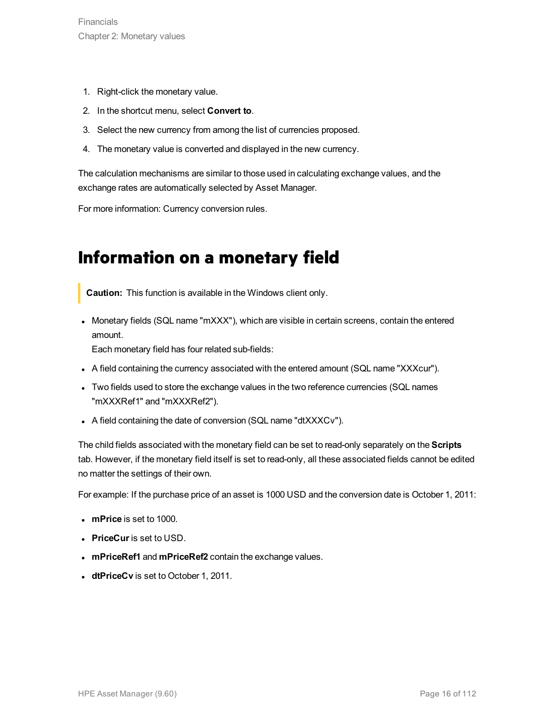- 1. Right-click the monetary value.
- 2. In the shortcut menu, select **Convert to**.
- 3. Select the new currency from among the list of currencies proposed.
- 4. The monetary value is converted and displayed in the new currency.

The calculation mechanisms are similar to those used in calculating exchange values, and the exchange rates are automatically selected by Asset Manager.

<span id="page-15-0"></span>For more information: Currency conversion rules.

### **Information on a monetary field**

**Caution:** This function is available in the Windows client only.

• Monetary fields (SQL name "mXXX"), which are visible in certain screens, contain the entered amount.

Each monetary field has four related sub-fields:

- A field containing the currency associated with the entered amount (SQL name "XXXcur").
- Two fields used to store the exchange values in the two reference currencies (SQL names "mXXXRef1" and "mXXXRef2").
- A field containing the date of conversion (SQL name "dtXXXCv").

The child fields associated with the monetary field can be set to read-only separately on the **Scripts** tab. However, if the monetary field itself is set to read-only, all these associated fields cannot be edited no matter the settings of their own.

For example: If the purchase price of an asset is 1000 USD and the conversion date is October 1, 2011:

- **· mPrice** is set to 1000.
- **PriceCur** is set to USD.
- **· mPriceRef1** and **mPriceRef2** contain the exchange values.
- **dtPriceCv** is set to October 1, 2011.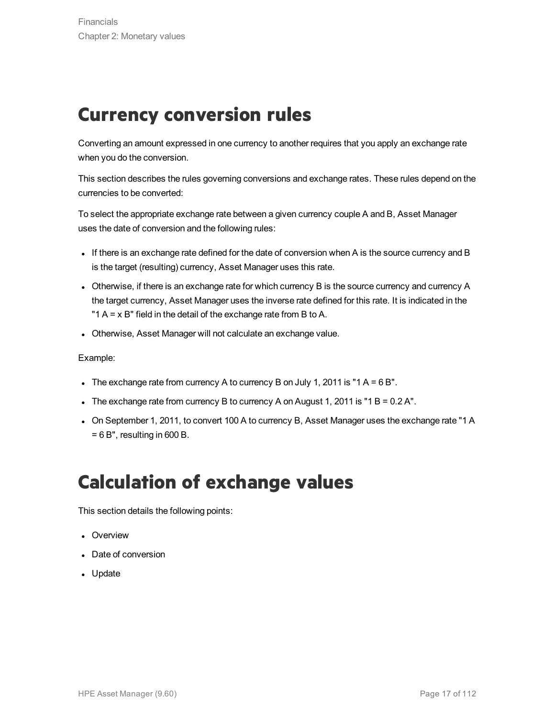## <span id="page-16-0"></span>**Currency conversion rules**

Converting an amount expressed in one currency to another requires that you apply an exchange rate when you do the conversion.

This section describes the rules governing conversions and exchange rates. These rules depend on the currencies to be converted:

To select the appropriate exchange rate between a given currency couple A and B, Asset Manager uses the date of conversion and the following rules:

- If there is an exchange rate defined for the date of conversion when A is the source currency and B is the target (resulting) currency, Asset Manager uses this rate.
- Otherwise, if there is an exchange rate for which currency B is the source currency and currency A the target currency, Asset Manager uses the inverse rate defined for this rate. It is indicated in the "1  $A = x$  B" field in the detail of the exchange rate from B to A.
- Otherwise, Asset Manager will not calculate an exchange value.

#### Example:

- The exchange rate from currency A to currency B on July 1, 2011 is "1 A = 6 B".
- The exchange rate from currency B to currency A on August 1, 2011 is "1 B =  $0.2$  A".
- On September 1, 2011, to convert 100 A to currency B, Asset Manager uses the exchange rate "1 A  $= 6 B$ ", resulting in 600 B.

## <span id="page-16-1"></span>**Calculation of exchange values**

This section details the following points:

- Overview
- Date of conversion
- Update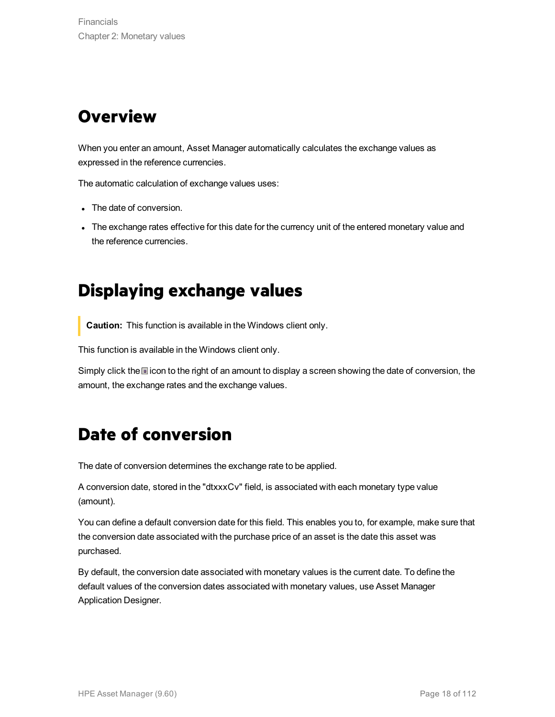## <span id="page-17-0"></span>**Overview**

When you enter an amount, Asset Manager automatically calculates the exchange values as expressed in the reference currencies.

The automatic calculation of exchange values uses:

- The date of conversion.
- <span id="page-17-1"></span>The exchange rates effective for this date for the currency unit of the entered monetary value and the reference currencies.

## **Displaying exchange values**

**Caution:** This function is available in the Windows client only.

This function is available in the Windows client only.

<span id="page-17-2"></span>Simply click the incon to the right of an amount to display a screen showing the date of conversion, the amount, the exchange rates and the exchange values.

## **Date of conversion**

The date of conversion determines the exchange rate to be applied.

A conversion date, stored in the "dtxxxCv" field, is associated with each monetary type value (amount).

You can define a default conversion date for this field. This enables you to, for example, make sure that the conversion date associated with the purchase price of an asset is the date this asset was purchased.

By default, the conversion date associated with monetary values is the current date. To define the default values of the conversion dates associated with monetary values, use Asset Manager Application Designer.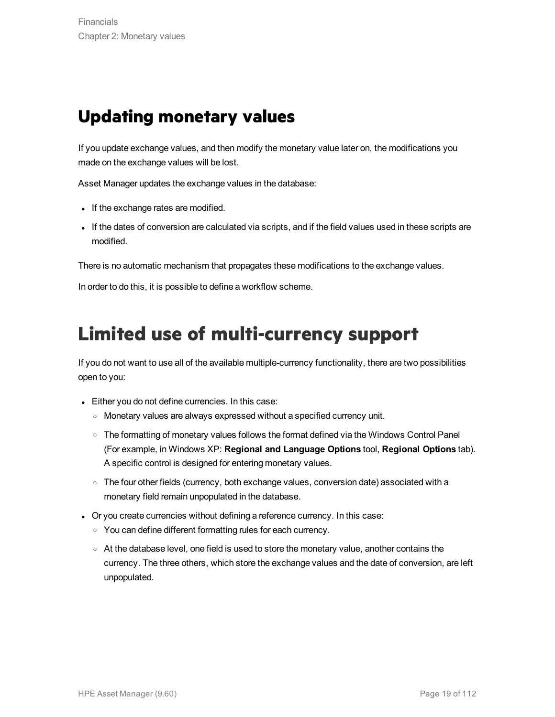## <span id="page-18-0"></span>**Updating monetary values**

If you update exchange values, and then modify the monetary value later on, the modifications you made on the exchange values will be lost.

Asset Manager updates the exchange values in the database:

- If the exchange rates are modified.
- If the dates of conversion are calculated via scripts, and if the field values used in these scripts are modified.

There is no automatic mechanism that propagates these modifications to the exchange values.

In order to do this, it is possible to define a workflow scheme.

## <span id="page-18-1"></span>**Limited use of multi-currency support**

If you do not want to use all of the available multiple-currency functionality, there are two possibilities open to you:

- Either you do not define currencies. In this case:
	- <sup>o</sup> Monetary values are always expressed without a specified currency unit.
	- $\circ$  The formatting of monetary values follows the format defined via the Windows Control Panel (For example, in Windows XP: **Regional and Language Options** tool, **Regional Options** tab). A specific control is designed for entering monetary values.
	- o The four other fields (currency, both exchange values, conversion date) associated with a monetary field remain unpopulated in the database.
- Or you create currencies without defining a reference currency. In this case:
	- $\circ$  You can define different formatting rules for each currency.
	- $\circ$  At the database level, one field is used to store the monetary value, another contains the currency. The three others, which store the exchange values and the date of conversion, are left unpopulated.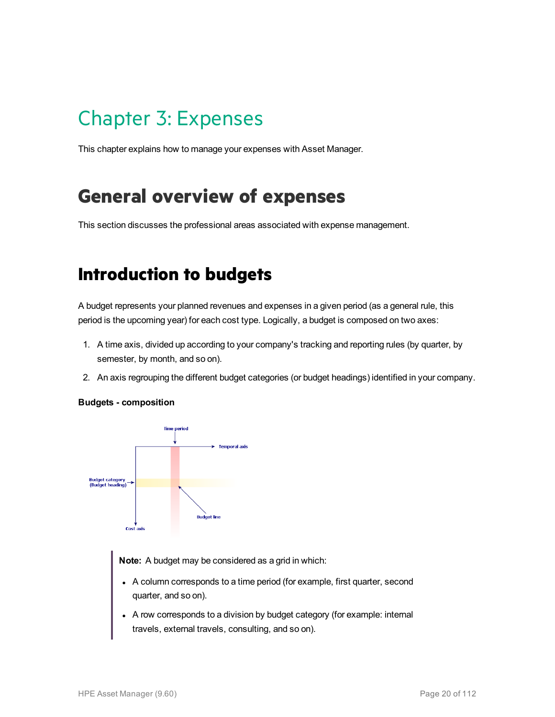# <span id="page-19-0"></span>Chapter 3: Expenses

This chapter explains how to manage your expenses with Asset Manager.

## <span id="page-19-1"></span>**General overview of expenses**

<span id="page-19-2"></span>This section discusses the professional areas associated with expense management.

## **Introduction to budgets**

A budget represents your planned revenues and expenses in a given period (as a general rule, this period is the upcoming year) for each cost type. Logically, a budget is composed on two axes:

- 1. A time axis, divided up according to your company's tracking and reporting rules (by quarter, by semester, by month, and so on).
- 2. An axis regrouping the different budget categories (or budget headings) identified in your company.

#### **Budgets - composition**



**Note:** A budget may be considered as a grid in which:

- A column corresponds to a time period (for example, first quarter, second quarter, and so on).
- A row corresponds to a division by budget category (for example: internal travels, external travels, consulting, and so on).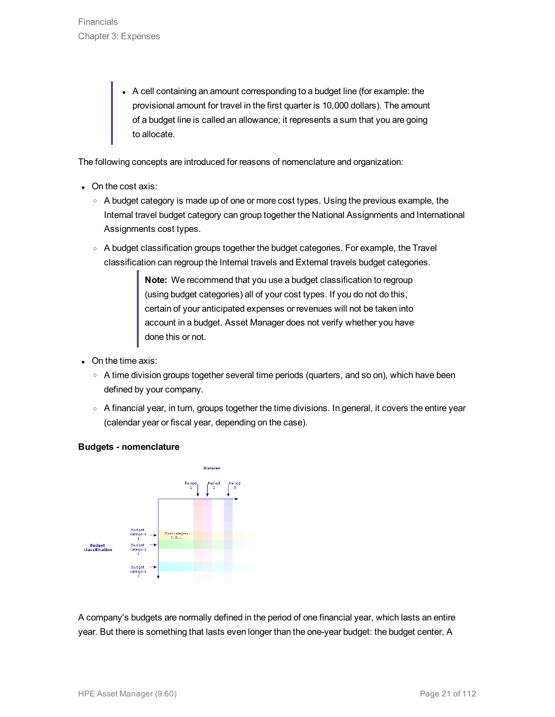• A cell containing an amount corresponding to a budget line (for example: the provisional amount for travel in the first quarter is 10,000 dollars). The amount of a budget line is called an allowance; it represents a sum that you are going to allocate.

The following concepts are introduced for reasons of nomenclature and organization:

- On the cost axis:
	- $\circ$  A budget category is made up of one or more cost types. Using the previous example, the Internal travel budget category can group together the National Assignments and International Assignments cost types.
	- A budget classification groups together the budget categories. For example, the Travel classification can regroup the Internal travels and External travels budget categories.

**Note:** We recommend that you use a budget classification to regroup (using budget categories) all of your cost types. If you do not do this, certain of your anticipated expenses or revenues will not be taken into account in a budget. Asset Manager does not verify whether you have done this or not.

- $\bullet$  On the time axis:
	- $\circ$  A time division groups together several time periods (quarters, and so on), which have been defined by your company.
	- A financial year, in turn, groups together the time divisions. In general, it covers the entire year (calendar year or fiscal year, depending on the case).





A company's budgets are normally defined in the period of one financial year, which lasts an entire year. But there is something that lasts even longer than the one-year budget: the budget center. A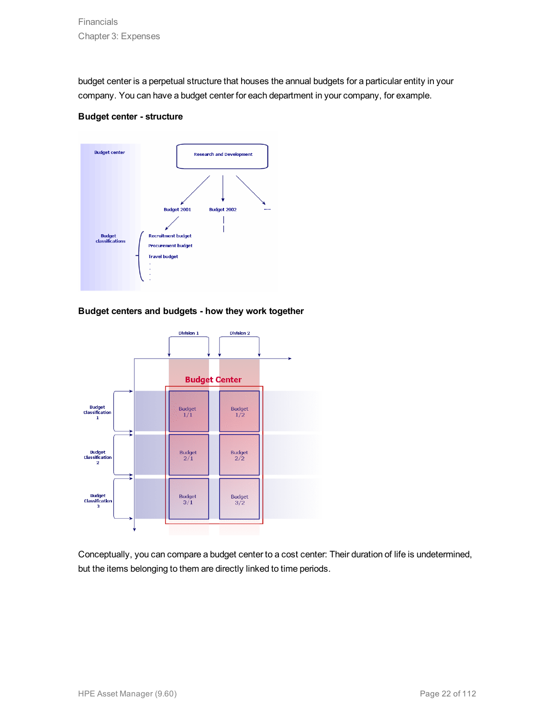budget center is a perpetual structure that houses the annual budgets for a particular entity in your company. You can have a budget center for each department in your company, for example.

#### **Budget center - structure**



#### **Budget centers and budgets - how they work together**



Conceptually, you can compare a budget center to a cost center: Their duration of life is undetermined, but the items belonging to them are directly linked to time periods.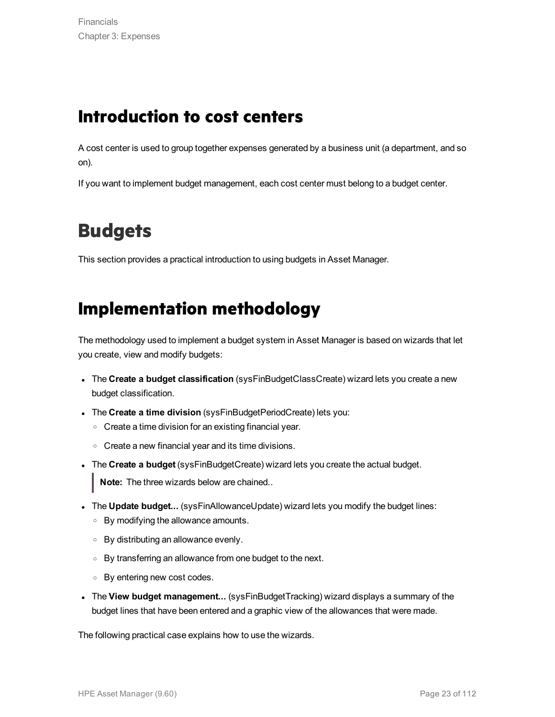## <span id="page-22-0"></span>**Introduction to cost centers**

A cost center is used to group together expenses generated by a business unit (a department, and so on).

If you want to implement budget management, each cost center must belong to a budget center.

## <span id="page-22-1"></span>**Budgets**

<span id="page-22-2"></span>This section provides a practical introduction to using budgets in Asset Manager.

## **Implementation methodology**

The methodology used to implement a budget system in Asset Manager is based on wizards that let you create, view and modify budgets:

- <sup>l</sup> The **Create a budget classification** (sysFinBudgetClassCreate) wizard lets you create a new budget classification.
- <sup>l</sup> The **Create a time division** (sysFinBudgetPeriodCreate) lets you:
	- <sup>o</sup> Create a time division for an existing financial year.
	- <sup>o</sup> Create a new financial year and its time divisions.
- **The Create a budget** (sysFinBudgetCreate) wizard lets you create the actual budget.

**Note:** The three wizards below are chained..

- <sup>l</sup> The **Update budget...** (sysFinAllowanceUpdate) wizard lets you modify the budget lines:
	- <sup>o</sup> By modifying the allowance amounts.
	- <sup>o</sup> By distributing an allowance evenly.
	- <sup>o</sup> By transferring an allowance from one budget to the next.
	- <sup>o</sup> By entering new cost codes.
- <sup>l</sup> The **View budget management...** (sysFinBudgetTracking) wizard displays a summary of the budget lines that have been entered and a graphic view of the allowances that were made.

The following practical case explains how to use the wizards.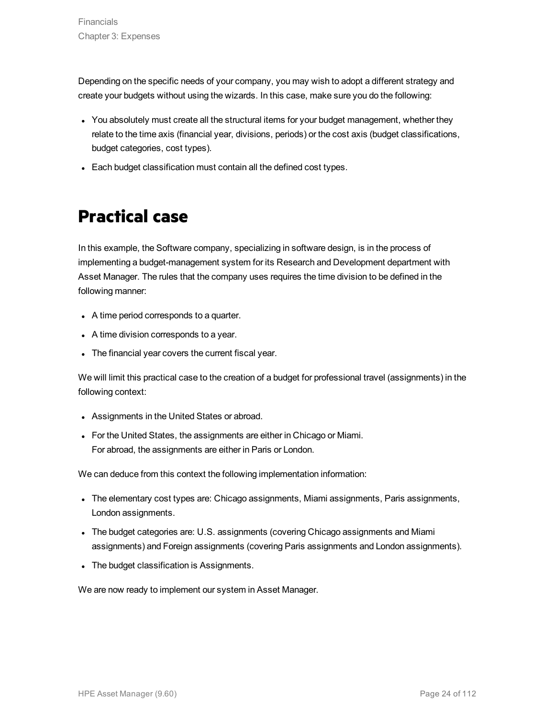Depending on the specific needs of your company, you may wish to adopt a different strategy and create your budgets without using the wizards. In this case, make sure you do the following:

- You absolutely must create all the structural items for your budget management, whether they relate to the time axis (financial year, divisions, periods) or the cost axis (budget classifications, budget categories, cost types).
- <span id="page-23-0"></span>• Each budget classification must contain all the defined cost types.

## **Practical case**

In this example, the Software company, specializing in software design, is in the process of implementing a budget-management system for its Research and Development department with Asset Manager. The rules that the company uses requires the time division to be defined in the following manner:

- A time period corresponds to a quarter.
- A time division corresponds to a year.
- The financial year covers the current fiscal year.

We will limit this practical case to the creation of a budget for professional travel (assignments) in the following context:

- Assignments in the United States or abroad.
- For the United States, the assignments are either in Chicago or Miami. For abroad, the assignments are either in Paris or London.

We can deduce from this context the following implementation information:

- The elementary cost types are: Chicago assignments, Miami assignments, Paris assignments, London assignments.
- <sup>l</sup> The budget categories are: U.S. assignments (covering Chicago assignments and Miami assignments) and Foreign assignments (covering Paris assignments and London assignments).
- The budget classification is Assignments.

We are now ready to implement our system in Asset Manager.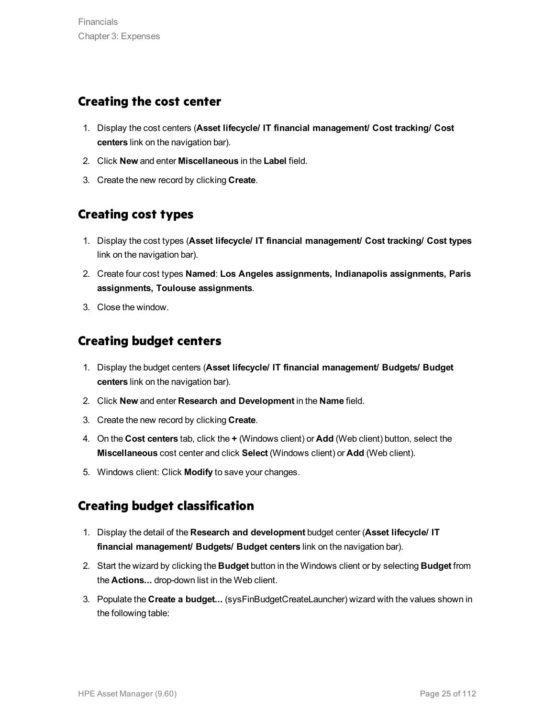### <span id="page-24-0"></span>**Creating the cost center**

- 1. Display the cost centers (**Asset lifecycle/ IT financial management/ Cost tracking/ Cost centers** link on the navigation bar).
- 2. Click **New** and enter **Miscellaneous** in the **Label** field.
- 3. Create the new record by clicking **Create**.

### <span id="page-24-1"></span>**Creating cost types**

- 1. Display the cost types (**Asset lifecycle/ IT financial management/ Cost tracking/ Cost types** link on the navigation bar).
- 2. Create four cost types **Named**: **Los Angeles assignments, Indianapolis assignments, Paris assignments, Toulouse assignments**.
- 3. Close the window.

### <span id="page-24-2"></span>**Creating budget centers**

- 1. Display the budget centers (**Asset lifecycle/ IT financial management/ Budgets/ Budget centers** link on the navigation bar).
- 2. Click **New** and enter **Research and Development** in the **Name** field.
- 3. Create the new record by clicking **Create**.
- 4. On the **Cost centers** tab, click the **+** (Windows client) or **Add** (Web client) button, select the **Miscellaneous** cost center and click **Select** (Windows client) or **Add** (Web client).
- 5. Windows client: Click **Modify** to save your changes.

### <span id="page-24-3"></span>**Creating budget classification**

- 1. Display the detail of the **Research and development** budget center (**Asset lifecycle/ IT financial management/ Budgets/ Budget centers** link on the navigation bar).
- 2. Start the wizard by clicking the **Budget** button in the Windows client or by selecting **Budget** from the **Actions...** drop-down list in the Web client.
- 3. Populate the **Create a budget...** (sysFinBudgetCreateLauncher) wizard with the values shown in the following table: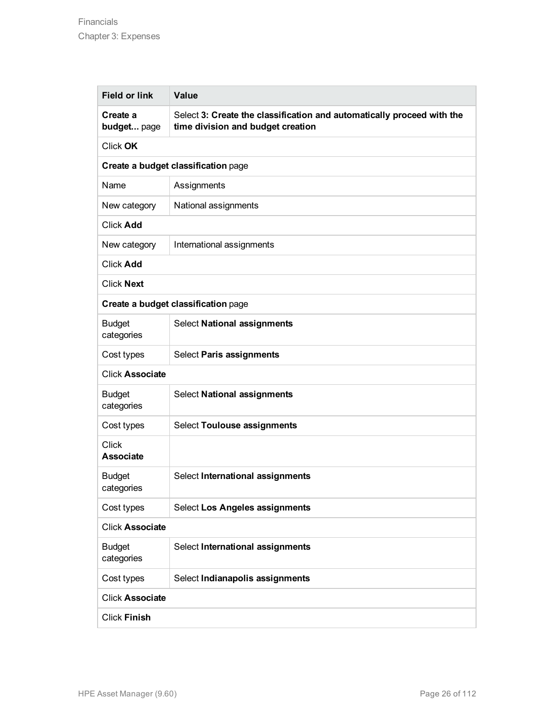| <b>Field or link</b>                | <b>Value</b>                                                                                                |  |  |
|-------------------------------------|-------------------------------------------------------------------------------------------------------------|--|--|
| Create a<br>budget page             | Select 3: Create the classification and automatically proceed with the<br>time division and budget creation |  |  |
| Click OK                            |                                                                                                             |  |  |
| Create a budget classification page |                                                                                                             |  |  |
| Name                                | Assignments                                                                                                 |  |  |
| New category                        | National assignments                                                                                        |  |  |
| <b>Click Add</b>                    |                                                                                                             |  |  |
| New category                        | International assignments                                                                                   |  |  |
| <b>Click Add</b>                    |                                                                                                             |  |  |
| <b>Click Next</b>                   |                                                                                                             |  |  |
| Create a budget classification page |                                                                                                             |  |  |
| <b>Budget</b><br>categories         | <b>Select National assignments</b>                                                                          |  |  |
| Cost types                          | Select Paris assignments                                                                                    |  |  |
| <b>Click Associate</b>              |                                                                                                             |  |  |
| <b>Budget</b><br>categories         | <b>Select National assignments</b>                                                                          |  |  |
| Cost types                          | <b>Select Toulouse assignments</b>                                                                          |  |  |
| <b>Click</b><br><b>Associate</b>    |                                                                                                             |  |  |
| <b>Budget</b><br>categories         | Select International assignments                                                                            |  |  |
| Cost types                          | Select Los Angeles assignments                                                                              |  |  |
| <b>Click Associate</b>              |                                                                                                             |  |  |
| <b>Budget</b><br>categories         | Select International assignments                                                                            |  |  |
| Cost types                          | Select Indianapolis assignments                                                                             |  |  |
| <b>Click Associate</b>              |                                                                                                             |  |  |
| <b>Click Finish</b>                 |                                                                                                             |  |  |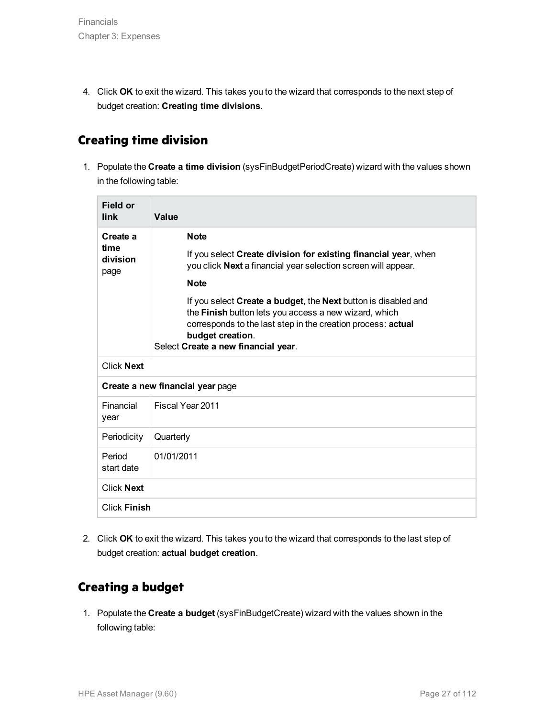4. Click **OK** to exit the wizard. This takes you to the wizard that corresponds to the next step of budget creation: **Creating time divisions**.

### <span id="page-26-0"></span>**Creating time division**

1. Populate the **Create a time division** (sysFinBudgetPeriodCreate) wizard with the values shown in the following table:

| Field or<br>link                     | Value                                                                                                                                                                                                                                              |  |  |
|--------------------------------------|----------------------------------------------------------------------------------------------------------------------------------------------------------------------------------------------------------------------------------------------------|--|--|
| Create a<br>time<br>division<br>page | <b>Note</b>                                                                                                                                                                                                                                        |  |  |
|                                      | If you select Create division for existing financial year, when<br>you click Next a financial year selection screen will appear.                                                                                                                   |  |  |
|                                      | <b>Note</b>                                                                                                                                                                                                                                        |  |  |
|                                      | If you select Create a budget, the Next button is disabled and<br>the Finish button lets you access a new wizard, which<br>corresponds to the last step in the creation process: actual<br>budget creation.<br>Select Create a new financial year. |  |  |
| <b>Click Next</b>                    |                                                                                                                                                                                                                                                    |  |  |
|                                      | Create a new financial year page                                                                                                                                                                                                                   |  |  |
| Financial<br>year                    | Fiscal Year 2011                                                                                                                                                                                                                                   |  |  |
| Periodicity                          | Quarterly                                                                                                                                                                                                                                          |  |  |
| Period<br>start date                 | 01/01/2011                                                                                                                                                                                                                                         |  |  |
| <b>Click Next</b>                    |                                                                                                                                                                                                                                                    |  |  |
| <b>Click Finish</b>                  |                                                                                                                                                                                                                                                    |  |  |

2. Click **OK** to exit the wizard. This takes you to the wizard that corresponds to the last step of budget creation: **actual budget creation**.

### <span id="page-26-1"></span>**Creating a budget**

1. Populate the **Create a budget** (sysFinBudgetCreate) wizard with the values shown in the following table: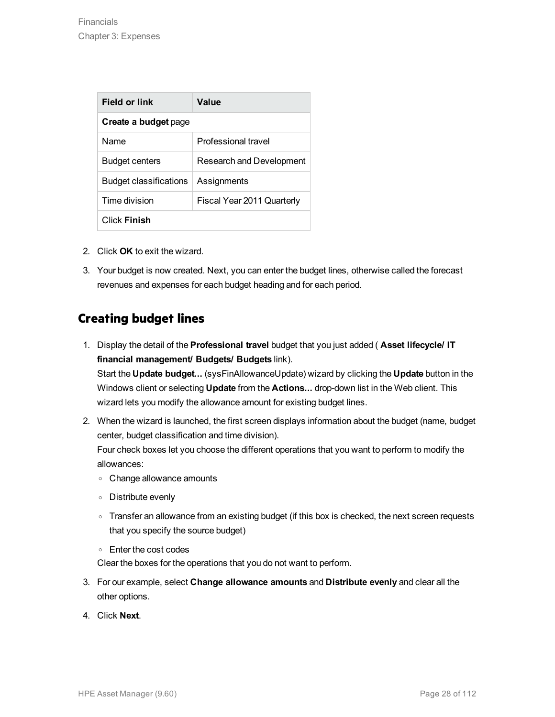| <b>Field or link</b>   | Value                      |  |  |
|------------------------|----------------------------|--|--|
| Create a budget page   |                            |  |  |
| Name                   | Professional travel        |  |  |
| <b>Budget centers</b>  | Research and Development   |  |  |
| Budget classifications | Assignments                |  |  |
| Time division          | Fiscal Year 2011 Quarterly |  |  |
| <b>Click Finish</b>    |                            |  |  |

- 2. Click **OK** to exit the wizard.
- 3. Your budget is now created. Next, you can enter the budget lines, otherwise called the forecast revenues and expenses for each budget heading and for each period.

### <span id="page-27-0"></span>**Creating budget lines**

1. Display the detail of the **Professional travel** budget that you just added ( **Asset lifecycle/ IT financial management/ Budgets/ Budgets** link).

Start the **Update budget...** (sysFinAllowanceUpdate) wizard by clicking the **Update** button in the Windows client or selecting **Update** from the **Actions...** drop-down list in the Web client. This wizard lets you modify the allowance amount for existing budget lines.

2. When the wizard is launched, the first screen displays information about the budget (name, budget center, budget classification and time division).

Four check boxes let you choose the different operations that you want to perform to modify the allowances:

- <sup>o</sup> Change allowance amounts
- <sup>o</sup> Distribute evenly
- $\circ$  Transfer an allowance from an existing budget (if this box is checked, the next screen requests that you specify the source budget)
- <sup>o</sup> Enter the cost codes

Clear the boxes for the operations that you do not want to perform.

- 3. For our example, select **Change allowance amounts** and **Distribute evenly** and clear all the other options.
- 4. Click **Next**.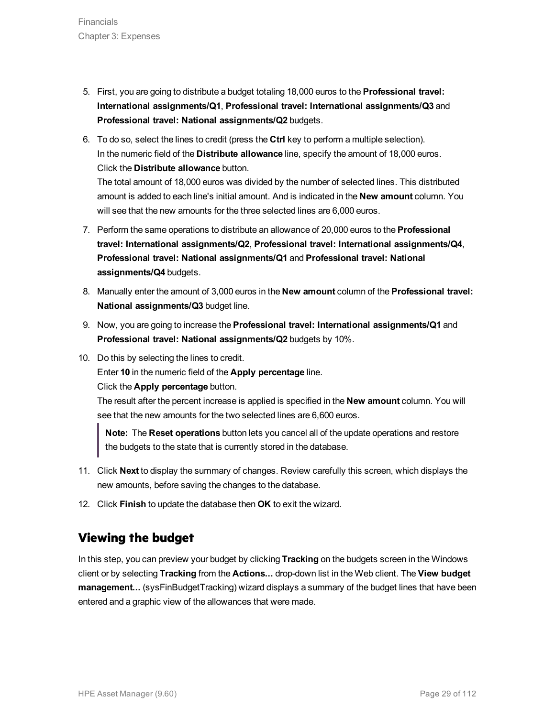- 5. First, you are going to distribute a budget totaling 18,000 euros to the **Professional travel: International assignments/Q1**, **Professional travel: International assignments/Q3** and **Professional travel: National assignments/Q2** budgets.
- 6. To do so, select the lines to credit (press the **Ctrl** key to perform a multiple selection). In the numeric field of the **Distribute allowance** line, specify the amount of 18,000 euros. Click the **Distribute allowance** button.

The total amount of 18,000 euros was divided by the number of selected lines. This distributed amount is added to each line's initial amount. And is indicated in the **New amount** column. You will see that the new amounts for the three selected lines are 6,000 euros.

- 7. Perform the same operations to distribute an allowance of 20,000 euros to the **Professional travel: International assignments/Q2**, **Professional travel: International assignments/Q4**, **Professional travel: National assignments/Q1** and **Professional travel: National assignments/Q4** budgets.
- 8. Manually enter the amount of 3,000 euros in the **New amount** column of the **Professional travel: National assignments/Q3** budget line.
- 9. Now, you are going to increase the **Professional travel: International assignments/Q1** and **Professional travel: National assignments/Q2** budgets by 10%.
- 10. Do this by selecting the lines to credit.

Enter **10** in the numeric field of the **Apply percentage** line.

Click the **Apply percentage** button.

The result after the percent increase is applied is specified in the **New amount** column. You will see that the new amounts for the two selected lines are 6,600 euros.

**Note:** The **Reset operations** button lets you cancel all of the update operations and restore the budgets to the state that is currently stored in the database.

- 11. Click **Next** to display the summary of changes. Review carefully this screen, which displays the new amounts, before saving the changes to the database.
- 12. Click **Finish** to update the database then **OK** to exit the wizard.

### <span id="page-28-0"></span>**Viewing the budget**

In this step, you can preview your budget by clicking **Tracking** on the budgets screen in the Windows client or by selecting **Tracking** from the **Actions...** drop-down list in the Web client. The **View budget management...** (sysFinBudgetTracking) wizard displays a summary of the budget lines that have been entered and a graphic view of the allowances that were made.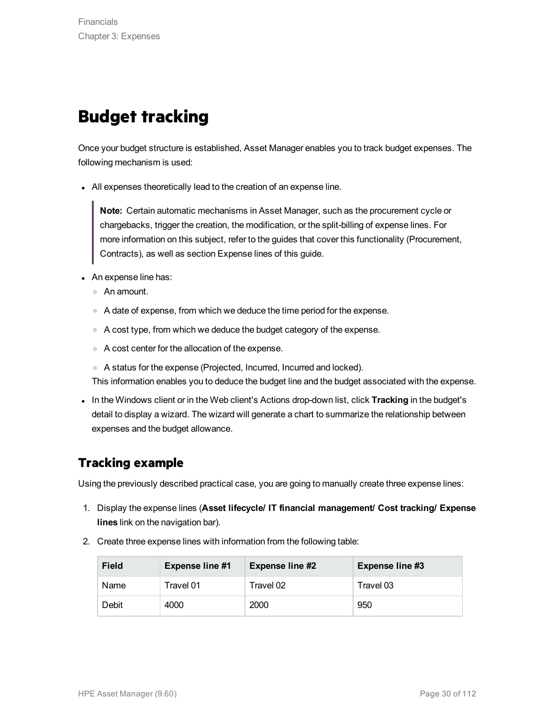## <span id="page-29-0"></span>**Budget tracking**

Once your budget structure is established, Asset Manager enables you to track budget expenses. The following mechanism is used:

- All expenses theoretically lead to the creation of an expense line.

**Note:** Certain automatic mechanisms in Asset Manager, such as the procurement cycle or chargebacks, trigger the creation, the modification, or the split-billing of expense lines. For more information on this subject, refer to the guides that cover this functionality (Procurement, Contracts), as well as section Expense lines of this guide.

- An expense line has:
	- <sup>o</sup> An amount.
	- $\circ$  A date of expense, from which we deduce the time period for the expense.
	- $\circ$  A cost type, from which we deduce the budget category of the expense.
	- <sup>o</sup> A cost center for the allocation of the expense.
	- <sup>o</sup> A status for the expense (Projected, Incurred, Incurred and locked).

This information enables you to deduce the budget line and the budget associated with the expense.

. In the Windows client or in the Web client's Actions drop-down list, click **Tracking** in the budget's detail to display a wizard. The wizard will generate a chart to summarize the relationship between expenses and the budget allowance.

### <span id="page-29-1"></span>**Tracking example**

Using the previously described practical case, you are going to manually create three expense lines:

- 1. Display the expense lines (**Asset lifecycle/ IT financial management/ Cost tracking/ Expense lines** link on the navigation bar).
- 2. Create three expense lines with information from the following table:

| <b>Field</b> | <b>Expense line #1</b> | <b>Expense line #2</b> | <b>Expense line #3</b> |
|--------------|------------------------|------------------------|------------------------|
| Name         | Travel 01              | Travel 02              | Travel 03              |
| Debit        | 4000                   | 2000                   | 950                    |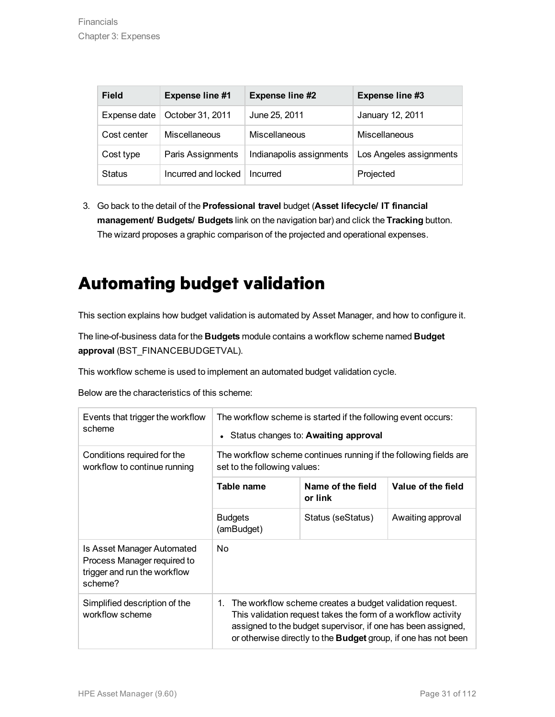| <b>Field</b>  | <b>Expense line #1</b> | <b>Expense line #2</b>   | Expense line #3         |
|---------------|------------------------|--------------------------|-------------------------|
| Expense date  | October 31, 2011       | June 25, 2011            | January 12, 2011        |
| Cost center   | <b>Miscellaneous</b>   | Miscellaneous            | Miscellaneous           |
| Cost type     | Paris Assignments      | Indianapolis assignments | Los Angeles assignments |
| <b>Status</b> | Incurred and locked    | Incurred                 | Projected               |

3. Go back to the detail of the **Professional travel** budget (**Asset lifecycle/ IT financial management/ Budgets/ Budgets** link on the navigation bar) and click the **Tracking** button. The wizard proposes a graphic comparison of the projected and operational expenses.

## <span id="page-30-0"></span>**Automating budget validation**

This section explains how budget validation is automated by Asset Manager, and how to configure it.

The line-of-business data for the **Budgets** module contains a workflow scheme named **Budget approval** (BST\_FINANCEBUDGETVAL).

This workflow scheme is used to implement an automated budget validation cycle.

Below are the characteristics of this scheme:

| Events that trigger the workflow<br>scheme                                                           | The workflow scheme is started if the following event occurs:<br>• Status changes to: Awaiting approval                                                                                                                                                                  |                              |                    |  |
|------------------------------------------------------------------------------------------------------|--------------------------------------------------------------------------------------------------------------------------------------------------------------------------------------------------------------------------------------------------------------------------|------------------------------|--------------------|--|
| Conditions required for the<br>workflow to continue running                                          | The workflow scheme continues running if the following fields are<br>set to the following values:                                                                                                                                                                        |                              |                    |  |
|                                                                                                      | Table name                                                                                                                                                                                                                                                               | Name of the field<br>or link | Value of the field |  |
|                                                                                                      | <b>Budgets</b><br>(amBudget)                                                                                                                                                                                                                                             | Status (seStatus)            | Awaiting approval  |  |
| Is Asset Manager Automated<br>Process Manager required to<br>trigger and run the workflow<br>scheme? | N <sub>o</sub>                                                                                                                                                                                                                                                           |                              |                    |  |
| Simplified description of the<br>workflow scheme                                                     | The workflow scheme creates a budget validation request.<br>1.<br>This validation request takes the form of a workflow activity<br>assigned to the budget supervisor, if one has been assigned,<br>or otherwise directly to the <b>Budget</b> group, if one has not been |                              |                    |  |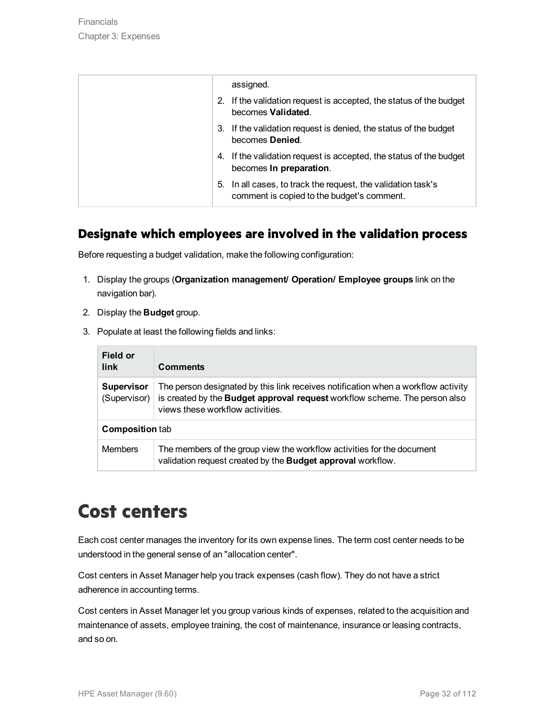| assigned.                                                                                                     |
|---------------------------------------------------------------------------------------------------------------|
| 2. If the validation request is accepted, the status of the budget<br>becomes Validated.                      |
| If the validation request is denied, the status of the budget<br>3.<br>becomes Denied.                        |
| 4. If the validation request is accepted, the status of the budget<br>becomes In preparation.                 |
| In all cases, to track the request, the validation task's<br>5.<br>comment is copied to the budget's comment. |

### <span id="page-31-0"></span>**Designate which employees are involved in the validation process**

Before requesting a budget validation, make the following configuration:

- 1. Display the groups (**Organization management/ Operation/ Employee groups** link on the navigation bar).
- 2. Display the **Budget** group.
- 3. Populate at least the following fields and links:

| Field or<br>link                  | <b>Comments</b>                                                                                                                                                                                     |  |
|-----------------------------------|-----------------------------------------------------------------------------------------------------------------------------------------------------------------------------------------------------|--|
| <b>Supervisor</b><br>(Supervisor) | The person designated by this link receives notification when a workflow activity<br>is created by the Budget approval request workflow scheme. The person also<br>views these workflow activities. |  |
| <b>Composition tab</b>            |                                                                                                                                                                                                     |  |
| <b>Members</b>                    | The members of the group view the workflow activities for the document<br>validation request created by the Budget approval workflow.                                                               |  |

## <span id="page-31-1"></span>**Cost centers**

Each cost center manages the inventory for its own expense lines. The term cost center needs to be understood in the general sense of an "allocation center".

Cost centers in Asset Manager help you track expenses (cash flow). They do not have a strict adherence in accounting terms.

Cost centers in Asset Manager let you group various kinds of expenses, related to the acquisition and maintenance of assets, employee training, the cost of maintenance, insurance or leasing contracts, and so on.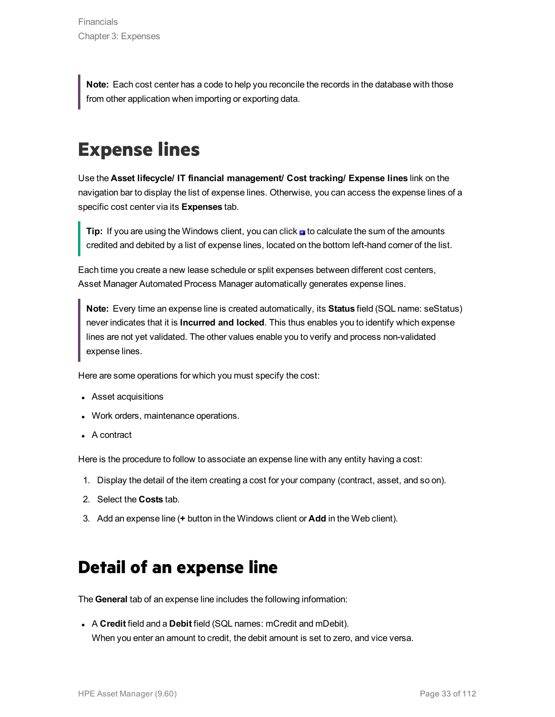**Note:** Each cost center has a code to help you reconcile the records in the database with those from other application when importing or exporting data.

# <span id="page-32-0"></span>**Expense lines**

Use the **Asset lifecycle/ IT financial management/ Cost tracking/ Expense lines** link on the navigation bar to display the list of expense lines. Otherwise, you can access the expense lines of a specific cost center via its **Expenses** tab.

**Tip:** If you are using the Windows client, you can click <sub>■</sub> to calculate the sum of the amounts credited and debited by a list of expense lines, located on the bottom left-hand corner of the list.

Each time you create a new lease schedule or split expenses between different cost centers, Asset Manager Automated Process Manager automatically generates expense lines.

**Note:** Every time an expense line is created automatically, its **Status** field (SQL name: seStatus) never indicates that it is **Incurred and locked**. This thus enables you to identify which expense lines are not yet validated. The other values enable you to verify and process non-validated expense lines.

Here are some operations for which you must specify the cost:

- Asset acquisitions
- Work orders, maintenance operations.
- A contract

Here is the procedure to follow to associate an expense line with any entity having a cost:

- 1. Display the detail of the item creating a cost for your company (contract, asset, and so on).
- 2. Select the **Costs** tab.
- <span id="page-32-1"></span>3. Add an expense line (**+** button in the Windows client or **Add** in the Web client).

## **Detail of an expense line**

The **General** tab of an expense line includes the following information:

**A Credit** field and a **Debit** field (SQL names: mCredit and mDebit). When you enter an amount to credit, the debit amount is set to zero, and vice versa.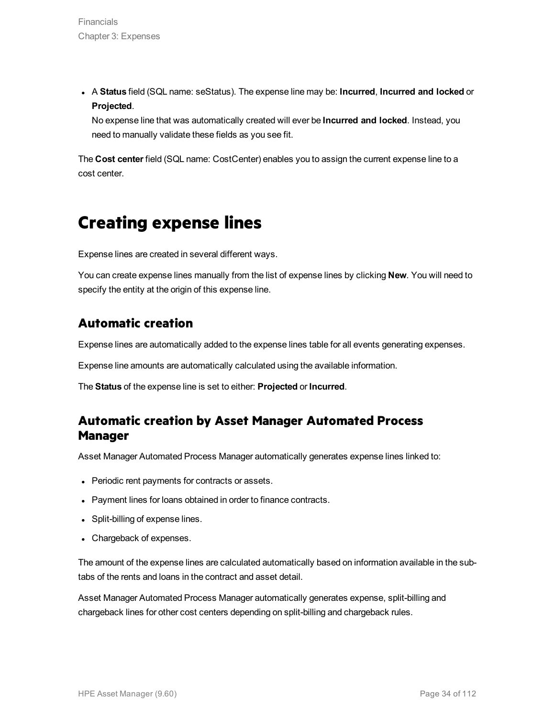<sup>l</sup> A **Status** field (SQL name: seStatus). The expense line may be: **Incurred**, **Incurred and locked** or **Projected**.

No expense line that was automatically created will ever be **Incurred and locked**. Instead, you need to manually validate these fields as you see fit.

<span id="page-33-0"></span>The **Cost center** field (SQL name: CostCenter) enables you to assign the current expense line to a cost center.

## **Creating expense lines**

Expense lines are created in several different ways.

You can create expense lines manually from the list of expense lines by clicking **New**. You will need to specify the entity at the origin of this expense line.

### <span id="page-33-1"></span>**Automatic creation**

Expense lines are automatically added to the expense lines table for all events generating expenses.

Expense line amounts are automatically calculated using the available information.

The **Status** of the expense line is set to either: **Projected** or **Incurred**.

### <span id="page-33-2"></span>**Automatic creation by Asset Manager Automated Process Manager**

Asset Manager Automated Process Manager automatically generates expense lines linked to:

- Periodic rent payments for contracts or assets.
- Payment lines for loans obtained in order to finance contracts.
- Split-billing of expense lines.
- Chargeback of expenses.

The amount of the expense lines are calculated automatically based on information available in the subtabs of the rents and loans in the contract and asset detail.

Asset Manager Automated Process Manager automatically generates expense, split-billing and chargeback lines for other cost centers depending on split-billing and chargeback rules.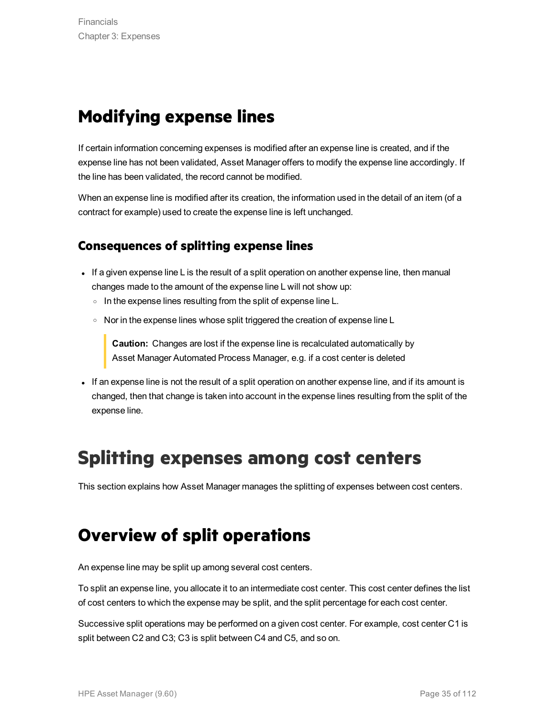## <span id="page-34-0"></span>**Modifying expense lines**

If certain information concerning expenses is modified after an expense line is created, and if the expense line has not been validated, Asset Manager offers to modify the expense line accordingly. If the line has been validated, the record cannot be modified.

When an expense line is modified after its creation, the information used in the detail of an item (of a contract for example) used to create the expense line is left unchanged.

### <span id="page-34-1"></span>**Consequences of splitting expense lines**

- If a given expense line L is the result of a split operation on another expense line, then manual changes made to the amount of the expense line L will not show up:
	- $\circ$  In the expense lines resulting from the split of expense line L.
	- Nor in the expense lines whose split triggered the creation of expense line L

**Caution:** Changes are lost if the expense line is recalculated automatically by Asset Manager Automated Process Manager, e.g. if a cost center is deleted

If an expense line is not the result of a split operation on another expense line, and if its amount is changed, then that change is taken into account in the expense lines resulting from the split of the expense line.

## <span id="page-34-2"></span>**Splitting expenses among cost centers**

<span id="page-34-3"></span>This section explains how Asset Manager manages the splitting of expenses between cost centers.

## **Overview of split operations**

An expense line may be split up among several cost centers.

To split an expense line, you allocate it to an intermediate cost center. This cost center defines the list of cost centers to which the expense may be split, and the split percentage for each cost center.

Successive split operations may be performed on a given cost center. For example, cost center C1 is split between C2 and C3; C3 is split between C4 and C5, and so on.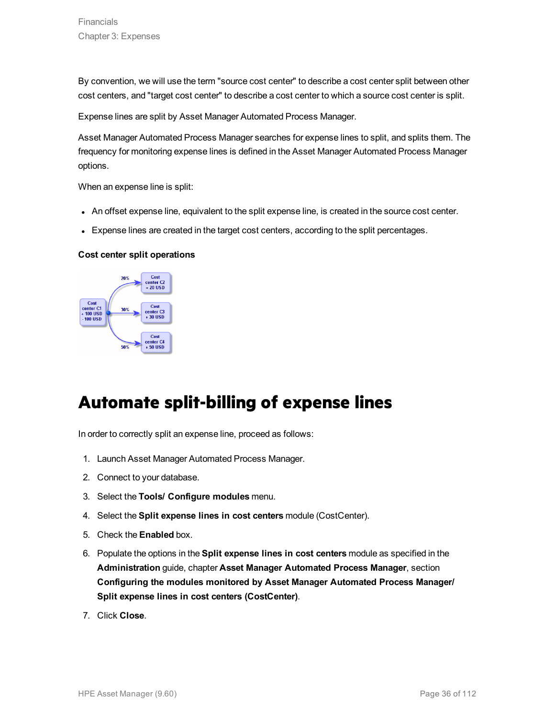By convention, we will use the term "source cost center" to describe a cost center split between other cost centers, and "target cost center" to describe a cost center to which a source cost center is split.

Expense lines are split by Asset Manager Automated Process Manager.

Asset Manager Automated Process Manager searches for expense lines to split, and splits them. The frequency for monitoring expense lines is defined in the Asset Manager Automated Process Manager options.

When an expense line is split:

- An offset expense line, equivalent to the split expense line, is created in the source cost center.
- Expense lines are created in the target cost centers, according to the split percentages.

#### **Cost center split operations**



## <span id="page-35-0"></span>**Automate split-billing of expense lines**

In order to correctly split an expense line, proceed as follows:

- 1. Launch Asset Manager Automated Process Manager.
- 2. Connect to your database.
- 3. Select the **Tools/ Configure modules** menu.
- 4. Select the **Split expense lines in cost centers** module (CostCenter).
- 5. Check the **Enabled** box.
- 6. Populate the options in the **Split expense lines in cost centers** module as specified in the **Administration** guide, chapter **Asset Manager Automated Process Manager**, section **Configuring the modules monitored by Asset Manager Automated Process Manager/ Split expense lines in cost centers (CostCenter)**.
- 7. Click **Close**.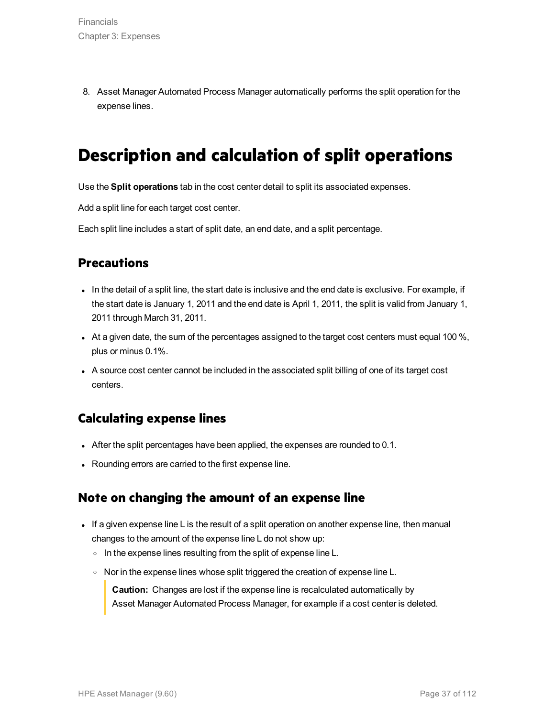8. Asset Manager Automated Process Manager automatically performs the split operation for the expense lines.

### **Description and calculation of split operations**

Use the **Split operations** tab in the cost center detail to split its associated expenses.

Add a split line for each target cost center.

Each split line includes a start of split date, an end date, and a split percentage.

#### **Precautions**

- In the detail of a split line, the start date is inclusive and the end date is exclusive. For example, if the start date is January 1, 2011 and the end date is April 1, 2011, the split is valid from January 1, 2011 through March 31, 2011.
- $\bullet$  At a given date, the sum of the percentages assigned to the target cost centers must equal 100 %, plus or minus 0.1%.
- A source cost center cannot be included in the associated split billing of one of its target cost centers.

#### **Calculating expense lines**

- After the split percentages have been applied, the expenses are rounded to 0.1.
- Rounding errors are carried to the first expense line.

#### **Note on changing the amount of an expense line**

- If a given expense line L is the result of a split operation on another expense line, then manual changes to the amount of the expense line L do not show up:
	- o In the expense lines resulting from the split of expense line L.
	- o Nor in the expense lines whose split triggered the creation of expense line L.

**Caution:** Changes are lost if the expense line is recalculated automatically by Asset Manager Automated Process Manager, for example if a cost center is deleted.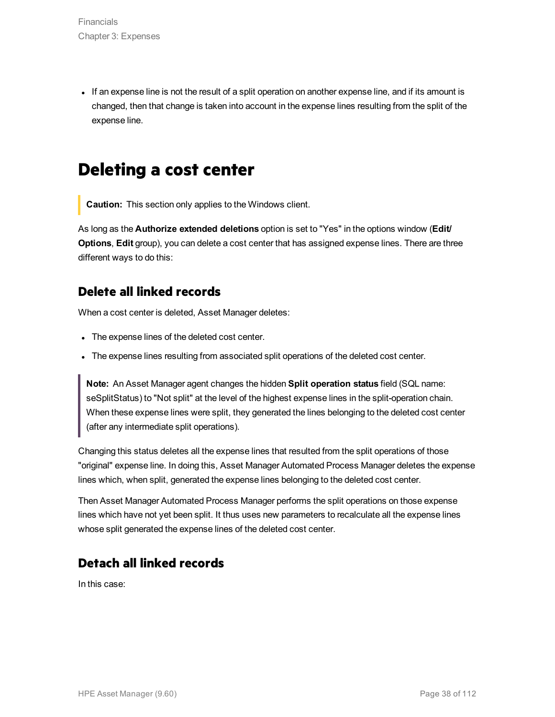If an expense line is not the result of a split operation on another expense line, and if its amount is changed, then that change is taken into account in the expense lines resulting from the split of the expense line.

### **Deleting a cost center**

**Caution:** This section only applies to the Windows client.

As long as the **Authorize extended deletions** option is set to "Yes" in the options window (**Edit/ Options**, **Edit** group), you can delete a cost center that has assigned expense lines. There are three different ways to do this:

#### **Delete all linked records**

When a cost center is deleted, Asset Manager deletes:

- The expense lines of the deleted cost center.
- The expense lines resulting from associated split operations of the deleted cost center.

**Note:** An Asset Manager agent changes the hidden **Split operation status** field (SQL name: seSplitStatus) to "Not split" at the level of the highest expense lines in the split-operation chain. When these expense lines were split, they generated the lines belonging to the deleted cost center (after any intermediate split operations).

Changing this status deletes all the expense lines that resulted from the split operations of those "original" expense line. In doing this, Asset Manager Automated Process Manager deletes the expense lines which, when split, generated the expense lines belonging to the deleted cost center.

Then Asset Manager Automated Process Manager performs the split operations on those expense lines which have not yet been split. It thus uses new parameters to recalculate all the expense lines whose split generated the expense lines of the deleted cost center.

#### **Detach all linked records**

In this case: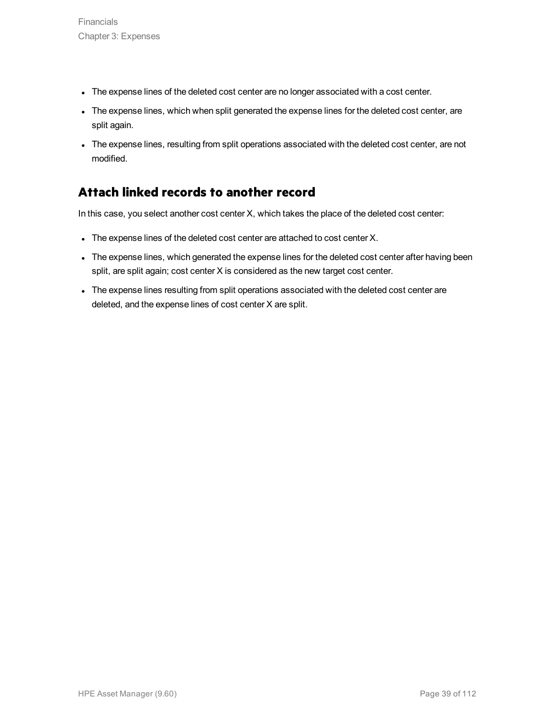- The expense lines of the deleted cost center are no longer associated with a cost center.
- The expense lines, which when split generated the expense lines for the deleted cost center, are split again.
- The expense lines, resulting from split operations associated with the deleted cost center, are not modified.

### **Attach linked records to another record**

In this case, you select another cost center X, which takes the place of the deleted cost center:

- The expense lines of the deleted cost center are attached to cost center X.
- The expense lines, which generated the expense lines for the deleted cost center after having been split, are split again; cost center X is considered as the new target cost center.
- The expense lines resulting from split operations associated with the deleted cost center are deleted, and the expense lines of cost center X are split.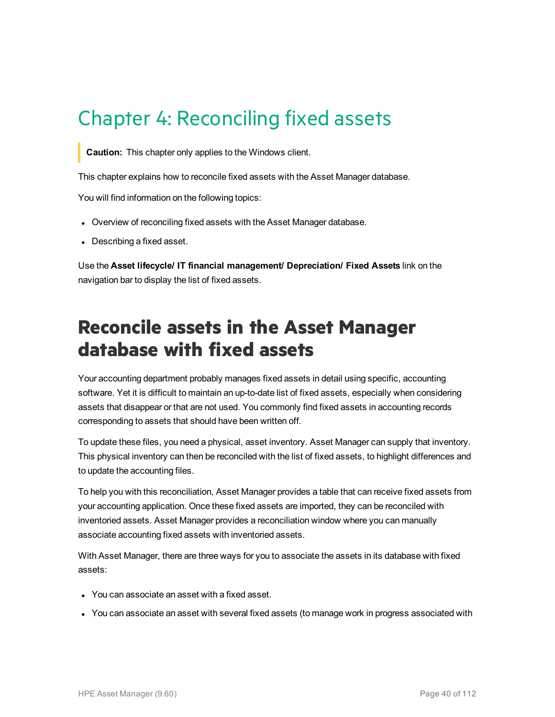# Chapter 4: Reconciling fixed assets

**Caution:** This chapter only applies to the Windows client.

This chapter explains how to reconcile fixed assets with the Asset Manager database.

You will find information on the following topics:

- Overview of reconciling fixed assets with the Asset Manager database.
- Describing a fixed asset.

Use the **Asset lifecycle/ IT financial management/ Depreciation/ Fixed Assets** link on the navigation bar to display the list of fixed assets.

## **Reconcile assets in the Asset Manager database with fixed assets**

Your accounting department probably manages fixed assets in detail using specific, accounting software. Yet it is difficult to maintain an up-to-date list of fixed assets, especially when considering assets that disappear or that are not used. You commonly find fixed assets in accounting records corresponding to assets that should have been written off.

To update these files, you need a physical, asset inventory. Asset Manager can supply that inventory. This physical inventory can then be reconciled with the list of fixed assets, to highlight differences and to update the accounting files.

To help you with this reconciliation, Asset Manager provides a table that can receive fixed assets from your accounting application. Once these fixed assets are imported, they can be reconciled with inventoried assets. Asset Manager provides a reconciliation window where you can manually associate accounting fixed assets with inventoried assets.

With Asset Manager, there are three ways for you to associate the assets in its database with fixed assets:

- You can associate an asset with a fixed asset.
- You can associate an asset with several fixed assets (to manage work in progress associated with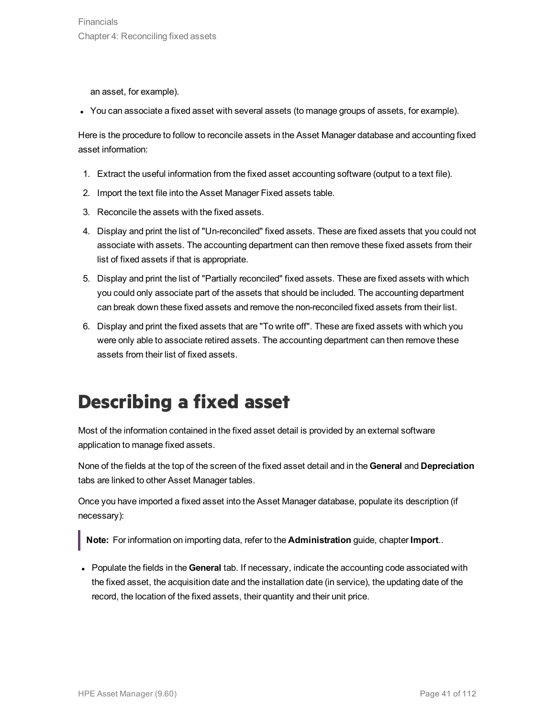an asset, for example).

<sup>l</sup> You can associate a fixed asset with several assets (to manage groups of assets, for example).

Here is the procedure to follow to reconcile assets in the Asset Manager database and accounting fixed asset information:

- 1. Extract the useful information from the fixed asset accounting software (output to a text file).
- 2. Import the text file into the Asset Manager Fixed assets table.
- 3. Reconcile the assets with the fixed assets.
- 4. Display and print the list of "Un-reconciled" fixed assets. These are fixed assets that you could not associate with assets. The accounting department can then remove these fixed assets from their list of fixed assets if that is appropriate.
- 5. Display and print the list of "Partially reconciled" fixed assets. These are fixed assets with which you could only associate part of the assets that should be included. The accounting department can break down these fixed assets and remove the non-reconciled fixed assets from their list.
- 6. Display and print the fixed assets that are "To write off". These are fixed assets with which you were only able to associate retired assets. The accounting department can then remove these assets from their list of fixed assets.

# **Describing a fixed asset**

Most of the information contained in the fixed asset detail is provided by an external software application to manage fixed assets.

None of the fields at the top of the screen of the fixed asset detail and in the **General** and **Depreciation** tabs are linked to other Asset Manager tables.

Once you have imported a fixed asset into the Asset Manager database, populate its description (if necessary):

**Note:** For information on importing data, refer to the **Administration** guide, chapter **Import**..

**Populate the fields in the General tab. If necessary, indicate the accounting code associated with** the fixed asset, the acquisition date and the installation date (in service), the updating date of the record, the location of the fixed assets, their quantity and their unit price.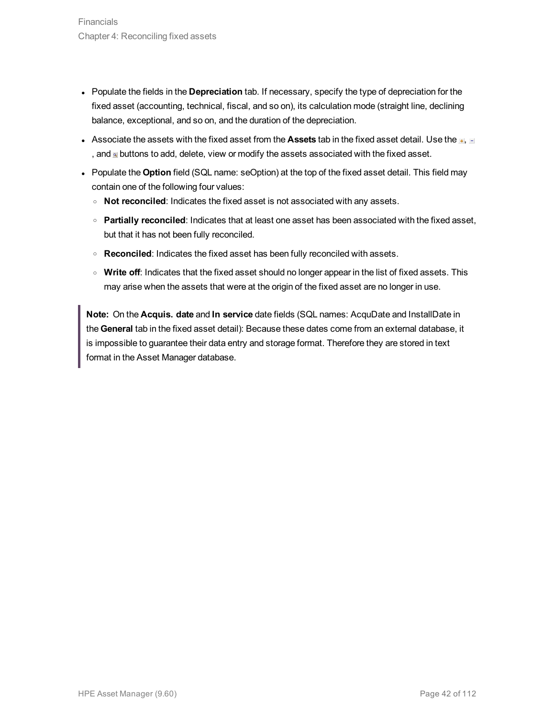- Populate the fields in the **Depreciation** tab. If necessary, specify the type of depreciation for the fixed asset (accounting, technical, fiscal, and so on), its calculation mode (straight line, declining balance, exceptional, and so on, and the duration of the depreciation.
- **Associate the assets with the fixed asset from the Assets tab in the fixed asset detail. Use the**  $\mathbb{H}$ **,**  $\mathbb{H}$ , and  $\blacksquare$  buttons to add, delete, view or modify the assets associated with the fixed asset.
- Populate the **Option** field (SQL name: seOption) at the top of the fixed asset detail. This field may contain one of the following four values:
	- <sup>o</sup> **Not reconciled**: Indicates the fixed asset is not associated with any assets.
	- <sup>o</sup> **Partially reconciled**: Indicates that at least one asset has been associated with the fixed asset, but that it has not been fully reconciled.
	- o **Reconciled**: Indicates the fixed asset has been fully reconciled with assets.
	- <sup>o</sup> **Write off**: Indicates that the fixed asset should no longer appear in the list of fixed assets. This may arise when the assets that were at the origin of the fixed asset are no longer in use.

**Note:** On the **Acquis. date** and **In service** date fields (SQL names: AcquDate and InstallDate in the **General** tab in the fixed asset detail): Because these dates come from an external database, it is impossible to guarantee their data entry and storage format. Therefore they are stored in text format in the Asset Manager database.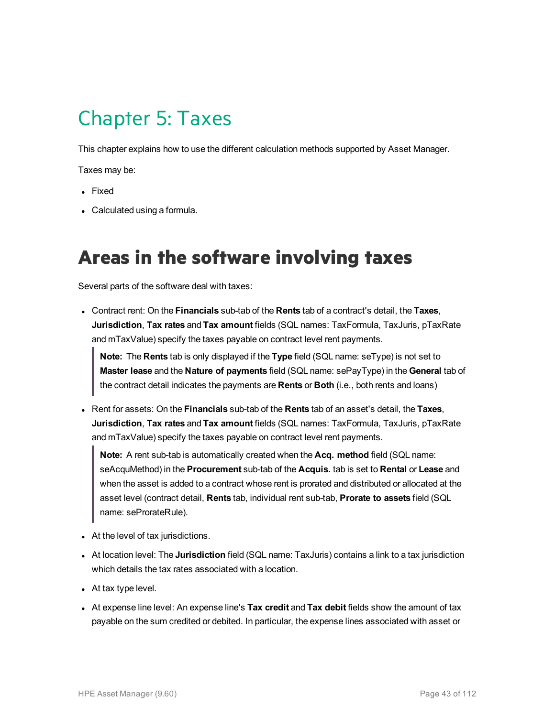# Chapter 5: Taxes

This chapter explains how to use the different calculation methods supported by Asset Manager.

Taxes may be:

- Fixed
- Calculated using a formula.

### **Areas in the software involving taxes**

Several parts of the software deal with taxes:

<sup>l</sup> Contract rent: On the **Financials** sub-tab of the **Rents** tab of a contract's detail, the **Taxes**, **Jurisdiction**, **Tax rates** and **Tax amount** fields (SQL names: TaxFormula, TaxJuris, pTaxRate and mTaxValue) specify the taxes payable on contract level rent payments.

**Note:** The **Rents** tab is only displayed if the **Type** field (SQL name: seType) is not set to **Master lease** and the **Nature of payments** field (SQL name: sePayType) in the **General** tab of the contract detail indicates the payments are **Rents** or **Both** (i.e., both rents and loans)

<sup>l</sup> Rent for assets: On the **Financials** sub-tab of the **Rents** tab of an asset's detail, the **Taxes**, **Jurisdiction**, **Tax rates** and **Tax amount** fields (SQL names: TaxFormula, TaxJuris, pTaxRate and mTaxValue) specify the taxes payable on contract level rent payments.

**Note:** A rent sub-tab is automatically created when the **Acq. method** field (SQL name: seAcquMethod) in the **Procurement** sub-tab of the **Acquis.** tab is set to **Rental** or **Lease** and when the asset is added to a contract whose rent is prorated and distributed or allocated at the asset level (contract detail, **Rents** tab, individual rent sub-tab, **Prorate to assets** field (SQL name: seProrateRule).

- At the level of tax jurisdictions.
- **-** At location level: The **Jurisdiction** field (SQL name: TaxJuris) contains a link to a tax jurisdiction which details the tax rates associated with a location.
- At tax type level.
- <sup>l</sup> At expense line level: An expense line's **Tax credit** and **Tax debit** fields show the amount of tax payable on the sum credited or debited. In particular, the expense lines associated with asset or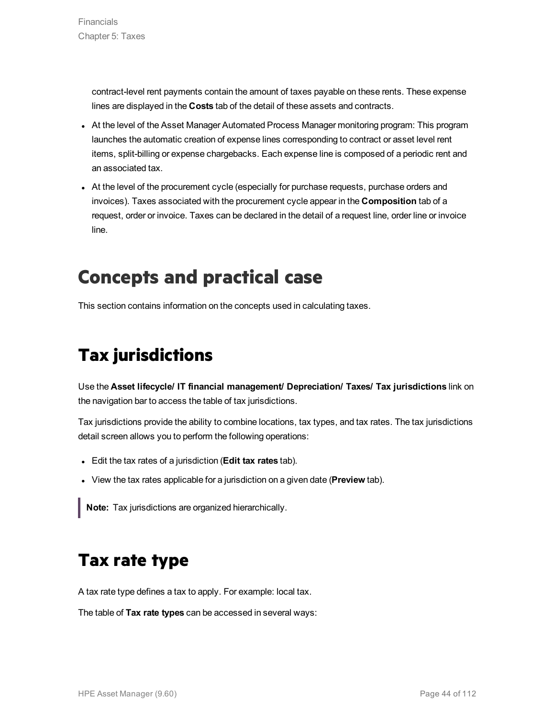contract-level rent payments contain the amount of taxes payable on these rents. These expense lines are displayed in the **Costs** tab of the detail of these assets and contracts.

- At the level of the Asset Manager Automated Process Manager monitoring program: This program launches the automatic creation of expense lines corresponding to contract or asset level rent items, split-billing or expense chargebacks. Each expense line is composed of a periodic rent and an associated tax.
- At the level of the procurement cycle (especially for purchase requests, purchase orders and invoices). Taxes associated with the procurement cycle appear in the **Composition** tab of a request, order or invoice. Taxes can be declared in the detail of a request line, order line or invoice line.

### **Concepts and practical case**

This section contains information on the concepts used in calculating taxes.

# **Tax jurisdictions**

Use the **Asset lifecycle/ IT financial management/ Depreciation/ Taxes/ Tax jurisdictions** link on the navigation bar to access the table of tax jurisdictions.

Tax jurisdictions provide the ability to combine locations, tax types, and tax rates. The tax jurisdictions detail screen allows you to perform the following operations:

- <sup>l</sup> Edit the tax rates of a jurisdiction (**Edit tax rates** tab).
- **.** View the tax rates applicable for a jurisdiction on a given date (**Preview** tab).

**Note:** Tax jurisdictions are organized hierarchically.

### **Tax rate type**

A tax rate type defines a tax to apply. For example: local tax.

The table of **Tax rate types** can be accessed in several ways: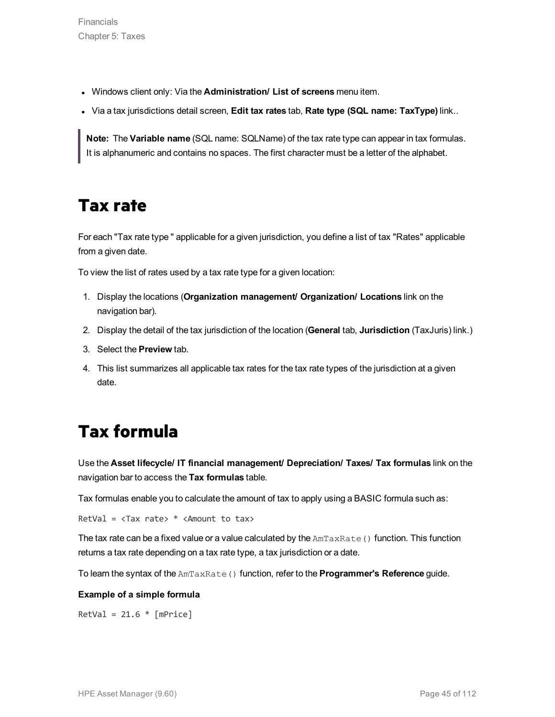- <sup>l</sup> Windows client only: Via the **Administration/ List of screens** menu item.
- <sup>l</sup> Via a tax jurisdictions detail screen, **Edit tax rates** tab, **Rate type (SQL name: TaxType)** link..

**Note:** The **Variable name** (SQL name: SQLName) of the tax rate type can appear in tax formulas. It is alphanumeric and contains no spaces. The first character must be a letter of the alphabet.

### **Tax rate**

For each "Tax rate type " applicable for a given jurisdiction, you define a list of tax "Rates" applicable from a given date.

To view the list of rates used by a tax rate type for a given location:

- 1. Display the locations (**Organization management/ Organization/ Locations** link on the navigation bar).
- 2. Display the detail of the tax jurisdiction of the location (**General** tab, **Jurisdiction** (TaxJuris) link.)
- 3. Select the **Preview** tab.
- 4. This list summarizes all applicable tax rates for the tax rate types of the jurisdiction at a given date.

### **Tax formula**

Use the **Asset lifecycle/ IT financial management/ Depreciation/ Taxes/ Tax formulas** link on the navigation bar to access the **Tax formulas** table.

Tax formulas enable you to calculate the amount of tax to apply using a BASIC formula such as:

RetVal =  $\langle$ Tax rate>  $*$   $\langle$ Amount to tax>

The tax rate can be a fixed value or a value calculated by the  $AmTaskRate$  () function. This function returns a tax rate depending on a tax rate type, a tax jurisdiction or a date.

To learn the syntax of the AmTaxRate() function, refer to the **Programmer's Reference** guide.

#### **Example of a simple formula**

 $RetVal = 21.6 * [mPrice]$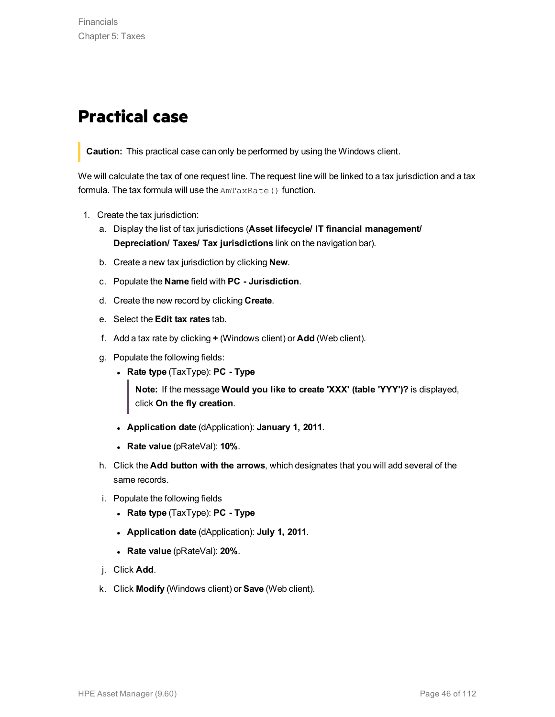### **Practical case**

**Caution:** This practical case can only be performed by using the Windows client.

We will calculate the tax of one request line. The request line will be linked to a tax jurisdiction and a tax formula. The tax formula will use the AmTaxRate() function.

- 1. Create the tax jurisdiction:
	- a. Display the list of tax jurisdictions (**Asset lifecycle/ IT financial management/ Depreciation/ Taxes/ Tax jurisdictions** link on the navigation bar).
	- b. Create a new tax jurisdiction by clicking **New**.
	- c. Populate the **Name** field with **PC - Jurisdiction**.
	- d. Create the new record by clicking **Create**.
	- e. Select the **Edit tax rates** tab.
	- f. Add a tax rate by clicking **+** (Windows client) or **Add** (Web client).
	- g. Populate the following fields:
		- <sup>l</sup> **Rate type** (TaxType): **PC - Type**

**Note:** If the message **Would you like to create 'XXX' (table 'YYY')?** is displayed, click **On the fly creation**.

- <sup>l</sup> **Application date** (dApplication): **January 1, 2011**.
- <sup>l</sup> **Rate value** (pRateVal): **10%**.
- h. Click the **Add button with the arrows**, which designates that you will add several of the same records.
- i. Populate the following fields
	- <sup>l</sup> **Rate type** (TaxType): **PC - Type**
	- <sup>l</sup> **Application date** (dApplication): **July 1, 2011**.
	- <sup>l</sup> **Rate value** (pRateVal): **20%**.
- j. Click **Add**.
- k. Click **Modify** (Windows client) or **Save** (Web client).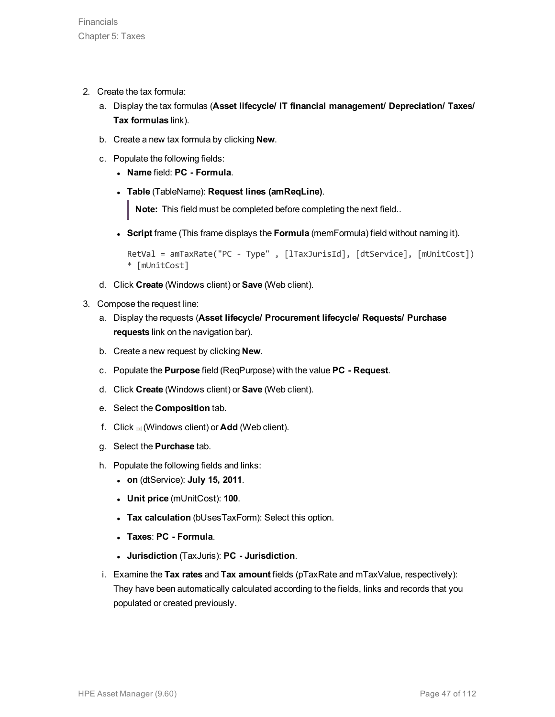- 2. Create the tax formula:
	- a. Display the tax formulas (**Asset lifecycle/ IT financial management/ Depreciation/ Taxes/ Tax formulas** link).
	- b. Create a new tax formula by clicking **New**.
	- c. Populate the following fields:
		- <sup>l</sup> **Name** field: **PC - Formula**.
		- <sup>l</sup> **Table** (TableName): **Request lines (amReqLine)**.

**Note:** This field must be completed before completing the next field..

<sup>l</sup> **Script** frame (This frame displays the **Formula** (memFormula) field without naming it).

```
RetVal = amTaxRate("PC - Type" , [lTaxJurisId], [dtService], [mUnitCost])
* [mUnitCost]
```
- d. Click **Create** (Windows client) or **Save** (Web client).
- 3. Compose the request line:
	- a. Display the requests (**Asset lifecycle/ Procurement lifecycle/ Requests/ Purchase requests** link on the navigation bar).
	- b. Create a new request by clicking **New**.
	- c. Populate the **Purpose** field (ReqPurpose) with the value **PC - Request**.
	- d. Click **Create** (Windows client) or **Save** (Web client).
	- e. Select the **Composition** tab.
	- f. Click (Windows client) or **Add** (Web client).
	- g. Select the **Purchase** tab.
	- h. Populate the following fields and links:
		- <sup>l</sup> **on** (dtService): **July 15, 2011**.
		- <sup>l</sup> **Unit price** (mUnitCost): **100**.
		- **Tax calculation** (bUsesTaxForm): Select this option.
		- <sup>l</sup> **Taxes**: **PC - Formula**.
		- <sup>l</sup> **Jurisdiction** (TaxJuris): **PC - Jurisdiction**.
	- i. Examine the **Tax rates** and **Tax amount** fields (pTaxRate and mTaxValue, respectively): They have been automatically calculated according to the fields, links and records that you populated or created previously.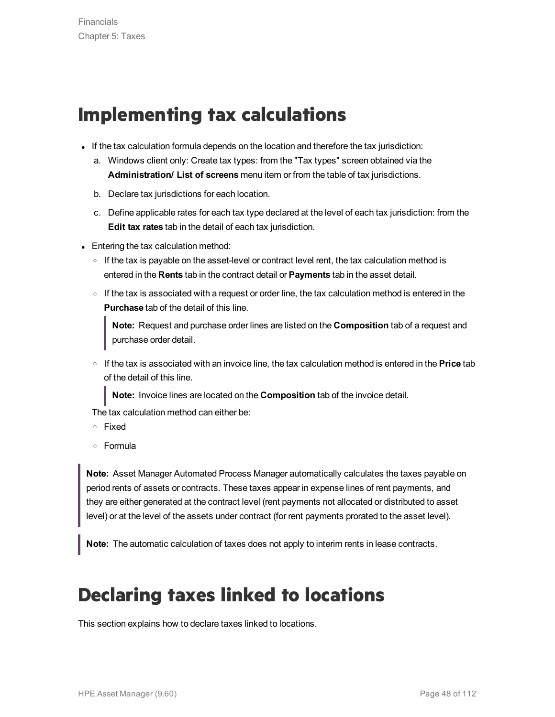# **Implementing tax calculations**

- If the tax calculation formula depends on the location and therefore the tax jurisdiction:
	- a. Windows client only: Create tax types: from the "Tax types" screen obtained via the **Administration/ List of screens** menu item or from the table of tax jurisdictions.
	- b. Declare tax jurisdictions for each location.
	- c. Define applicable rates for each tax type declared at the level of each tax jurisdiction: from the **Edit tax rates** tab in the detail of each tax jurisdiction.
- Entering the tax calculation method:
	- $\circ$  If the tax is payable on the asset-level or contract level rent, the tax calculation method is entered in the **Rents** tab in the contract detail or **Payments** tab in the asset detail.
	- $\circ$  If the tax is associated with a request or order line, the tax calculation method is entered in the **Purchase** tab of the detail of this line.

**Note:** Request and purchase order lines are listed on the **Composition** tab of a request and purchase order detail.

<sup>o</sup> If the tax is associated with an invoice line, the tax calculation method is entered in the **Price** tab of the detail of this line.

**Note:** Invoice lines are located on the **Composition** tab of the invoice detail.

The tax calculation method can either be:

- <sup>o</sup> Fixed
- <sup>o</sup> Formula

**Note:** Asset Manager Automated Process Manager automatically calculates the taxes payable on period rents of assets or contracts. These taxes appear in expense lines of rent payments, and they are either generated at the contract level (rent payments not allocated or distributed to asset level) or at the level of the assets under contract (for rent payments prorated to the asset level).

**Note:** The automatic calculation of taxes does not apply to interim rents in lease contracts.

# **Declaring taxes linked to locations**

This section explains how to declare taxes linked to locations.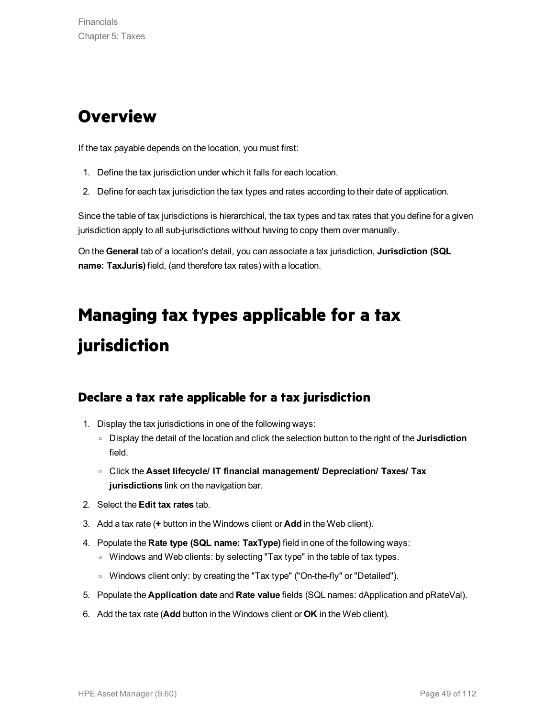### **Overview**

If the tax payable depends on the location, you must first:

- 1. Define the tax jurisdiction under which it falls for each location.
- 2. Define for each tax jurisdiction the tax types and rates according to their date of application.

Since the table of tax jurisdictions is hierarchical, the tax types and tax rates that you define for a given jurisdiction apply to all sub-jurisdictions without having to copy them over manually.

On the **General** tab of a location's detail, you can associate a tax jurisdiction, **Jurisdiction (SQL name: TaxJuris)** field, (and therefore tax rates) with a location.

# **Managing tax types applicable for a tax jurisdiction**

#### **Declare a tax rate applicable for a tax jurisdiction**

- 1. Display the tax jurisdictions in one of the following ways:
	- <sup>o</sup> Display the detail of the location and click the selection button to the right of the **Jurisdiction** field.
	- <sup>o</sup> Click the **Asset lifecycle/ IT financial management/ Depreciation/ Taxes/ Tax jurisdictions** link on the navigation bar.
- 2. Select the **Edit tax rates** tab.
- 3. Add a tax rate (**+** button in the Windows client or **Add** in the Web client).
- 4. Populate the **Rate type (SQL name: TaxType)** field in one of the following ways:
	- o Windows and Web clients: by selecting "Tax type" in the table of tax types.
	- <sup>o</sup> Windows client only: by creating the "Tax type" ("On-the-fly" or "Detailed").
- 5. Populate the **Application date** and **Rate value** fields (SQL names: dApplication and pRateVal).
- 6. Add the tax rate (**Add** button in the Windows client or **OK** in the Web client).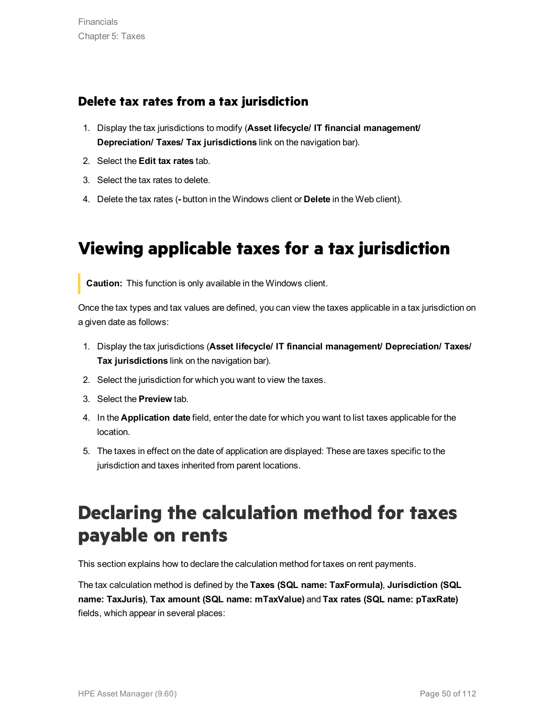#### **Delete tax rates from a tax jurisdiction**

- 1. Display the tax jurisdictions to modify (**Asset lifecycle/ IT financial management/ Depreciation/ Taxes/ Tax jurisdictions** link on the navigation bar).
- 2. Select the **Edit tax rates** tab.
- 3. Select the tax rates to delete.
- 4. Delete the tax rates (**-** button in the Windows client or **Delete** in the Web client).

## **Viewing applicable taxes for a tax jurisdiction**

**Caution:** This function is only available in the Windows client.

Once the tax types and tax values are defined, you can view the taxes applicable in a tax jurisdiction on a given date as follows:

- 1. Display the tax jurisdictions (**Asset lifecycle/ IT financial management/ Depreciation/ Taxes/ Tax jurisdictions** link on the navigation bar).
- 2. Select the jurisdiction for which you want to view the taxes.
- 3. Select the **Preview** tab.
- 4. In the **Application date** field, enter the date for which you want to list taxes applicable for the location.
- 5. The taxes in effect on the date of application are displayed: These are taxes specific to the jurisdiction and taxes inherited from parent locations.

# **Declaring the calculation method for taxes payable on rents**

This section explains how to declare the calculation method for taxes on rent payments.

The tax calculation method is defined by the **Taxes (SQL name: TaxFormula)**, **Jurisdiction (SQL name: TaxJuris)**, **Tax amount (SQL name: mTaxValue)** and **Tax rates (SQL name: pTaxRate)** fields, which appear in several places: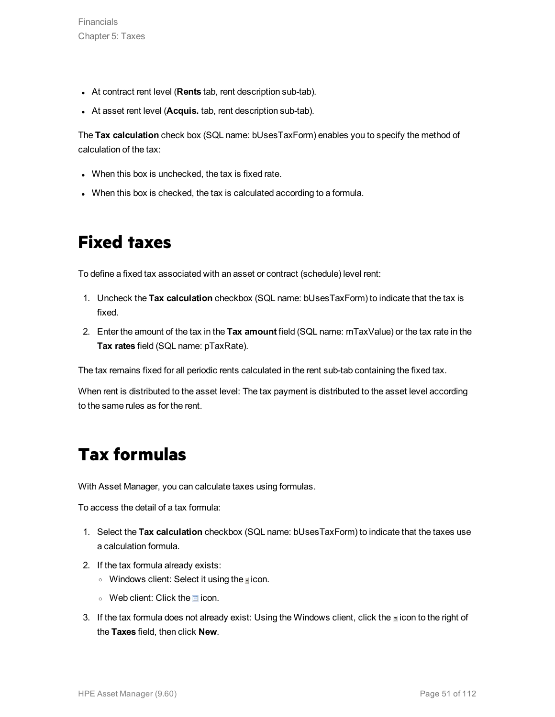- **At contract rent level (Rents tab, rent description sub-tab).**
- **At asset rent level (Acquis.** tab, rent description sub-tab).

The **Tax calculation** check box (SQL name: bUsesTaxForm) enables you to specify the method of calculation of the tax:

- When this box is unchecked, the tax is fixed rate.
- When this box is checked, the tax is calculated according to a formula.

### **Fixed taxes**

To define a fixed tax associated with an asset or contract (schedule) level rent:

- 1. Uncheck the **Tax calculation** checkbox (SQL name: bUsesTaxForm) to indicate that the tax is fixed.
- 2. Enter the amount of the tax in the **Tax amount** field (SQL name: mTaxValue) or the tax rate in the **Tax rates** field (SQL name: pTaxRate).

The tax remains fixed for all periodic rents calculated in the rent sub-tab containing the fixed tax.

When rent is distributed to the asset level: The tax payment is distributed to the asset level according to the same rules as for the rent.

### **Tax formulas**

With Asset Manager, you can calculate taxes using formulas.

To access the detail of a tax formula:

- 1. Select the **Tax calculation** checkbox (SQL name: bUsesTaxForm) to indicate that the taxes use a calculation formula.
- 2. If the tax formula already exists:
	- $\circ$  Windows client: Select it using the **i** icon.
	- $\circ$  Web client: Click the  $\Box$  icon.
- 3. If the tax formula does not already exist: Using the Windows client, click the **i** icon to the right of the **Taxes** field, then click **New**.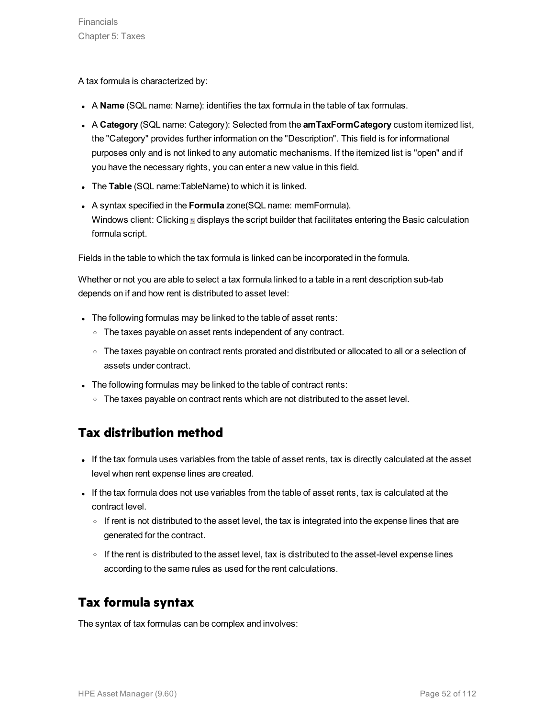A tax formula is characterized by:

- <sup>l</sup> A **Name** (SQL name: Name): identifies the tax formula in the table of tax formulas.
- <sup>l</sup> A **Category** (SQL name: Category): Selected from the **amTaxFormCategory** custom itemized list, the "Category" provides further information on the "Description". This field is for informational purposes only and is not linked to any automatic mechanisms. If the itemized list is "open" and if you have the necessary rights, you can enter a new value in this field.
- **The Table** (SQL name: TableName) to which it is linked.
- **A** syntax specified in the **Formula** zone(SQL name: memFormula). Windows client: Clicking  $\mathbb{I}$  displays the script builder that facilitates entering the Basic calculation formula script.

Fields in the table to which the tax formula is linked can be incorporated in the formula.

Whether or not you are able to select a tax formula linked to a table in a rent description sub-tab depends on if and how rent is distributed to asset level:

- The following formulas may be linked to the table of asset rents:
	- The taxes payable on asset rents independent of any contract.
	- <sup>o</sup> The taxes payable on contract rents prorated and distributed or allocated to all or a selection of assets under contract.
- The following formulas may be linked to the table of contract rents:
	- $\circ$  The taxes payable on contract rents which are not distributed to the asset level.

### **Tax distribution method**

- If the tax formula uses variables from the table of asset rents, tax is directly calculated at the asset level when rent expense lines are created.
- If the tax formula does not use variables from the table of asset rents, tax is calculated at the contract level.
	- $\circ$  If rent is not distributed to the asset level, the tax is integrated into the expense lines that are generated for the contract.
	- $\circ$  If the rent is distributed to the asset level, tax is distributed to the asset-level expense lines according to the same rules as used for the rent calculations.

### **Tax formula syntax**

The syntax of tax formulas can be complex and involves: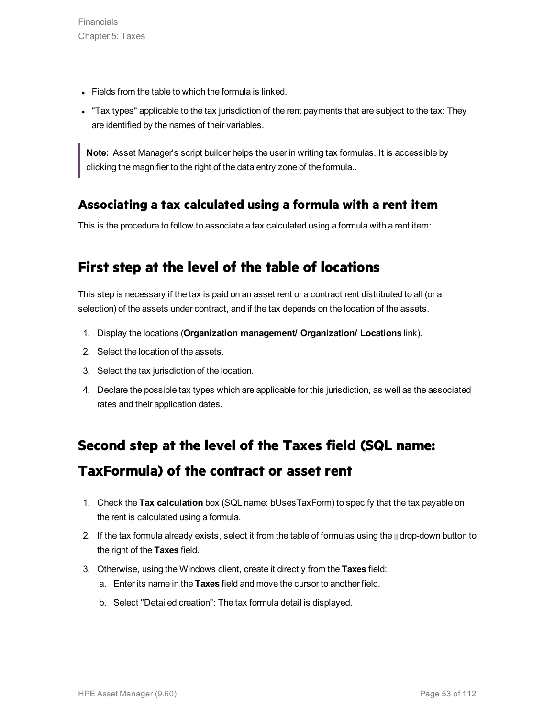- Fields from the table to which the formula is linked.
- "Tax types" applicable to the tax jurisdiction of the rent payments that are subject to the tax: They are identified by the names of their variables.

**Note:** Asset Manager's script builder helps the user in writing tax formulas. It is accessible by clicking the magnifier to the right of the data entry zone of the formula..

#### **Associating a tax calculated using a formula with a rent item**

This is the procedure to follow to associate a tax calculated using a formula with a rent item:

### **First step at the level of the table of locations**

This step is necessary if the tax is paid on an asset rent or a contract rent distributed to all (or a selection) of the assets under contract, and if the tax depends on the location of the assets.

- 1. Display the locations (**Organization management/ Organization/ Locations** link).
- 2. Select the location of the assets.
- 3. Select the tax jurisdiction of the location.
- 4. Declare the possible tax types which are applicable for this jurisdiction, as well as the associated rates and their application dates.

### **Second step at the level of the Taxes field (SQL name: TaxFormula) of the contract or asset rent**

- 1. Check the **Tax calculation** box (SQL name: bUsesTaxForm) to specify that the tax payable on the rent is calculated using a formula.
- 2. If the tax formula already exists, select it from the table of formulas using the  $\mathbb I$  drop-down button to the right of the **Taxes** field.
- 3. Otherwise, using the Windows client, create it directly from the **Taxes** field:
	- a. Enter its name in the **Taxes** field and move the cursor to another field.
	- b. Select "Detailed creation": The tax formula detail is displayed.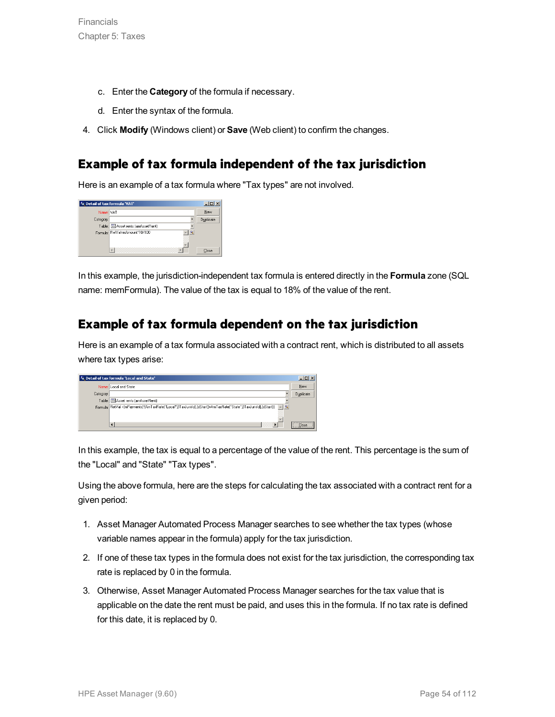- c. Enter the **Category** of the formula if necessary.
- d. Enter the syntax of the formula.
- 4. Click **Modify** (Windows client) or **Save** (Web client) to confirm the changes.

#### **Example of tax formula independent of the tax jurisdiction**

Here is an example of a tax formula where "Tax types" are not involved.

| <b>Fo</b> Detail of tax formula 'VAT' |                                            | $\Box$ o $\times$ |
|---------------------------------------|--------------------------------------------|-------------------|
| Name: VAT                             |                                            | New               |
| Category:                             |                                            | Duplicate         |
|                                       | Table:           Asset rents (amAssetRent) |                   |
|                                       | Formula: RetVal=mAmount*18/100             |                   |
|                                       | m<br>▩                                     | Close             |

In this example, the jurisdiction-independent tax formula is entered directly in the **Formula** zone (SQL name: memFormula). The value of the tax is equal to 18% of the value of the rent.

#### **Example of tax formula dependent on the tax jurisdiction**

Here is an example of a tax formula associated with a contract rent, which is distributed to all assets where tax types arise:

| <b>Fe</b> Detail of tax formula 'Local and State' |                                                                                                                        |           |
|---------------------------------------------------|------------------------------------------------------------------------------------------------------------------------|-----------|
|                                                   | Name: Local and State                                                                                                  | New       |
| Category:                                         |                                                                                                                        | Duplicate |
|                                                   | Table: El Asset rents (amAssetRent)                                                                                    |           |
|                                                   | Formula: RetVal =[mPayments]"(AmTaxRate("Local",[ITaxJurisId],[dStart]]+AmTaxRate("State",[ITaxJurisId],[dStart]]) = 9 |           |
|                                                   | $\overline{\bullet}$                                                                                                   | Close     |

In this example, the tax is equal to a percentage of the value of the rent. This percentage is the sum of the "Local" and "State" "Tax types".

Using the above formula, here are the steps for calculating the tax associated with a contract rent for a given period:

- 1. Asset Manager Automated Process Manager searches to see whether the tax types (whose variable names appear in the formula) apply for the tax jurisdiction.
- 2. If one of these tax types in the formula does not exist for the tax jurisdiction, the corresponding tax rate is replaced by 0 in the formula.
- 3. Otherwise, Asset Manager Automated Process Manager searches for the tax value that is applicable on the date the rent must be paid, and uses this in the formula. If no tax rate is defined for this date, it is replaced by 0.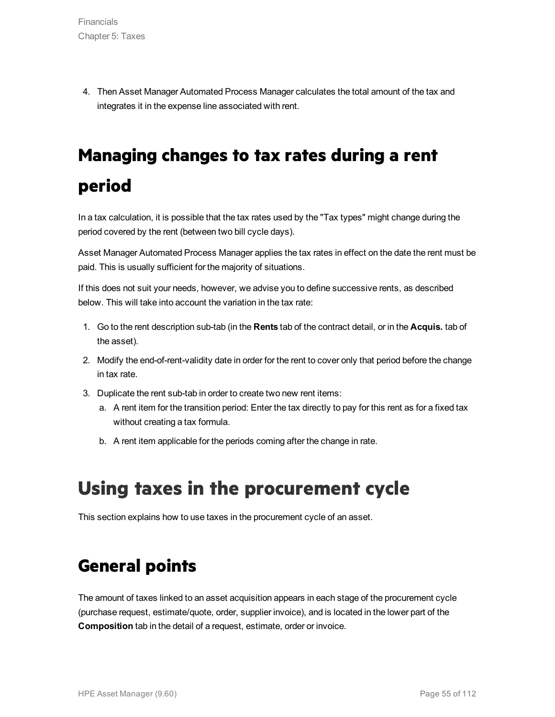4. Then Asset Manager Automated Process Manager calculates the total amount of the tax and integrates it in the expense line associated with rent.

# **Managing changes to tax rates during a rent period**

In a tax calculation, it is possible that the tax rates used by the "Tax types" might change during the period covered by the rent (between two bill cycle days).

Asset Manager Automated Process Manager applies the tax rates in effect on the date the rent must be paid. This is usually sufficient for the majority of situations.

If this does not suit your needs, however, we advise you to define successive rents, as described below. This will take into account the variation in the tax rate:

- 1. Go to the rent description sub-tab (in the **Rents** tab of the contract detail, or in the **Acquis.** tab of the asset).
- 2. Modify the end-of-rent-validity date in order for the rent to cover only that period before the change in tax rate.
- 3. Duplicate the rent sub-tab in order to create two new rent items:
	- a. A rent item for the transition period: Enter the tax directly to pay for this rent as for a fixed tax without creating a tax formula.
	- b. A rent item applicable for the periods coming after the change in rate.

# **Using taxes in the procurement cycle**

This section explains how to use taxes in the procurement cycle of an asset.

### **General points**

The amount of taxes linked to an asset acquisition appears in each stage of the procurement cycle (purchase request, estimate/quote, order, supplier invoice), and is located in the lower part of the **Composition** tab in the detail of a request, estimate, order or invoice.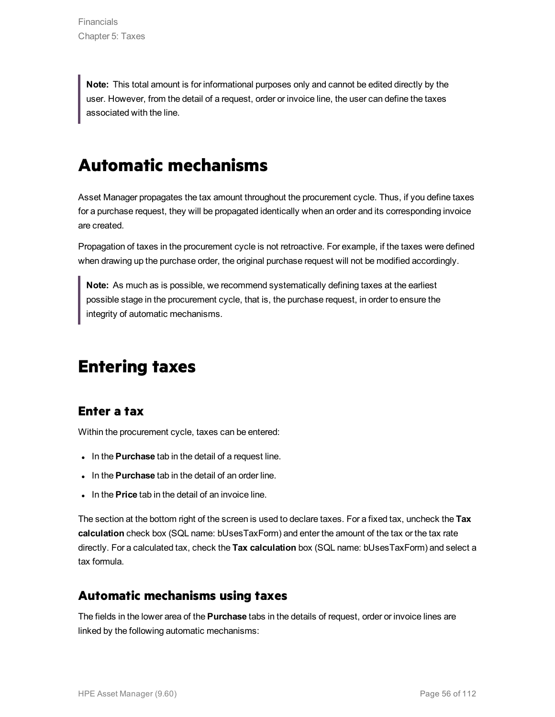**Note:** This total amount is for informational purposes only and cannot be edited directly by the user. However, from the detail of a request, order or invoice line, the user can define the taxes associated with the line.

### **Automatic mechanisms**

Asset Manager propagates the tax amount throughout the procurement cycle. Thus, if you define taxes for a purchase request, they will be propagated identically when an order and its corresponding invoice are created.

Propagation of taxes in the procurement cycle is not retroactive. For example, if the taxes were defined when drawing up the purchase order, the original purchase request will not be modified accordingly.

**Note:** As much as is possible, we recommend systematically defining taxes at the earliest possible stage in the procurement cycle, that is, the purchase request, in order to ensure the integrity of automatic mechanisms.

### **Entering taxes**

#### **Enter a tax**

Within the procurement cycle, taxes can be entered:

- . In the **Purchase** tab in the detail of a request line.
- In the **Purchase** tab in the detail of an order line.
- . In the **Price** tab in the detail of an invoice line.

The section at the bottom right of the screen is used to declare taxes. For a fixed tax, uncheck the **Tax calculation** check box (SQL name: bUsesTaxForm) and enter the amount of the tax or the tax rate directly. For a calculated tax, check the **Tax calculation** box (SQL name: bUsesTaxForm) and select a tax formula.

#### **Automatic mechanisms using taxes**

The fields in the lower area of the **Purchase** tabs in the details of request, order or invoice lines are linked by the following automatic mechanisms: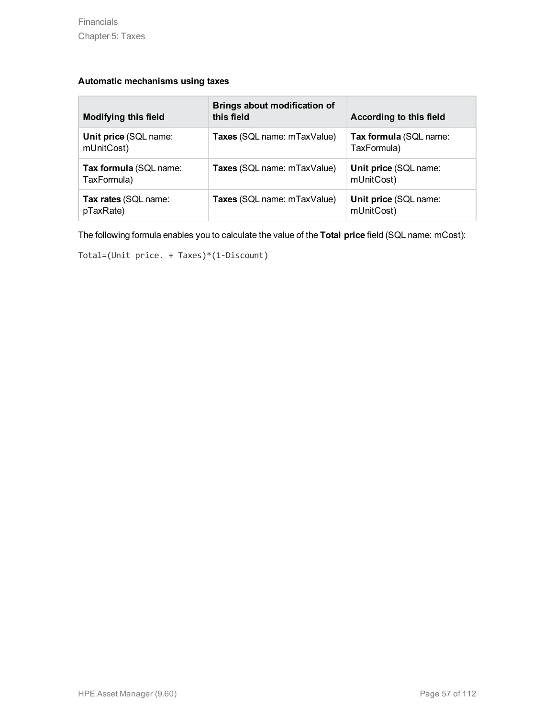#### **Automatic mechanisms using taxes**

| <b>Modifying this field</b>           | Brings about modification of<br>this field | According to this field               |
|---------------------------------------|--------------------------------------------|---------------------------------------|
| Unit price (SQL name:<br>mUnitCost)   | Taxes (SQL name: mTaxValue)                | Tax formula (SQL name:<br>TaxFormula) |
| Tax formula (SQL name:<br>TaxFormula) | Taxes (SQL name: mTaxValue)                | Unit price (SQL name:<br>mUnitCost)   |
| Tax rates (SQL name:<br>pTaxRate)     | Taxes (SQL name: mTaxValue)                | Unit price (SQL name:<br>mUnitCost)   |

The following formula enables you to calculate the value of the **Total price** field (SQL name: mCost):

Total=(Unit price. + Taxes)\*(1-Discount)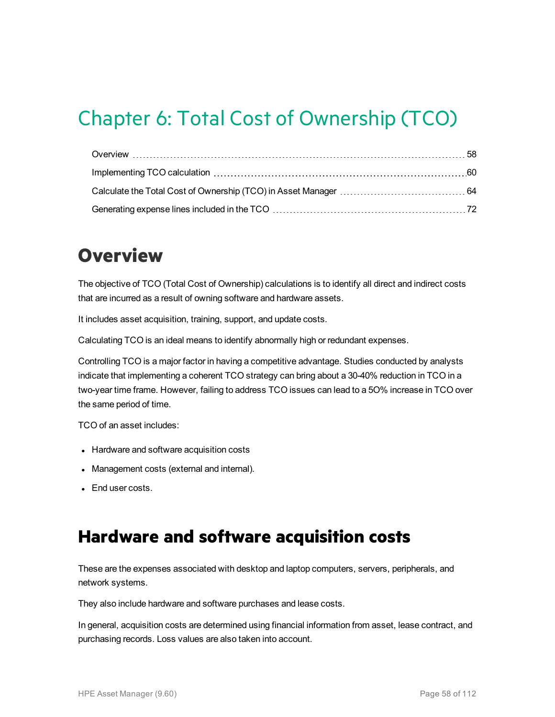# Chapter 6: Total Cost of Ownership (TCO)

# <span id="page-57-0"></span>**Overview**

The objective of TCO (Total Cost of Ownership) calculations is to identify all direct and indirect costs that are incurred as a result of owning software and hardware assets.

It includes asset acquisition, training, support, and update costs.

Calculating TCO is an ideal means to identify abnormally high or redundant expenses.

Controlling TCO is a major factor in having a competitive advantage. Studies conducted by analysts indicate that implementing a coherent TCO strategy can bring about a 30-40% reduction in TCO in a two-year time frame. However, failing to address TCO issues can lead to a 5O% increase in TCO over the same period of time.

TCO of an asset includes:

- Hardware and software acquisition costs
- Management costs (external and internal).
- End user costs.

### **Hardware and software acquisition costs**

These are the expenses associated with desktop and laptop computers, servers, peripherals, and network systems.

They also include hardware and software purchases and lease costs.

In general, acquisition costs are determined using financial information from asset, lease contract, and purchasing records. Loss values are also taken into account.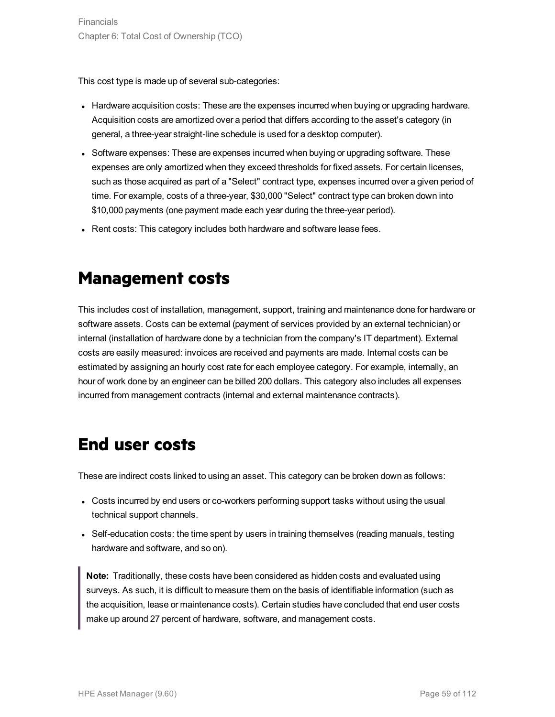This cost type is made up of several sub-categories:

- Hardware acquisition costs: These are the expenses incurred when buying or upgrading hardware. Acquisition costs are amortized over a period that differs according to the asset's category (in general, a three-year straight-line schedule is used for a desktop computer).
- Software expenses: These are expenses incurred when buying or upgrading software. These expenses are only amortized when they exceed thresholds for fixed assets. For certain licenses, such as those acquired as part of a "Select" contract type, expenses incurred over a given period of time. For example, costs of a three-year, \$30,000 "Select" contract type can broken down into \$10,000 payments (one payment made each year during the three-year period).
- Rent costs: This category includes both hardware and software lease fees.

### **Management costs**

This includes cost of installation, management, support, training and maintenance done for hardware or software assets. Costs can be external (payment of services provided by an external technician) or internal (installation of hardware done by a technician from the company's IT department). External costs are easily measured: invoices are received and payments are made. Internal costs can be estimated by assigning an hourly cost rate for each employee category. For example, internally, an hour of work done by an engineer can be billed 200 dollars. This category also includes all expenses incurred from management contracts (internal and external maintenance contracts).

### **End user costs**

These are indirect costs linked to using an asset. This category can be broken down as follows:

- Costs incurred by end users or co-workers performing support tasks without using the usual technical support channels.
- Self-education costs: the time spent by users in training themselves (reading manuals, testing hardware and software, and so on).

**Note:** Traditionally, these costs have been considered as hidden costs and evaluated using surveys. As such, it is difficult to measure them on the basis of identifiable information (such as the acquisition, lease or maintenance costs). Certain studies have concluded that end user costs make up around 27 percent of hardware, software, and management costs.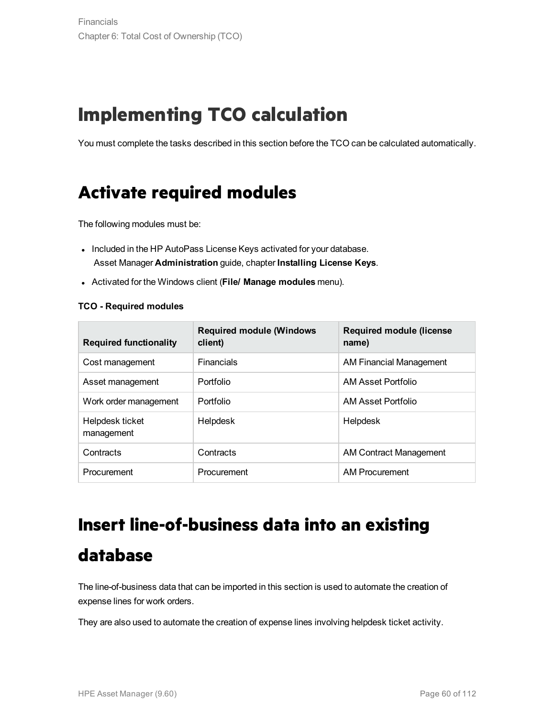# <span id="page-59-0"></span>**Implementing TCO calculation**

You must complete the tasks described in this section before the TCO can be calculated automatically.

### **Activate required modules**

The following modules must be:

- Included in the HP AutoPass License Keys activated for your database. Asset Manager **Administration** guide, chapter **Installing License Keys**.
- <sup>l</sup> Activated for the Windows client (**File/ Manage modules** menu).

#### **TCO - Required modules**

| <b>Required functionality</b> | <b>Required module (Windows</b><br>client) | Required module (license<br>name) |
|-------------------------------|--------------------------------------------|-----------------------------------|
| Cost management               | <b>Financials</b>                          | <b>AM Financial Management</b>    |
| Asset management              | Portfolio                                  | AM Asset Portfolio                |
| Work order management         | Portfolio                                  | AM Asset Portfolio                |
| Helpdesk ticket<br>management | Helpdesk                                   | Helpdesk                          |
| Contracts                     | Contracts                                  | AM Contract Management            |
| Procurement                   | Procurement                                | <b>AM Procurement</b>             |

# **Insert line-of-business data into an existing**

### **database**

The line-of-business data that can be imported in this section is used to automate the creation of expense lines for work orders.

They are also used to automate the creation of expense lines involving helpdesk ticket activity.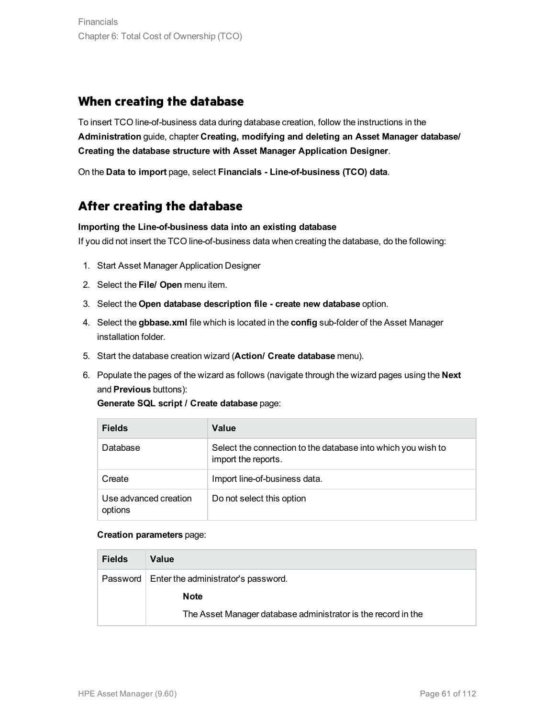#### **When creating the database**

To insert TCO line-of-business data during database creation, follow the instructions in the **Administration** guide, chapter **Creating, modifying and deleting an Asset Manager database/ Creating the database structure with Asset Manager Application Designer**.

On the **Data to import** page, select **Financials - Line-of-business (TCO) data**.

#### **After creating the database**

#### **Importing the Line-of-business data into an existing database**

If you did not insert the TCO line-of-business data when creating the database, do the following:

- 1. Start Asset Manager Application Designer
- 2. Select the **File/ Open** menu item.
- 3. Select the **Open database description file - create new database** option.
- 4. Select the **gbbase.xml** file which is located in the **config** sub-folder of the Asset Manager installation folder.
- 5. Start the database creation wizard (**Action/ Create database** menu).
- 6. Populate the pages of the wizard as follows (navigate through the wizard pages using the **Next** and **Previous** buttons):

**Generate SQL script / Create database** page:

| <b>Fields</b>                    | Value                                                                               |
|----------------------------------|-------------------------------------------------------------------------------------|
| Database                         | Select the connection to the database into which you wish to<br>import the reports. |
| Create                           | Import line-of-business data.                                                       |
| Use advanced creation<br>options | Do not select this option                                                           |

#### **Creation parameters** page:

| <b>Fields</b> | Value                                                         |  |
|---------------|---------------------------------------------------------------|--|
|               | Password   Enter the administrator's password.                |  |
|               | <b>Note</b>                                                   |  |
|               | The Asset Manager database administrator is the record in the |  |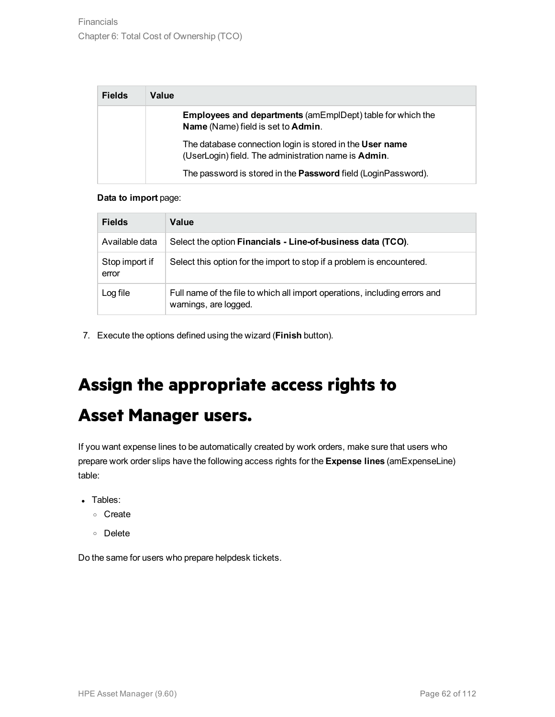| <b>Fields</b> | Value                                                                                                            |
|---------------|------------------------------------------------------------------------------------------------------------------|
|               | <b>Employees and departments (amEmplDept) table for which the</b><br>Name (Name) field is set to Admin.          |
|               | The database connection login is stored in the User name<br>(UserLogin) field. The administration name is Admin. |
|               | The password is stored in the Password field (LoginPassword).                                                    |

#### **Data to import** page:

| <b>Fields</b>           | Value                                                                                               |
|-------------------------|-----------------------------------------------------------------------------------------------------|
| Available data          | Select the option Financials - Line-of-business data (TCO).                                         |
| Stop import if<br>error | Select this option for the import to stop if a problem is encountered.                              |
| Log file                | Full name of the file to which all import operations, including errors and<br>warnings, are logged. |

7. Execute the options defined using the wizard (**Finish** button).

# **Assign the appropriate access rights to**

### **Asset Manager users.**

If you want expense lines to be automatically created by work orders, make sure that users who prepare work order slips have the following access rights for the **Expense lines** (amExpenseLine) table:

- Tables:
	- <sup>o</sup> Create
	- <sup>o</sup> Delete

Do the same for users who prepare helpdesk tickets.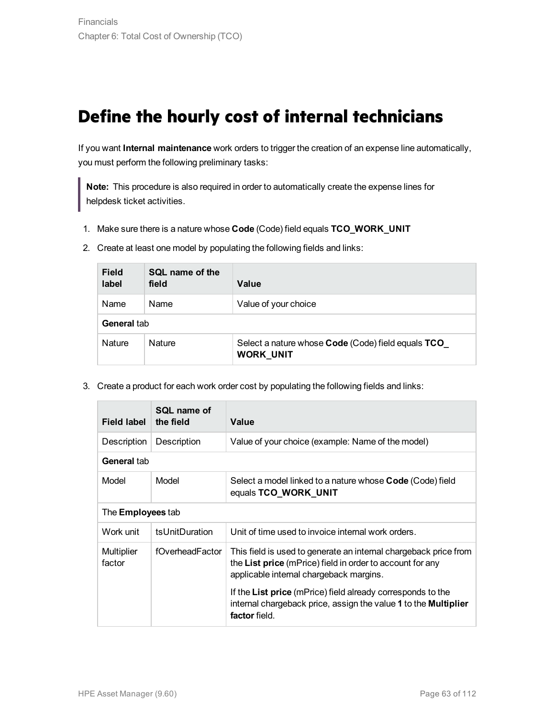### **Define the hourly cost of internal technicians**

If you want **Internal maintenance** work orders to trigger the creation of an expense line automatically, you must perform the following preliminary tasks:

**Note:** This procedure is also required in order to automatically create the expense lines for helpdesk ticket activities.

1. Make sure there is a nature whose **Code** (Code) field equals **TCO\_WORK\_UNIT**

| <b>Field</b><br>label | <b>SQL</b> name of the<br>field | Value                                                           |  |
|-----------------------|---------------------------------|-----------------------------------------------------------------|--|
| Name                  | Name                            | Value of your choice                                            |  |
|                       | General tab                     |                                                                 |  |
| Nature                | <b>Nature</b>                   | Select a nature whose Code (Code) field equals TCO<br>WORK UNIT |  |

2. Create at least one model by populating the following fields and links:

3. Create a product for each work order cost by populating the following fields and links:

| Field label          | SQL name of<br>the field | Value                                                                                                                                                                    |  |
|----------------------|--------------------------|--------------------------------------------------------------------------------------------------------------------------------------------------------------------------|--|
| Description          | Description              | Value of your choice (example: Name of the model)                                                                                                                        |  |
| General tab          |                          |                                                                                                                                                                          |  |
| Model                | Model                    | Select a model linked to a nature whose <b>Code</b> (Code) field<br>equals TCO_WORK_UNIT                                                                                 |  |
|                      | The <b>Employees</b> tab |                                                                                                                                                                          |  |
| Work unit            | tsUnitDuration           | Unit of time used to invoice internal work orders.                                                                                                                       |  |
| Multiplier<br>factor | fOverheadFactor          | This field is used to generate an internal chargeback price from<br>the List price (mPrice) field in order to account for any<br>applicable internal chargeback margins. |  |
|                      |                          | If the List price (mPrice) field already corresponds to the<br>internal chargeback price, assign the value 1 to the Multiplier<br>factor field.                          |  |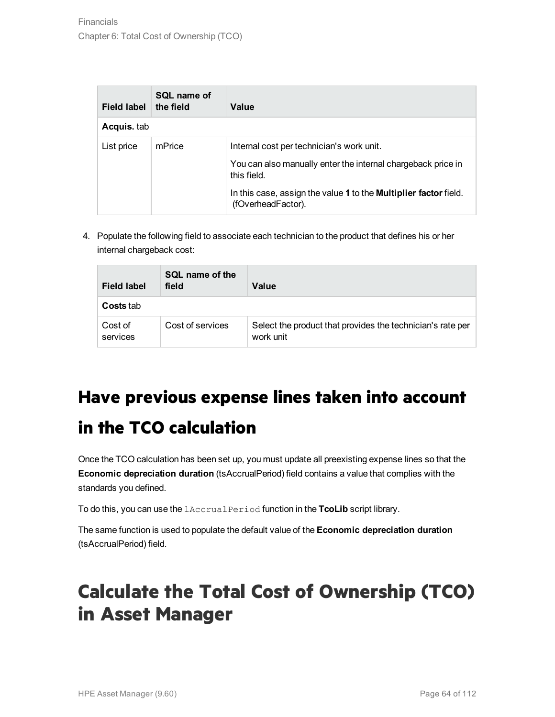| Field label | SQL name of<br>the field | Value                                                                                         |
|-------------|--------------------------|-----------------------------------------------------------------------------------------------|
| Acquis. tab |                          |                                                                                               |
| List price  | mPrice                   | Internal cost per technician's work unit.                                                     |
|             |                          | You can also manually enter the internal chargeback price in<br>this field.                   |
|             |                          | In this case, assign the value 1 to the <b>Multiplier factor</b> field.<br>(fOverheadFactor). |

4. Populate the following field to associate each technician to the product that defines his or her internal chargeback cost:

| <b>Field label</b>  | SQL name of the<br>field | Value                                                                   |
|---------------------|--------------------------|-------------------------------------------------------------------------|
| <b>Costs</b> tab    |                          |                                                                         |
| Cost of<br>services | Cost of services         | Select the product that provides the technician's rate per<br>work unit |

# **Have previous expense lines taken into account in the TCO calculation**

Once the TCO calculation has been set up, you must update all preexisting expense lines so that the **Economic depreciation duration** (tsAccrualPeriod) field contains a value that complies with the standards you defined.

To do this, you can use the lAccrualPeriod function in the **TcoLib** script library.

The same function is used to populate the default value of the **Economic depreciation duration** (tsAccrualPeriod) field.

# <span id="page-63-0"></span>**Calculate the Total Cost of Ownership (TCO) in Asset Manager**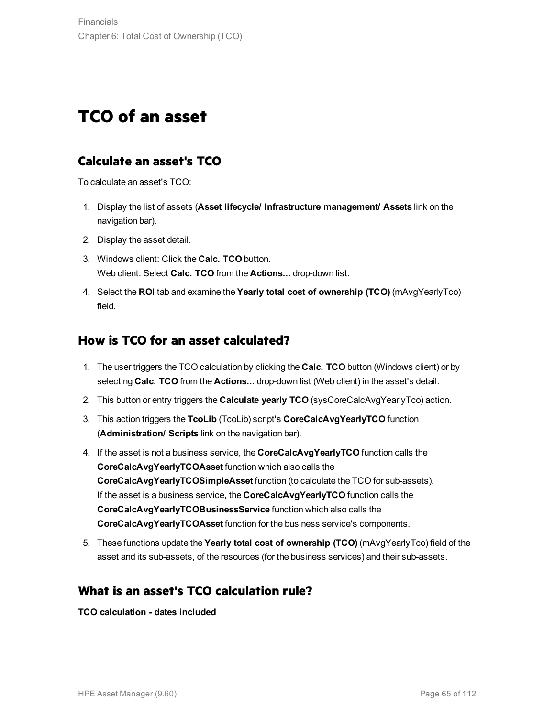## **TCO of an asset**

#### **Calculate an asset's TCO**

To calculate an asset's TCO:

- 1. Display the list of assets (**Asset lifecycle/ Infrastructure management/ Assets** link on the navigation bar).
- 2. Display the asset detail.
- 3. Windows client: Click the **Calc. TCO** button. Web client: Select **Calc. TCO** from the **Actions...** drop-down list.
- 4. Select the **ROI** tab and examine the **Yearly total cost of ownership (TCO)** (mAvgYearlyTco) field.

#### **How is TCO for an asset calculated?**

- 1. The user triggers the TCO calculation by clicking the **Calc. TCO** button (Windows client) or by selecting **Calc. TCO** from the **Actions...** drop-down list (Web client) in the asset's detail.
- 2. This button or entry triggers the **Calculate yearly TCO** (sysCoreCalcAvgYearlyTco) action.
- 3. This action triggers the **TcoLib** (TcoLib) script's **CoreCalcAvgYearlyTCO** function (**Administration/ Scripts** link on the navigation bar).
- 4. If the asset is not a business service, the **CoreCalcAvgYearlyTCO** function calls the **CoreCalcAvgYearlyTCOAsset** function which also calls the **CoreCalcAvgYearlyTCOSimpleAsset** function (to calculate the TCO for sub-assets). If the asset is a business service, the **CoreCalcAvgYearlyTCO** function calls the **CoreCalcAvgYearlyTCOBusinessService** function which also calls the **CoreCalcAvgYearlyTCOAsset** function for the business service's components.
- 5. These functions update the **Yearly total cost of ownership (TCO)** (mAvgYearlyTco) field of the asset and its sub-assets, of the resources (for the business services) and their sub-assets.

#### **What is an asset's TCO calculation rule?**

**TCO calculation - dates included**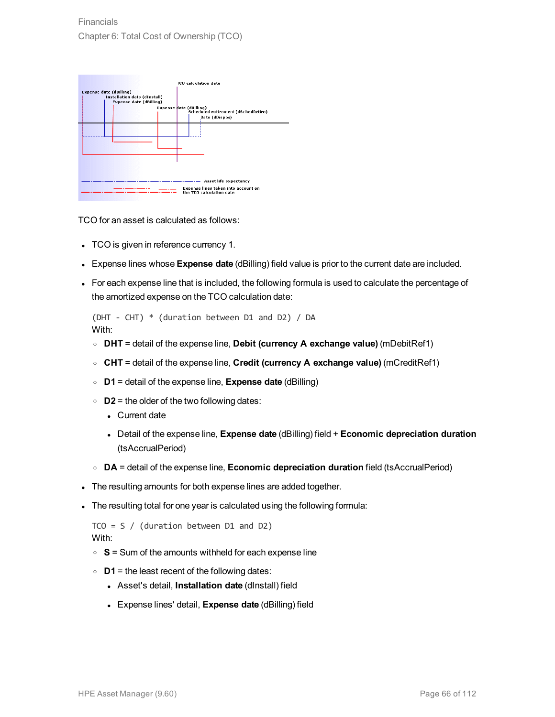| Expense date (dBilling)<br><b>Installation date (dInstall)</b><br><b>Expense date (dBilling)</b> | Expense date (dBilling) | <b>TCO</b> calculation date<br>Scheduled retirement (dSchedRetire)<br>Date (dDispos)     |
|--------------------------------------------------------------------------------------------------|-------------------------|------------------------------------------------------------------------------------------|
|                                                                                                  |                         | Asset life expectancy<br>Expense lines taken into account on<br>the TCO calculation date |

TCO for an asset is calculated as follows:

- TCO is given in reference currency 1.
- <sup>l</sup> Expense lines whose **Expense date** (dBilling) field value is prior to the current date are included.
- For each expense line that is included, the following formula is used to calculate the percentage of the amortized expense on the TCO calculation date:

```
(DHT - CHT) * (duration between D1 and D2) / DA
With:
```
- <sup>o</sup> **DHT** = detail of the expense line, **Debit (currency A exchange value)** (mDebitRef1)
- <sup>o</sup> **CHT** = detail of the expense line, **Credit (currency A exchange value)** (mCreditRef1)
- <sup>o</sup> **D1** = detail of the expense line, **Expense date** (dBilling)
- <sup>o</sup> **D2** = the older of the two following dates:
	- Current date
	- <sup>l</sup> Detail of the expense line, **Expense date** (dBilling) field + **Economic depreciation duration** (tsAccrualPeriod)
- <sup>o</sup> **DA** = detail of the expense line, **Economic depreciation duration** field (tsAccrualPeriod)
- The resulting amounts for both expense lines are added together.
- The resulting total for one year is calculated using the following formula:

```
TCO = S / (duration between D1 and D2)
With:
```
- <sup>o</sup> **S** = Sum of the amounts withheld for each expense line
- <sup>o</sup> **D1** = the least recent of the following dates:
	- <sup>l</sup> Asset's detail, **Installation date** (dInstall) field
	- <sup>l</sup> Expense lines' detail, **Expense date** (dBilling) field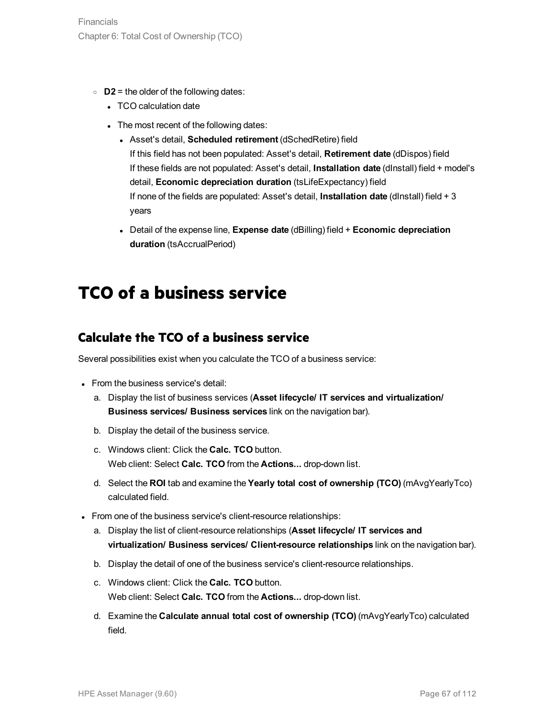- <sup>o</sup> **D2** = the older of the following dates:
	- TCO calculation date
	- The most recent of the following dates:
		- <sup>l</sup> Asset's detail, **Scheduled retirement** (dSchedRetire) field If this field has not been populated: Asset's detail, **Retirement date** (dDispos) field If these fields are not populated: Asset's detail, **Installation date** (dInstall) field + model's detail, **Economic depreciation duration** (tsLifeExpectancy) field If none of the fields are populated: Asset's detail, **Installation date** (dInstall) field + 3 years
		- <sup>l</sup> Detail of the expense line, **Expense date** (dBilling) field + **Economic depreciation duration** (tsAccrualPeriod)

### **TCO of a business service**

#### **Calculate the TCO of a business service**

Several possibilities exist when you calculate the TCO of a business service:

- From the business service's detail:
	- a. Display the list of business services (**Asset lifecycle/ IT services and virtualization/ Business services/ Business services** link on the navigation bar).
	- b. Display the detail of the business service.
	- c. Windows client: Click the **Calc. TCO** button. Web client: Select **Calc. TCO** from the **Actions...** drop-down list.
	- d. Select the **ROI** tab and examine the **Yearly total cost of ownership (TCO)** (mAvgYearlyTco) calculated field.
- From one of the business service's client-resource relationships:
	- a. Display the list of client-resource relationships (**Asset lifecycle/ IT services and virtualization/ Business services/ Client-resource relationships** link on the navigation bar).
	- b. Display the detail of one of the business service's client-resource relationships.
	- c. Windows client: Click the **Calc. TCO** button. Web client: Select **Calc. TCO** from the **Actions...** drop-down list.
	- d. Examine the **Calculate annual total cost of ownership (TCO)** (mAvgYearlyTco) calculated field.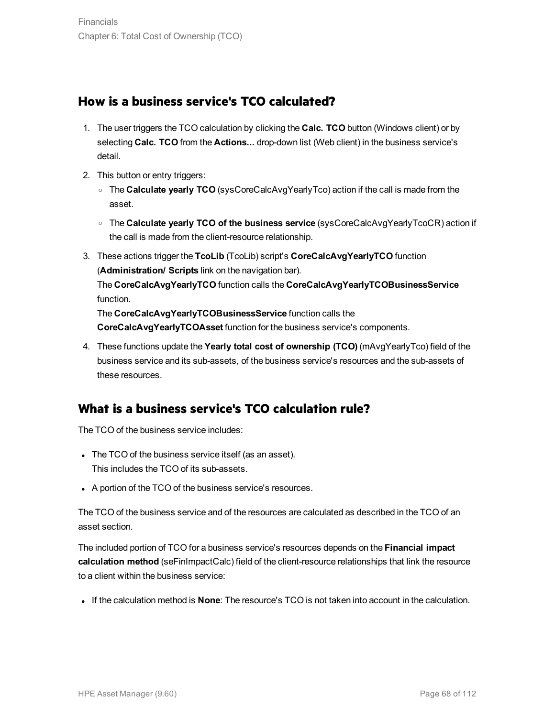#### **How is a business service's TCO calculated?**

- 1. The user triggers the TCO calculation by clicking the **Calc. TCO** button (Windows client) or by selecting **Calc. TCO** from the **Actions...** drop-down list (Web client) in the business service's detail.
- 2. This button or entry triggers:
	- <sup>o</sup> The **Calculate yearly TCO** (sysCoreCalcAvgYearlyTco) action if the call is made from the asset.
	- <sup>o</sup> The **Calculate yearly TCO of the business service** (sysCoreCalcAvgYearlyTcoCR) action if the call is made from the client-resource relationship.
- 3. These actions trigger the **TcoLib** (TcoLib) script's **CoreCalcAvgYearlyTCO** function (**Administration/ Scripts** link on the navigation bar). The **CoreCalcAvgYearlyTCO** function calls the **CoreCalcAvgYearlyTCOBusinessService** function. The **CoreCalcAvgYearlyTCOBusinessService** function calls the **CoreCalcAvgYearlyTCOAsset** function for the business service's components.
- 4. These functions update the **Yearly total cost of ownership (TCO)** (mAvgYearlyTco) field of the business service and its sub-assets, of the business service's resources and the sub-assets of these resources.

### **What is a business service's TCO calculation rule?**

The TCO of the business service includes:

- The TCO of the business service itself (as an asset). This includes the TCO of its sub-assets.
- A portion of the TCO of the business service's resources.

The TCO of the business service and of the resources are calculated as described in the TCO of an asset section.

The included portion of TCO for a business service's resources depends on the **Financial impact calculation method** (seFinImpactCalc) field of the client-resource relationships that link the resource to a client within the business service:

<sup>l</sup> If the calculation method is **None**: The resource's TCO is not taken into account in the calculation.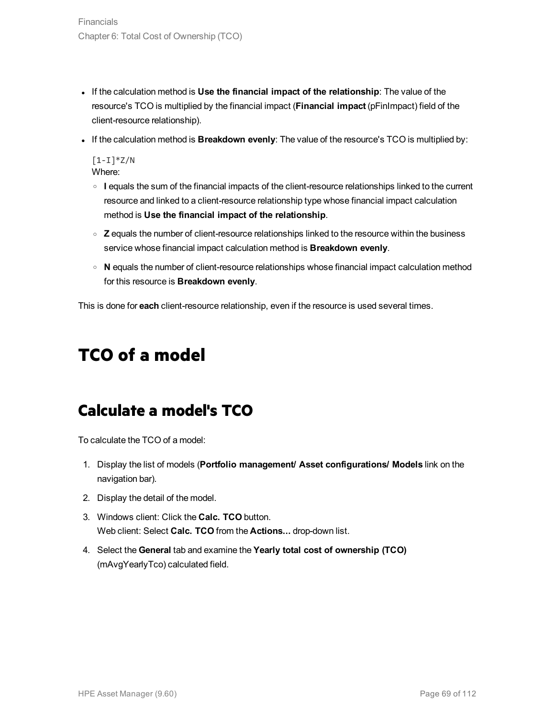- <sup>l</sup> If the calculation method is **Use the financial impact of the relationship**: The value of the resource's TCO is multiplied by the financial impact (**Financial impact** (pFinImpact) field of the client-resource relationship).
- <sup>l</sup> If the calculation method is **Breakdown evenly**: The value of the resource's TCO is multiplied by:

 $[1-I]^*Z/N$ Where:

- <sup>o</sup> **I** equals the sum of the financial impacts of the client-resource relationships linked to the current resource and linked to a client-resource relationship type whose financial impact calculation method is **Use the financial impact of the relationship**.
- <sup>o</sup> **Z** equals the number of client-resource relationships linked to the resource within the business service whose financial impact calculation method is **Breakdown evenly**.
- <sup>o</sup> **N** equals the number of client-resource relationships whose financial impact calculation method for this resource is **Breakdown evenly**.

This is done for **each** client-resource relationship, even if the resource is used several times.

### **TCO of a model**

### **Calculate a model's TCO**

To calculate the TCO of a model:

- 1. Display the list of models (**Portfolio management/ Asset configurations/ Models** link on the navigation bar).
- 2. Display the detail of the model.
- 3. Windows client: Click the **Calc. TCO** button. Web client: Select **Calc. TCO** from the **Actions...** drop-down list.
- 4. Select the **General** tab and examine the **Yearly total cost of ownership (TCO)** (mAvgYearlyTco) calculated field.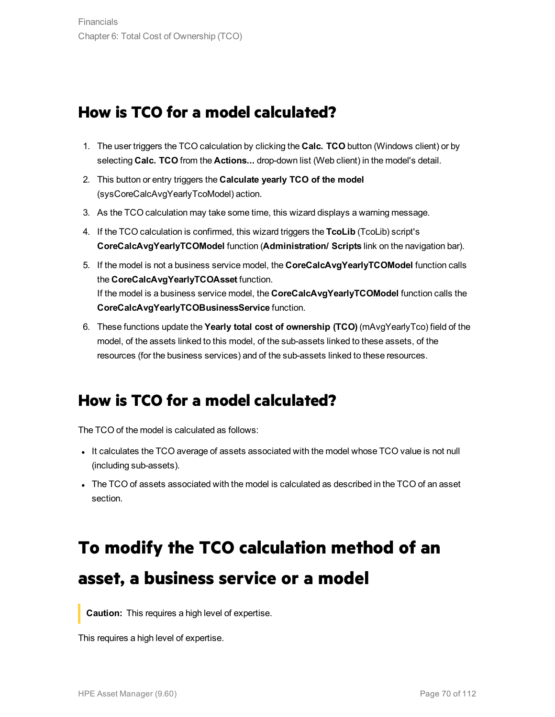### **How is TCO for a model calculated?**

- 1. The user triggers the TCO calculation by clicking the **Calc. TCO** button (Windows client) or by selecting **Calc. TCO** from the **Actions...** drop-down list (Web client) in the model's detail.
- 2. This button or entry triggers the **Calculate yearly TCO of the model** (sysCoreCalcAvgYearlyTcoModel) action.
- 3. As the TCO calculation may take some time, this wizard displays a warning message.
- 4. If the TCO calculation is confirmed, this wizard triggers the **TcoLib** (TcoLib) script's **CoreCalcAvgYearlyTCOModel** function (**Administration/ Scripts** link on the navigation bar).
- 5. If the model is not a business service model, the **CoreCalcAvgYearlyTCOModel** function calls the **CoreCalcAvgYearlyTCOAsset** function. If the model is a business service model, the **CoreCalcAvgYearlyTCOModel** function calls the **CoreCalcAvgYearlyTCOBusinessService** function.
- 6. These functions update the **Yearly total cost of ownership (TCO)** (mAvgYearlyTco) field of the model, of the assets linked to this model, of the sub-assets linked to these assets, of the resources (for the business services) and of the sub-assets linked to these resources.

### **How is TCO for a model calculated?**

The TCO of the model is calculated as follows:

- It calculates the TCO average of assets associated with the model whose TCO value is not null (including sub-assets).
- $\bullet$  The TCO of assets associated with the model is calculated as described in the TCO of an asset section.

# **To modify the TCO calculation method of an asset, a business service or a model**

**Caution:** This requires a high level of expertise.

This requires a high level of expertise.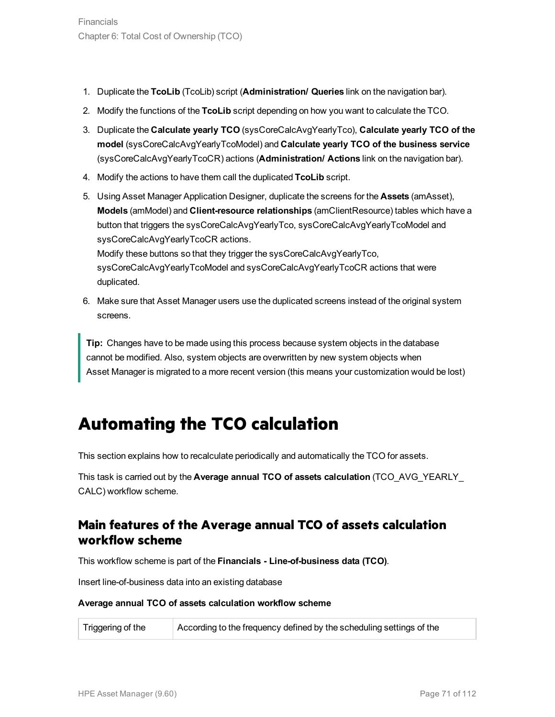- 1. Duplicate the **TcoLib** (TcoLib) script (**Administration/ Queries** link on the navigation bar).
- 2. Modify the functions of the **TcoLib** script depending on how you want to calculate the TCO.
- 3. Duplicate the **Calculate yearly TCO** (sysCoreCalcAvgYearlyTco), **Calculate yearly TCO of the model** (sysCoreCalcAvgYearlyTcoModel) and **Calculate yearly TCO of the business service** (sysCoreCalcAvgYearlyTcoCR) actions (**Administration/ Actions** link on the navigation bar).
- 4. Modify the actions to have them call the duplicated **TcoLib** script.
- 5. Using Asset Manager Application Designer, duplicate the screens for the **Assets** (amAsset), **Models** (amModel) and **Client-resource relationships** (amClientResource) tables which have a button that triggers the sysCoreCalcAvgYearlyTco, sysCoreCalcAvgYearlyTcoModel and sysCoreCalcAvgYearlyTcoCR actions.

Modify these buttons so that they trigger the sysCoreCalcAvgYearlyTco, sysCoreCalcAvgYearlyTcoModel and sysCoreCalcAvgYearlyTcoCR actions that were duplicated.

6. Make sure that Asset Manager users use the duplicated screens instead of the original system screens.

**Tip:** Changes have to be made using this process because system objects in the database cannot be modified. Also, system objects are overwritten by new system objects when Asset Manager is migrated to a more recent version (this means your customization would be lost)

### **Automating the TCO calculation**

This section explains how to recalculate periodically and automatically the TCO for assets.

This task is carried out by the **Average annual TCO of assets calculation** (TCO\_AVG\_YEARLY\_ CALC) workflow scheme.

#### **Main features of the Average annual TCO of assets calculation workflow scheme**

This workflow scheme is part of the **Financials - Line-of-business data (TCO)**.

Insert line-of-business data into an existing database

#### **Average annual TCO of assets calculation workflow scheme**

Triggering of the According to the frequency defined by the scheduling settings of the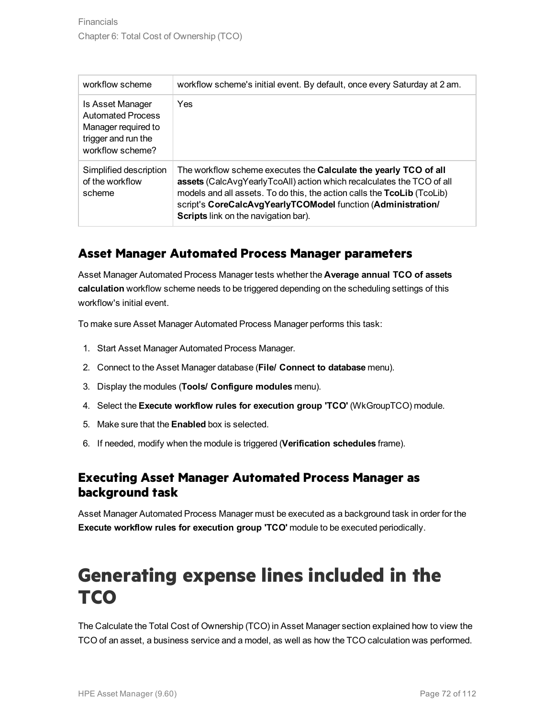| workflow scheme                                                                                                | workflow scheme's initial event. By default, once every Saturday at 2 am.                                                                                                                                                                                                                                                           |
|----------------------------------------------------------------------------------------------------------------|-------------------------------------------------------------------------------------------------------------------------------------------------------------------------------------------------------------------------------------------------------------------------------------------------------------------------------------|
| Is Asset Manager<br><b>Automated Process</b><br>Manager required to<br>trigger and run the<br>workflow scheme? | Yes                                                                                                                                                                                                                                                                                                                                 |
| Simplified description<br>of the workflow<br>scheme                                                            | The workflow scheme executes the Calculate the yearly TCO of all<br>assets (CalcAvgYearlyTcoAll) action which recalculates the TCO of all<br>models and all assets. To do this, the action calls the TcoLib (TcoLib)<br>script's CoreCalcAvgYearlyTCOModel function (Administration/<br><b>Scripts</b> link on the navigation bar). |

#### **Asset Manager Automated Process Manager parameters**

Asset Manager Automated Process Manager tests whether the **Average annual TCO of assets calculation** workflow scheme needs to be triggered depending on the scheduling settings of this workflow's initial event.

To make sure Asset Manager Automated Process Manager performs this task:

- 1. Start Asset Manager Automated Process Manager.
- 2. Connect to the Asset Manager database (**File/ Connect to database** menu).
- 3. Display the modules (**Tools/ Configure modules** menu).
- 4. Select the **Execute workflow rules for execution group 'TCO'** (WkGroupTCO) module.
- 5. Make sure that the **Enabled** box is selected.
- 6. If needed, modify when the module is triggered (**Verification schedules** frame).

#### **Executing Asset Manager Automated Process Manager as background task**

Asset Manager Automated Process Manager must be executed as a background task in order for the **Execute workflow rules for execution group 'TCO'** module to be executed periodically.

# <span id="page-71-0"></span>**Generating expense lines included in the TCO**

The Calculate the Total Cost of Ownership (TCO) in Asset Manager section explained how to view the TCO of an asset, a business service and a model, as well as how the TCO calculation was performed.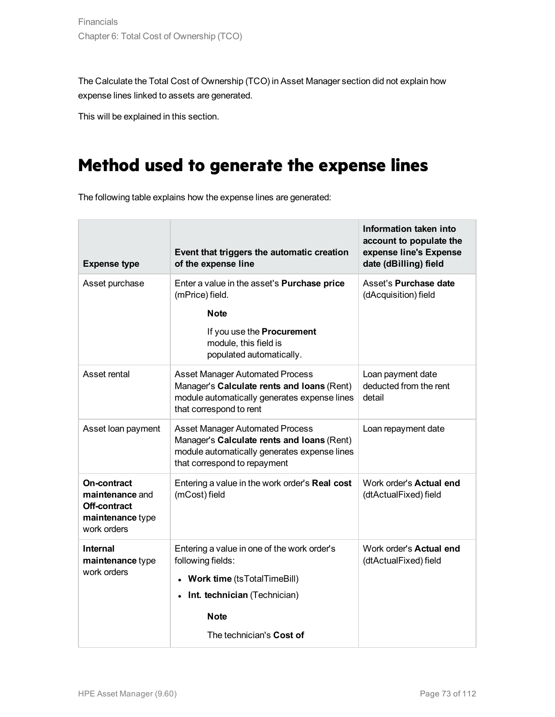The Calculate the Total Cost of Ownership (TCO) in Asset Manager section did not explain how expense lines linked to assets are generated.

This will be explained in this section.

## **Method used to generate the expense lines**

The following table explains how the expense lines are generated:

| <b>Expense type</b>                                                               | Event that triggers the automatic creation<br>of the expense line                                                                                                                   | Information taken into<br>account to populate the<br>expense line's Expense<br>date (dBilling) field |
|-----------------------------------------------------------------------------------|-------------------------------------------------------------------------------------------------------------------------------------------------------------------------------------|------------------------------------------------------------------------------------------------------|
| Asset purchase                                                                    | Enter a value in the asset's <b>Purchase price</b><br>(mPrice) field.                                                                                                               | Asset's Purchase date<br>(dAcquisition) field                                                        |
|                                                                                   | <b>Note</b>                                                                                                                                                                         |                                                                                                      |
|                                                                                   | If you use the Procurement<br>module, this field is<br>populated automatically.                                                                                                     |                                                                                                      |
| Asset rental                                                                      | <b>Asset Manager Automated Process</b><br>Manager's Calculate rents and Ioans (Rent)<br>module automatically generates expense lines<br>that correspond to rent                     | Loan payment date<br>deducted from the rent<br>detail                                                |
| Asset loan payment                                                                | <b>Asset Manager Automated Process</b><br>Manager's Calculate rents and Ioans (Rent)<br>module automatically generates expense lines<br>that correspond to repayment                | Loan repayment date                                                                                  |
| On-contract<br>maintenance and<br>Off-contract<br>maintenance type<br>work orders | Entering a value in the work order's Real cost<br>(mCost) field                                                                                                                     | Work order's <b>Actual end</b><br>(dtActualFixed) field                                              |
| <b>Internal</b><br>maintenance type<br>work orders                                | Entering a value in one of the work order's<br>following fields:<br><b>Work time (tsTotalTimeBill)</b><br>• Int. technician (Technician)<br><b>Note</b><br>The technician's Cost of | Work order's <b>Actual end</b><br>(dtActualFixed) field                                              |
|                                                                                   |                                                                                                                                                                                     |                                                                                                      |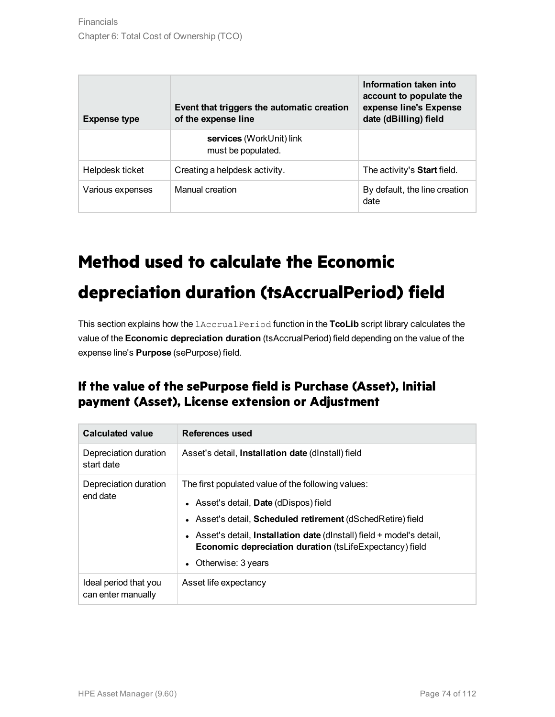| <b>Expense type</b> | Event that triggers the automatic creation<br>of the expense line | Information taken into<br>account to populate the<br>expense line's Expense<br>date (dBilling) field |
|---------------------|-------------------------------------------------------------------|------------------------------------------------------------------------------------------------------|
|                     | services (WorkUnit) link<br>must be populated.                    |                                                                                                      |
| Helpdesk ticket     | Creating a helpdesk activity.                                     | The activity's <b>Start</b> field.                                                                   |
| Various expenses    | Manual creation                                                   | By default, the line creation<br>date                                                                |

## **Method used to calculate the Economic**

# **depreciation duration (tsAccrualPeriod) field**

This section explains how the lAccrualPeriod function in the **TcoLib** script library calculates the value of the **Economic depreciation duration** (tsAccrualPeriod) field depending on the value of the expense line's **Purpose** (sePurpose) field.

### **If the value of the sePurpose field is Purchase (Asset), Initial payment (Asset), License extension or Adjustment**

| <b>Calculated value</b>                     | References used                                                                                                                                                                                                                                                                                                                            |
|---------------------------------------------|--------------------------------------------------------------------------------------------------------------------------------------------------------------------------------------------------------------------------------------------------------------------------------------------------------------------------------------------|
| Depreciation duration<br>start date         | Asset's detail, <b>Installation date</b> (dinstall) field                                                                                                                                                                                                                                                                                  |
| Depreciation duration<br>end date           | The first populated value of the following values:<br>• Asset's detail, Date (dDispos) field<br>• Asset's detail, <b>Scheduled retirement</b> (dSchedRetire) field<br>• Asset's detail, Installation date (dinstall) field + model's detail,<br>Economic depreciation duration (tsLifeExpectancy) field<br>Otherwise: 3 years<br>$\bullet$ |
| Ideal period that you<br>can enter manually | Asset life expectancy                                                                                                                                                                                                                                                                                                                      |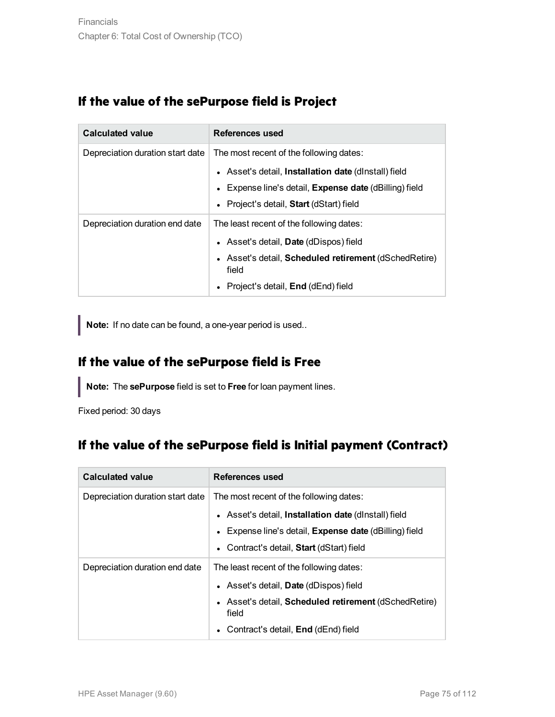### **If the value of the sePurpose field is Project**

| <b>Calculated value</b>          | References used                                                          |
|----------------------------------|--------------------------------------------------------------------------|
| Depreciation duration start date | The most recent of the following dates:                                  |
|                                  | • Asset's detail, Installation date (dinstall) field                     |
|                                  | Expense line's detail, <b>Expense date</b> (dBilling) field<br>$\bullet$ |
|                                  | • Project's detail, Start (dStart) field                                 |
| Depreciation duration end date   | The least recent of the following dates:                                 |
|                                  | • Asset's detail, <b>Date</b> (dDispos) field                            |
|                                  | • Asset's detail, Scheduled retirement (dSchedRetire)<br>field           |
|                                  | Project's detail, End (dEnd) field<br>$\bullet$                          |

**Note:** If no date can be found, a one-year period is used..

### **If the value of the sePurpose field is Free**

**Note:** The **sePurpose** field is set to **Free** for loan payment lines.

Fixed period: 30 days

### **If the value of the sePurpose field is Initial payment (Contract)**

| <b>Calculated value</b>          | References used                                                          |  |
|----------------------------------|--------------------------------------------------------------------------|--|
| Depreciation duration start date | The most recent of the following dates:                                  |  |
|                                  | • Asset's detail, Installation date (dinstall) field                     |  |
|                                  | Expense line's detail, <b>Expense date</b> (dBilling) field<br>$\bullet$ |  |
|                                  | • Contract's detail, Start (dStart) field                                |  |
| Depreciation duration end date   | The least recent of the following dates:                                 |  |
|                                  | • Asset's detail, <b>Date</b> (dDispos) field                            |  |
|                                  | • Asset's detail, <b>Scheduled retirement</b> (dSchedRetire)<br>field    |  |
|                                  | Contract's detail, End (dEnd) field                                      |  |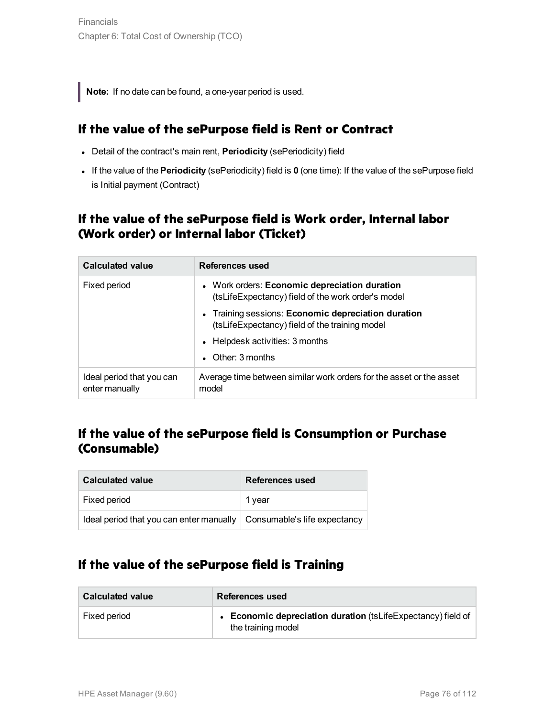**Note:** If no date can be found, a one-year period is used.

#### **If the value of the sePurpose field is Rent or Contract**

- **.** Detail of the contract's main rent, **Periodicity** (sePeriodicity) field
- <sup>l</sup> If the value of the **Periodicity** (sePeriodicity) field is **0** (one time): If the value of the sePurpose field is Initial payment (Contract)

### **If the value of the sePurpose field is Work order, Internal labor (Work order) or Internal labor (Ticket)**

| <b>Calculated value</b>                     | References used                                                                                       |
|---------------------------------------------|-------------------------------------------------------------------------------------------------------|
| Fixed period                                | • Work orders: Economic depreciation duration<br>(tsLifeExpectancy) field of the work order's model   |
|                                             | • Training sessions: Economic depreciation duration<br>(tsLifeExpectancy) field of the training model |
|                                             | • Helpdesk activities: 3 months                                                                       |
|                                             | $\bullet$ Other: 3 months                                                                             |
| Ideal period that you can<br>enter manually | Average time between similar work orders for the asset or the asset<br>model                          |

### **If the value of the sePurpose field is Consumption or Purchase (Consumable)**

| <b>Calculated value</b>                                                 | <b>References used</b> |
|-------------------------------------------------------------------------|------------------------|
| Fixed period                                                            | 1 year                 |
| Ideal period that you can enter manually   Consumable's life expectancy |                        |

### **If the value of the sePurpose field is Training**

| <b>Calculated value</b> | References used                                                                         |
|-------------------------|-----------------------------------------------------------------------------------------|
| Fixed period            | <b>Economic depreciation duration (tsLifeExpectancy) field of</b><br>the training model |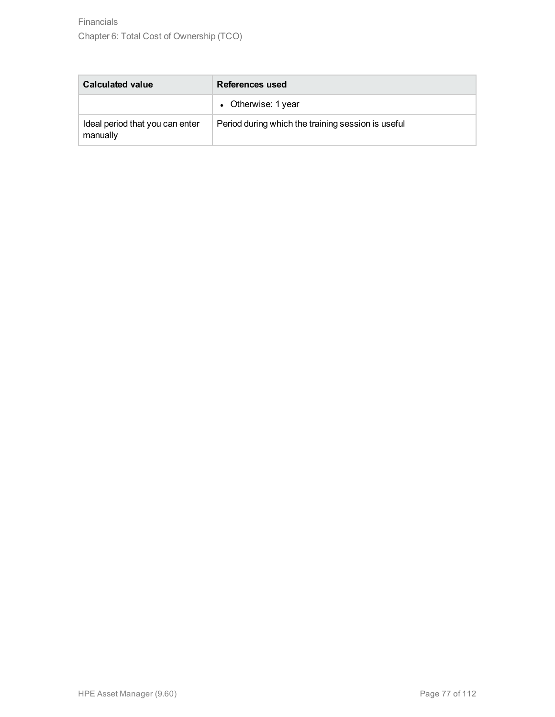| <b>Calculated value</b>                     | References used                                    |
|---------------------------------------------|----------------------------------------------------|
|                                             | • Otherwise: 1 year                                |
| Ideal period that you can enter<br>manually | Period during which the training session is useful |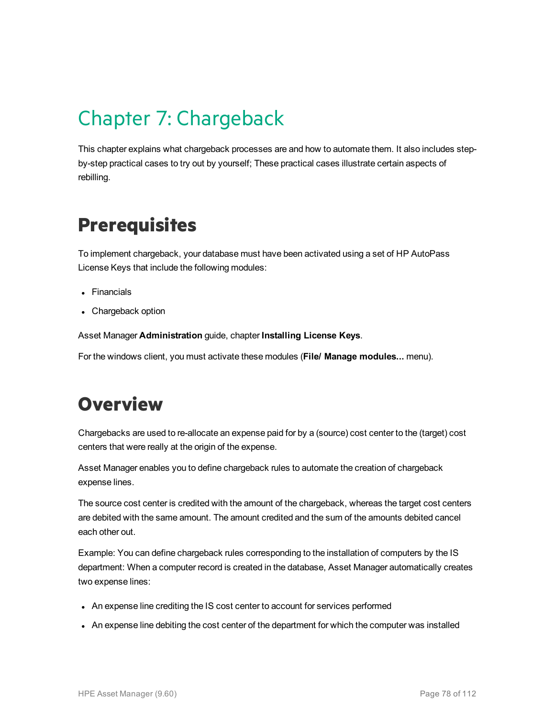# Chapter 7: Chargeback

This chapter explains what chargeback processes are and how to automate them. It also includes stepby-step practical cases to try out by yourself; These practical cases illustrate certain aspects of rebilling.

# **Prerequisites**

To implement chargeback, your database must have been activated using a set of HP AutoPass License Keys that include the following modules:

- Financials
- Chargeback option

Asset Manager **Administration** guide, chapter **Installing License Keys**.

For the windows client, you must activate these modules (**File/ Manage modules...** menu).

# **Overview**

Chargebacks are used to re-allocate an expense paid for by a (source) cost center to the (target) cost centers that were really at the origin of the expense.

Asset Manager enables you to define chargeback rules to automate the creation of chargeback expense lines.

The source cost center is credited with the amount of the chargeback, whereas the target cost centers are debited with the same amount. The amount credited and the sum of the amounts debited cancel each other out.

Example: You can define chargeback rules corresponding to the installation of computers by the IS department: When a computer record is created in the database, Asset Manager automatically creates two expense lines:

- An expense line crediting the IS cost center to account for services performed
- An expense line debiting the cost center of the department for which the computer was installed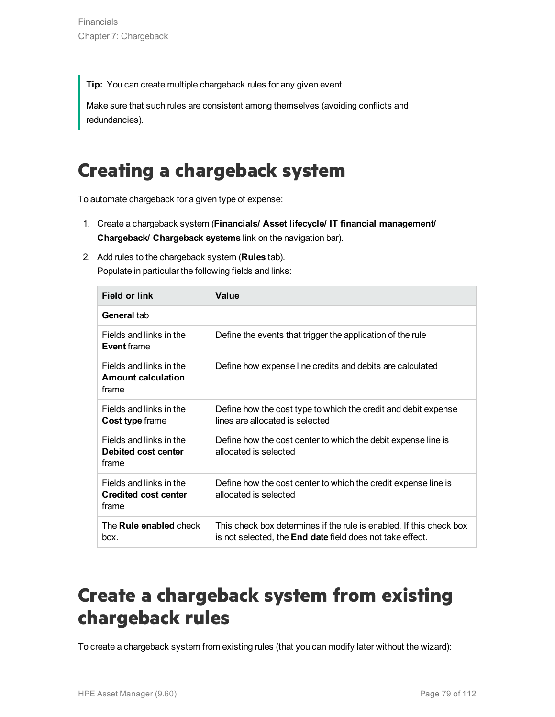**Tip:** You can create multiple chargeback rules for any given event..

Make sure that such rules are consistent among themselves (avoiding conflicts and redundancies).

# **Creating a chargeback system**

To automate chargeback for a given type of expense:

- 1. Create a chargeback system (**Financials/ Asset lifecycle/ IT financial management/ Chargeback/ Chargeback systems** link on the navigation bar).
- 2. Add rules to the chargeback system (**Rules** tab). Populate in particular the following fields and links:

| Field or link                                                   | Value                                                                                                                                   |
|-----------------------------------------------------------------|-----------------------------------------------------------------------------------------------------------------------------------------|
| General tab                                                     |                                                                                                                                         |
| Fields and links in the<br><b>Event frame</b>                   | Define the events that trigger the application of the rule                                                                              |
| Fields and links in the<br><b>Amount calculation</b><br>frame   | Define how expense line credits and debits are calculated                                                                               |
| Fields and links in the<br><b>Cost type frame</b>               | Define how the cost type to which the credit and debit expense<br>lines are allocated is selected                                       |
| Fields and links in the<br>Debited cost center<br>frame         | Define how the cost center to which the debit expense line is<br>allocated is selected                                                  |
| Fields and links in the<br><b>Credited cost center</b><br>frame | Define how the cost center to which the credit expense line is<br>allocated is selected                                                 |
| The <b>Rule enabled</b> check<br>box.                           | This check box determines if the rule is enabled. If this check box<br>is not selected, the <b>End date</b> field does not take effect. |

# **Create a chargeback system from existing chargeback rules**

To create a chargeback system from existing rules (that you can modify later without the wizard):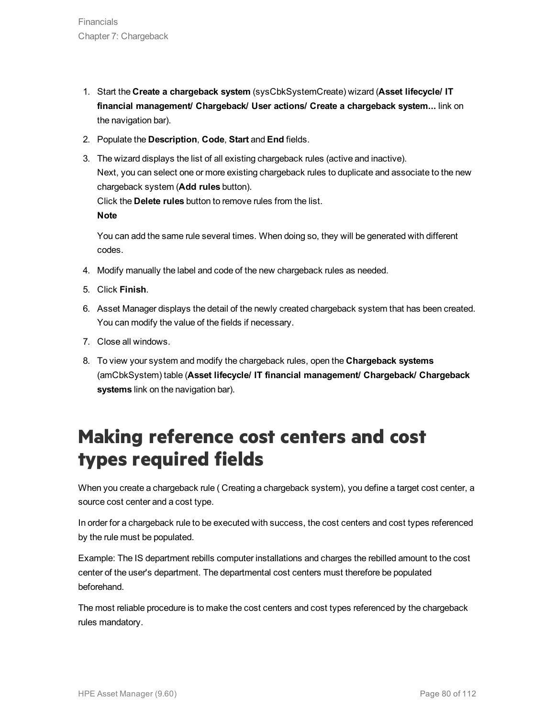- 1. Start the **Create a chargeback system** (sysCbkSystemCreate) wizard (**Asset lifecycle/ IT financial management/ Chargeback/ User actions/ Create a chargeback system...** link on the navigation bar).
- 2. Populate the **Description**, **Code**, **Start** and **End** fields.
- 3. The wizard displays the list of all existing chargeback rules (active and inactive). Next, you can select one or more existing chargeback rules to duplicate and associate to the new chargeback system (**Add rules** button). Click the **Delete rules** button to remove rules from the list. **Note**

You can add the same rule several times. When doing so, they will be generated with different codes.

- 4. Modify manually the label and code of the new chargeback rules as needed.
- 5. Click **Finish**.
- 6. Asset Manager displays the detail of the newly created chargeback system that has been created. You can modify the value of the fields if necessary.
- 7. Close all windows.
- 8. To view your system and modify the chargeback rules, open the **Chargeback systems** (amCbkSystem) table (**Asset lifecycle/ IT financial management/ Chargeback/ Chargeback systems** link on the navigation bar).

# **Making reference cost centers and cost types required fields**

When you create a chargeback rule ( Creating a chargeback system), you define a target cost center, a source cost center and a cost type.

In order for a chargeback rule to be executed with success, the cost centers and cost types referenced by the rule must be populated.

Example: The IS department rebills computer installations and charges the rebilled amount to the cost center of the user's department. The departmental cost centers must therefore be populated beforehand.

The most reliable procedure is to make the cost centers and cost types referenced by the chargeback rules mandatory.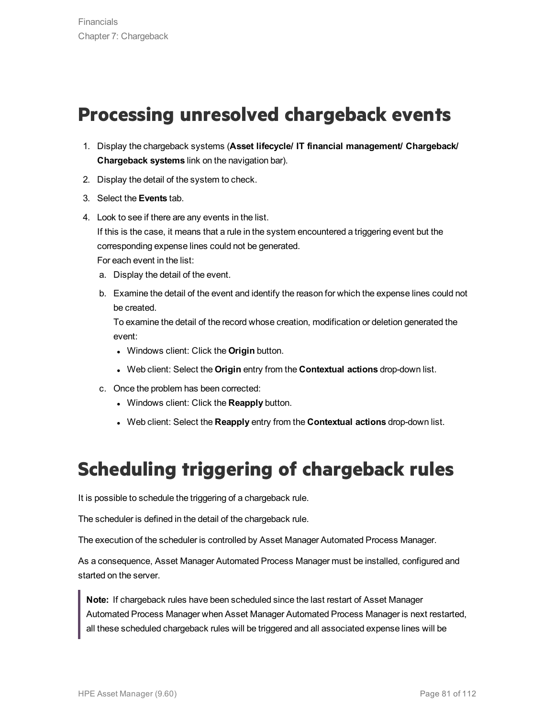# **Processing unresolved chargeback events**

- 1. Display the chargeback systems (**Asset lifecycle/ IT financial management/ Chargeback/ Chargeback systems** link on the navigation bar).
- 2. Display the detail of the system to check.
- 3. Select the **Events** tab.
- 4. Look to see if there are any events in the list. If this is the case, it means that a rule in the system encountered a triggering event but the corresponding expense lines could not be generated. For each event in the list:
	- a. Display the detail of the event.
	- b. Examine the detail of the event and identify the reason for which the expense lines could not be created.

To examine the detail of the record whose creation, modification or deletion generated the event:

- **.** Windows client: Click the **Origin** button.
- <sup>l</sup> Web client: Select the **Origin** entry from the **Contextual actions** drop-down list.
- c. Once the problem has been corrected:
	- <sup>l</sup> Windows client: Click the **Reapply** button.
	- **.** Web client: Select the **Reapply** entry from the **Contextual actions** drop-down list.

# **Scheduling triggering of chargeback rules**

It is possible to schedule the triggering of a chargeback rule.

The scheduler is defined in the detail of the chargeback rule.

The execution of the scheduler is controlled by Asset Manager Automated Process Manager.

As a consequence, Asset Manager Automated Process Manager must be installed, configured and started on the server.

**Note:** If chargeback rules have been scheduled since the last restart of Asset Manager Automated Process Manager when Asset Manager Automated Process Manager is next restarted, all these scheduled chargeback rules will be triggered and all associated expense lines will be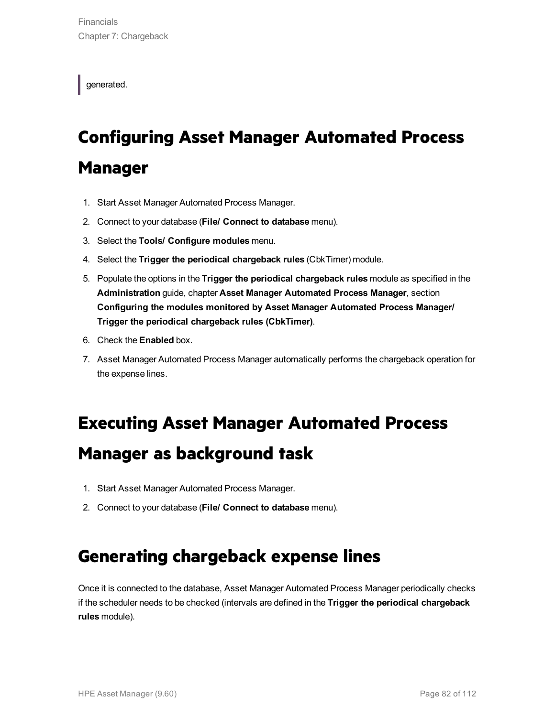generated.

# **Configuring Asset Manager Automated Process Manager**

- 1. Start Asset Manager Automated Process Manager.
- 2. Connect to your database (**File/ Connect to database** menu).
- 3. Select the **Tools/ Configure modules** menu.
- 4. Select the **Trigger the periodical chargeback rules** (CbkTimer) module.
- 5. Populate the options in the **Trigger the periodical chargeback rules** module as specified in the **Administration** guide, chapter **Asset Manager Automated Process Manager**, section **Configuring the modules monitored by Asset Manager Automated Process Manager/ Trigger the periodical chargeback rules (CbkTimer)**.
- 6. Check the **Enabled** box.
- 7. Asset Manager Automated Process Manager automatically performs the chargeback operation for the expense lines.

## **Executing Asset Manager Automated Process**

## **Manager as background task**

- 1. Start Asset Manager Automated Process Manager.
- 2. Connect to your database (**File/ Connect to database** menu).

## **Generating chargeback expense lines**

Once it is connected to the database, Asset Manager Automated Process Manager periodically checks if the scheduler needs to be checked (intervals are defined in the **Trigger the periodical chargeback rules** module).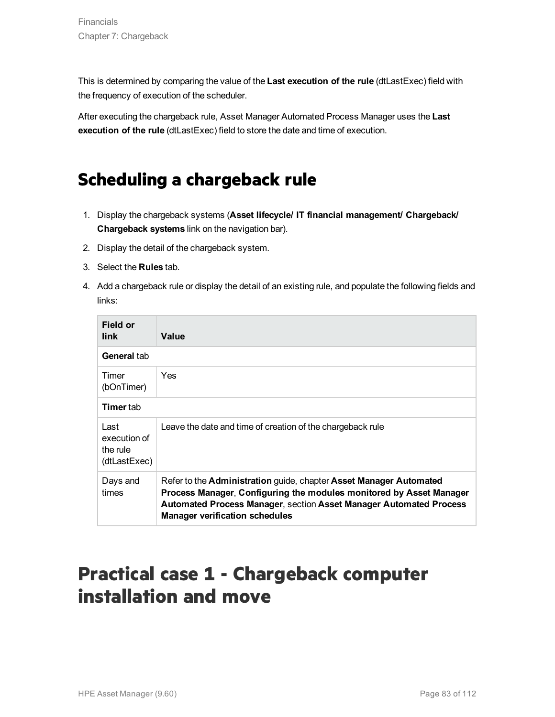This is determined by comparing the value of the **Last execution of the rule** (dtLastExec) field with the frequency of execution of the scheduler.

After executing the chargeback rule, Asset Manager Automated Process Manager uses the **Last execution of the rule** (dtLastExec) field to store the date and time of execution.

## **Scheduling a chargeback rule**

- 1. Display the chargeback systems (**Asset lifecycle/ IT financial management/ Chargeback/ Chargeback systems** link on the navigation bar).
- 2. Display the detail of the chargeback system.
- 3. Select the **Rules** tab.
- 4. Add a chargeback rule or display the detail of an existing rule, and populate the following fields and links:

| Field or<br>link                                 | Value                                                                                                                                                                                                                                                    |
|--------------------------------------------------|----------------------------------------------------------------------------------------------------------------------------------------------------------------------------------------------------------------------------------------------------------|
| General tab                                      |                                                                                                                                                                                                                                                          |
| Timer<br>(bOnTimer)                              | <b>Yes</b>                                                                                                                                                                                                                                               |
| <b>Timer</b> tab                                 |                                                                                                                                                                                                                                                          |
| Last<br>execution of<br>the rule<br>(dtLastExec) | Leave the date and time of creation of the chargeback rule                                                                                                                                                                                               |
| Days and<br>times                                | Refer to the Administration guide, chapter Asset Manager Automated<br>Process Manager, Configuring the modules monitored by Asset Manager<br>Automated Process Manager, section Asset Manager Automated Process<br><b>Manager verification schedules</b> |

# **Practical case 1 - Chargeback computer installation and move**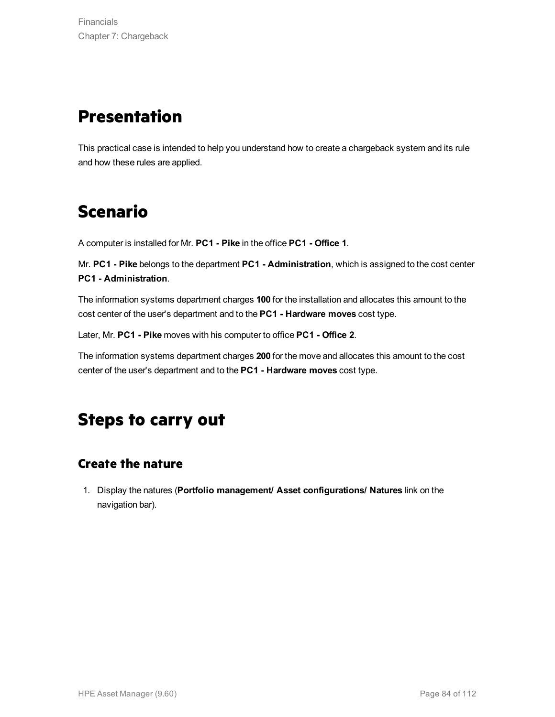## **Presentation**

This practical case is intended to help you understand how to create a chargeback system and its rule and how these rules are applied.

# **Scenario**

A computer is installed for Mr. **PC1 - Pike** in the office **PC1 - Office 1**.

Mr. **PC1 - Pike** belongs to the department **PC1 - Administration**, which is assigned to the cost center **PC1 - Administration**.

The information systems department charges **100** for the installation and allocates this amount to the cost center of the user's department and to the **PC1 - Hardware moves** cost type.

Later, Mr. **PC1 - Pike** moves with his computer to office **PC1 - Office 2**.

The information systems department charges **200** for the move and allocates this amount to the cost center of the user's department and to the **PC1 - Hardware moves** cost type.

## **Steps to carry out**

### **Create the nature**

1. Display the natures (**Portfolio management/ Asset configurations/ Natures** link on the navigation bar).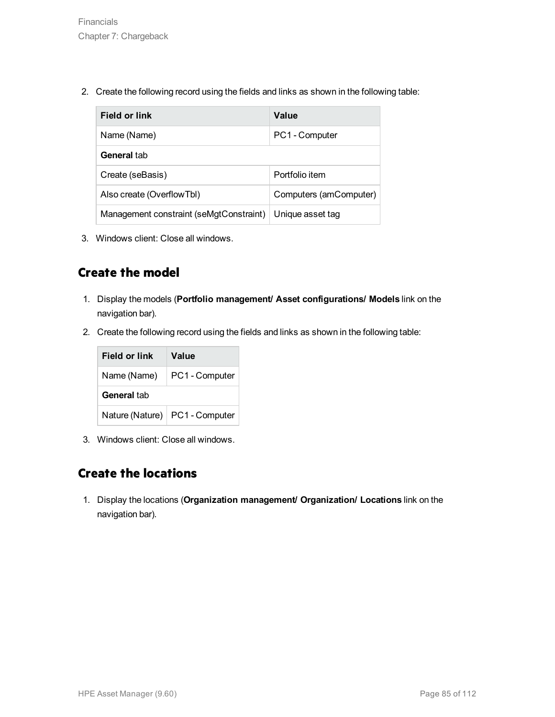2. Create the following record using the fields and links as shown in the following table:

| <b>Field or link</b>                    | Value                  |
|-----------------------------------------|------------------------|
| Name (Name)                             | PC1 - Computer         |
| General tab                             |                        |
| Create (seBasis)                        | Portfolio item         |
| Also create (OverflowTbl)               | Computers (amComputer) |
| Management constraint (seMgtConstraint) | Unique asset tag       |

3. Windows client: Close all windows.

### **Create the model**

- 1. Display the models (**Portfolio management/ Asset configurations/ Models** link on the navigation bar).
- 2. Create the following record using the fields and links as shown in the following table:



3. Windows client: Close all windows.

### **Create the locations**

1. Display the locations (**Organization management/ Organization/ Locations** link on the navigation bar).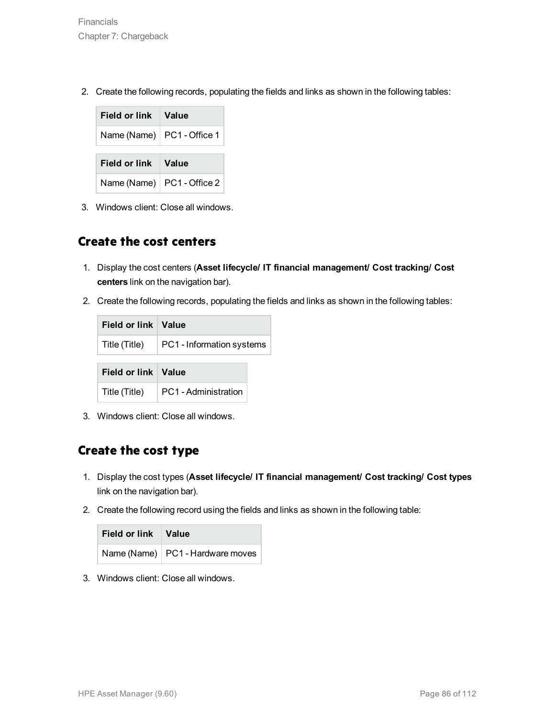2. Create the following records, populating the fields and links as shown in the following tables:

| Field or link Value          |  |
|------------------------------|--|
| Name (Name)   PC1 - Office 1 |  |
|                              |  |
| Field or link Value          |  |

3. Windows client: Close all windows.

#### **Create the cost centers**

- 1. Display the cost centers (**Asset lifecycle/ IT financial management/ Cost tracking/ Cost centers** link on the navigation bar).
- 2. Create the following records, populating the fields and links as shown in the following tables:

| Field or link   Value |                           |  |
|-----------------------|---------------------------|--|
| Title (Title)         | PC1 - Information systems |  |
|                       |                           |  |
| Field or link   Value |                           |  |

3. Windows client: Close all windows.

### **Create the cost type**

- 1. Display the cost types (**Asset lifecycle/ IT financial management/ Cost tracking/ Cost types** link on the navigation bar).
- 2. Create the following record using the fields and links as shown in the following table:

| Field or link Value |                                    |
|---------------------|------------------------------------|
|                     | Name (Name)   PC1 - Hardware moves |

3. Windows client: Close all windows.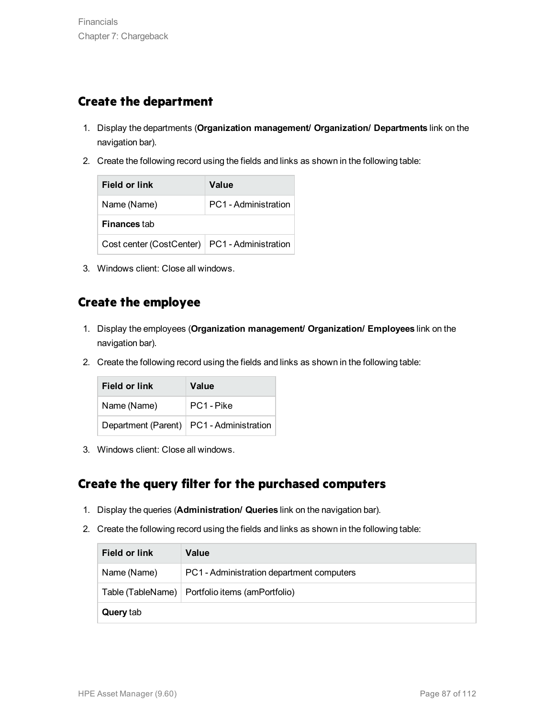### **Create the department**

- 1. Display the departments (**Organization management/ Organization/ Departments** link on the navigation bar).
- 2. Create the following record using the fields and links as shown in the following table:

| Field or link                                   | Value                |
|-------------------------------------------------|----------------------|
| Name (Name)                                     | PC1 - Administration |
| <b>Finances</b> tab                             |                      |
| Cost center (CostCenter)   PC1 - Administration |                      |

3. Windows client: Close all windows.

### **Create the employee**

- 1. Display the employees (**Organization management/ Organization/ Employees** link on the navigation bar).
- 2. Create the following record using the fields and links as shown in the following table:

| Field or link | Value                                      |
|---------------|--------------------------------------------|
| Name (Name)   | PC1 - Pike                                 |
|               | Department (Parent)   PC1 - Administration |

3. Windows client: Close all windows.

### **Create the query filter for the purchased computers**

- 1. Display the queries (**Administration/ Queries** link on the navigation bar).
- 2. Create the following record using the fields and links as shown in the following table:

| Field or link    | Value                                             |
|------------------|---------------------------------------------------|
| Name (Name)      | PC1 - Administration department computers         |
|                  | Table (TableName)   Portfolio items (amPortfolio) |
| <b>Query tab</b> |                                                   |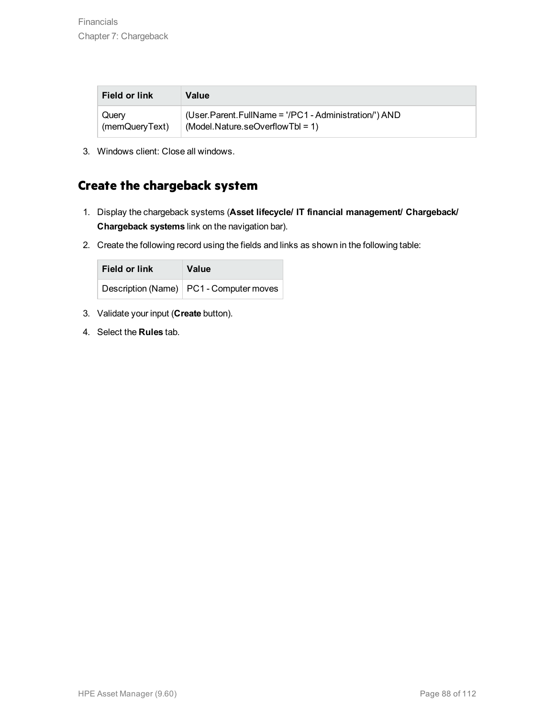| <b>Field or link</b> | Value                                                 |
|----------------------|-------------------------------------------------------|
| Query                | (User.Parent.FullName = '/PC1 - Administration/') AND |
| (memQueryText)       | $(Model.Nature.seOverflowTbl = 1)$                    |

3. Windows client: Close all windows.

### **Create the chargeback system**

- 1. Display the chargeback systems (**Asset lifecycle/ IT financial management/ Chargeback/ Chargeback systems** link on the navigation bar).
- 2. Create the following record using the fields and links as shown in the following table:

| Field or link | Value                                     |
|---------------|-------------------------------------------|
|               | Description (Name)   PC1 - Computer moves |

- 3. Validate your input (**Create** button).
- 4. Select the **Rules** tab.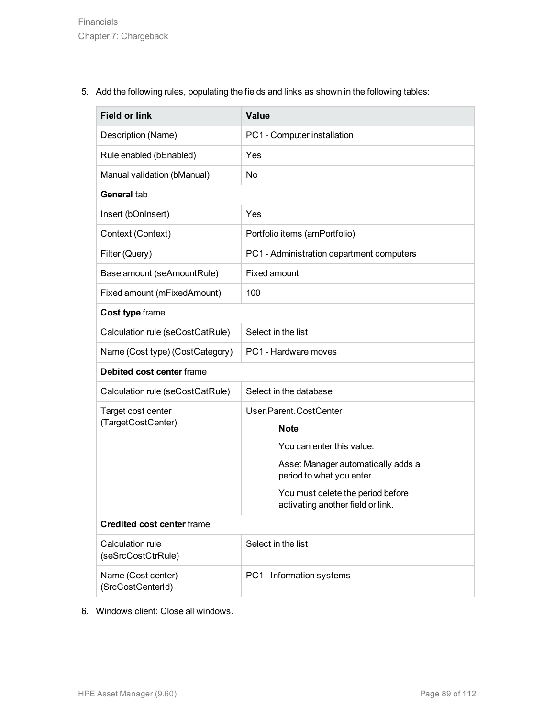5. Add the following rules, populating the fields and links as shown in the following tables:

| <b>Field or link</b>                    | <b>Value</b>                                                           |
|-----------------------------------------|------------------------------------------------------------------------|
| Description (Name)                      | PC1 - Computer installation                                            |
| Rule enabled (bEnabled)                 | Yes                                                                    |
| Manual validation (bManual)             | No                                                                     |
| General tab                             |                                                                        |
| Insert (bOnInsert)                      | Yes                                                                    |
| Context (Context)                       | Portfolio items (amPortfolio)                                          |
| Filter (Query)                          | PC1 - Administration department computers                              |
| Base amount (seAmountRule)              | <b>Fixed amount</b>                                                    |
| Fixed amount (mFixedAmount)             | 100                                                                    |
| Cost type frame                         |                                                                        |
| Calculation rule (seCostCatRule)        | Select in the list                                                     |
| Name (Cost type) (CostCategory)         | PC1 - Hardware moves                                                   |
| Debited cost center frame               |                                                                        |
| Calculation rule (seCostCatRule)        | Select in the database                                                 |
| Target cost center                      | User.Parent.CostCenter                                                 |
| (TargetCostCenter)                      | <b>Note</b>                                                            |
|                                         | You can enter this value.                                              |
|                                         | Asset Manager automatically adds a<br>period to what you enter.        |
|                                         | You must delete the period before<br>activating another field or link. |
| <b>Credited cost center frame</b>       |                                                                        |
| Calculation rule<br>(seSrcCostCtrRule)  | Select in the list                                                     |
| Name (Cost center)<br>(SrcCostCenterId) | PC1 - Information systems                                              |

6. Windows client: Close all windows.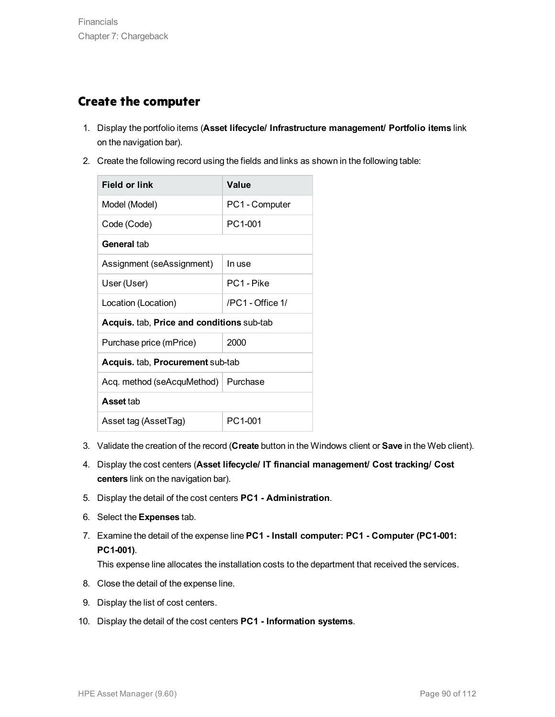### **Create the computer**

- 1. Display the portfolio items (**Asset lifecycle/ Infrastructure management/ Portfolio items** link on the navigation bar).
- 2. Create the following record using the fields and links as shown in the following table:

| Field or link                                  | Value                  |  |
|------------------------------------------------|------------------------|--|
| Model (Model)                                  | PC1 - Computer         |  |
| Code (Code)                                    | PC1-001                |  |
| General tab                                    |                        |  |
| Assignment (seAssignment)                      | In use                 |  |
| User (User)                                    | PC <sub>1</sub> - Pike |  |
| Location (Location)                            | /PC1 - Office 1/       |  |
| Acquis. tab, Price and conditions sub-tab      |                        |  |
| Purchase price (mPrice)                        | 2000                   |  |
| <b>Acquis.</b> tab, <b>Procurement</b> sub-tab |                        |  |
| Acq. method (seAcquMethod)   Purchase          |                        |  |
| <b>Asset tab</b>                               |                        |  |
| Asset tag (AssetTag)                           | PC1-001                |  |

- 3. Validate the creation of the record (**Create** button in the Windows client or **Save** in the Web client).
- 4. Display the cost centers (**Asset lifecycle/ IT financial management/ Cost tracking/ Cost centers** link on the navigation bar).
- 5. Display the detail of the cost centers **PC1 - Administration**.
- 6. Select the **Expenses** tab.
- 7. Examine the detail of the expense line **PC1 - Install computer: PC1 - Computer (PC1-001: PC1-001)**.

This expense line allocates the installation costs to the department that received the services.

- 8. Close the detail of the expense line.
- 9. Display the list of cost centers.
- 10. Display the detail of the cost centers **PC1 - Information systems**.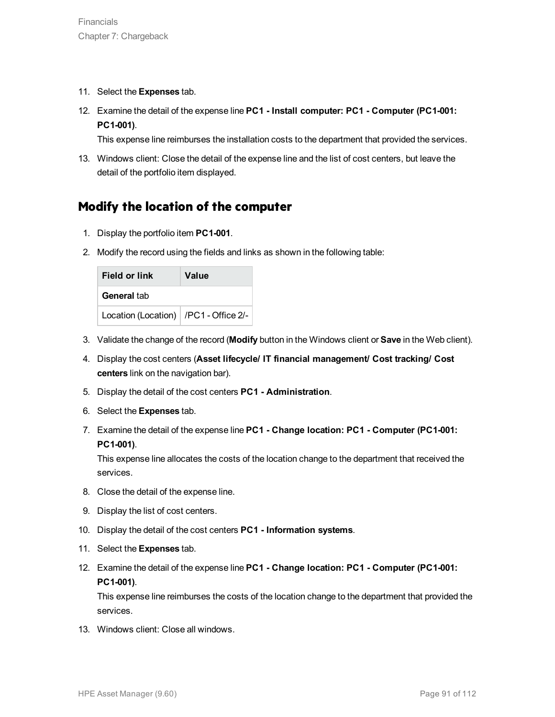- 11. Select the **Expenses** tab.
- 12. Examine the detail of the expense line **PC1 - Install computer: PC1 - Computer (PC1-001: PC1-001)**.

This expense line reimburses the installation costs to the department that provided the services.

13. Windows client: Close the detail of the expense line and the list of cost centers, but leave the detail of the portfolio item displayed.

### **Modify the location of the computer**

- 1. Display the portfolio item **PC1-001**.
- 2. Modify the record using the fields and links as shown in the following table:

| Field or link                           | Value |
|-----------------------------------------|-------|
| General tab                             |       |
| Location (Location)   /PC1 - Office 2/- |       |

- 3. Validate the change of the record (**Modify** button in the Windows client or **Save** in the Web client).
- 4. Display the cost centers (**Asset lifecycle/ IT financial management/ Cost tracking/ Cost centers** link on the navigation bar).
- 5. Display the detail of the cost centers **PC1 - Administration**.
- 6. Select the **Expenses** tab.
- 7. Examine the detail of the expense line **PC1 - Change location: PC1 - Computer (PC1-001: PC1-001)**.

This expense line allocates the costs of the location change to the department that received the services.

- 8. Close the detail of the expense line.
- 9. Display the list of cost centers.
- 10. Display the detail of the cost centers **PC1 - Information systems**.
- 11. Select the **Expenses** tab.
- 12. Examine the detail of the expense line **PC1 - Change location: PC1 - Computer (PC1-001: PC1-001)**.

This expense line reimburses the costs of the location change to the department that provided the services.

13. Windows client: Close all windows.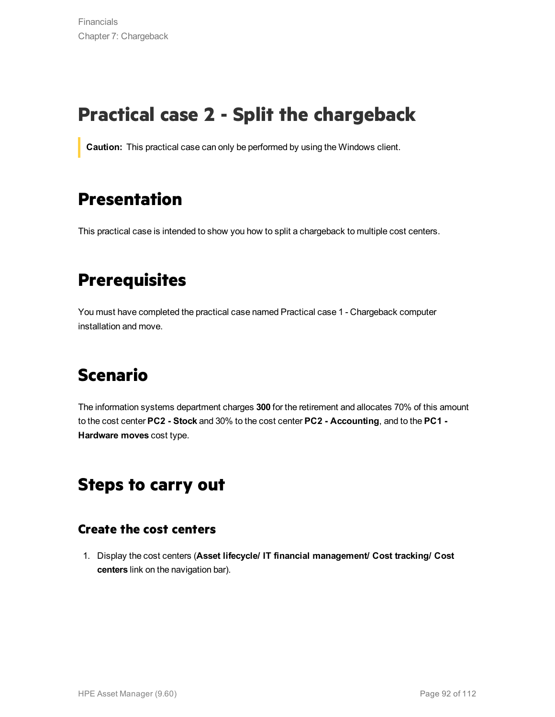# **Practical case 2 - Split the chargeback**

**Caution:** This practical case can only be performed by using the Windows client.

## **Presentation**

This practical case is intended to show you how to split a chargeback to multiple cost centers.

## **Prerequisites**

You must have completed the practical case named Practical case 1 - Chargeback computer installation and move.

# **Scenario**

The information systems department charges **300** for the retirement and allocates 70% of this amount to the cost center **PC2 - Stock** and 30% to the cost center **PC2 - Accounting**, and to the **PC1 - Hardware moves** cost type.

## **Steps to carry out**

### **Create the cost centers**

1. Display the cost centers (**Asset lifecycle/ IT financial management/ Cost tracking/ Cost centers** link on the navigation bar).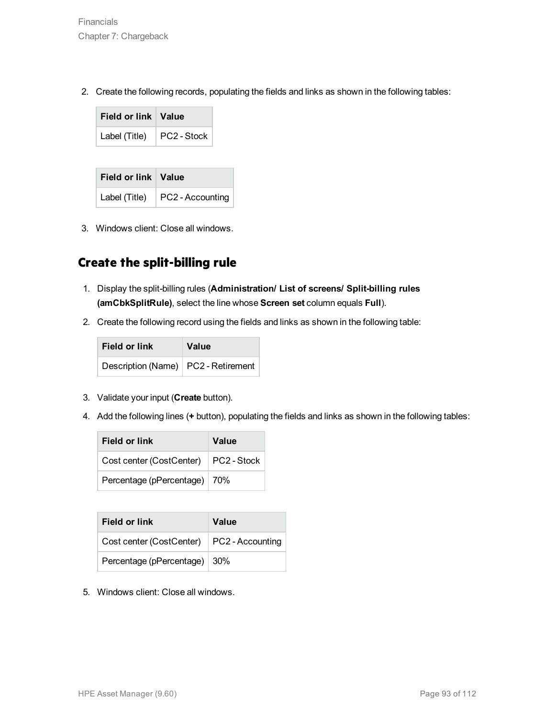2. Create the following records, populating the fields and links as shown in the following tables:

| Field or link   Value |             |
|-----------------------|-------------|
| Label (Title)         | PC2 - Stock |

| Field or link   Value |                                        |
|-----------------------|----------------------------------------|
|                       | Label (Title) $\vert$ PC2 - Accounting |

3. Windows client: Close all windows.

### **Create the split-billing rule**

- 1. Display the split-billing rules (**Administration/ List of screens/ Split-billing rules (amCbkSplitRule)**, select the line whose **Screen set** column equals **Full**).
- 2. Create the following record using the fields and links as shown in the following table:

| <b>Field or link</b>                  | Value |
|---------------------------------------|-------|
| Description (Name)   PC2 - Retirement |       |

- 3. Validate your input (**Create** button).
- 4. Add the following lines (**+** button), populating the fields and links as shown in the following tables:

| Field or link            | Value       |
|--------------------------|-------------|
| Cost center (CostCenter) | PC2 - Stock |
| Percentage (pPercentage) | 70%         |

| Field or link                               | Value |
|---------------------------------------------|-------|
| Cost center (CostCenter)   PC2 - Accounting |       |
| Percentage (pPercentage) 30%                |       |

5. Windows client: Close all windows.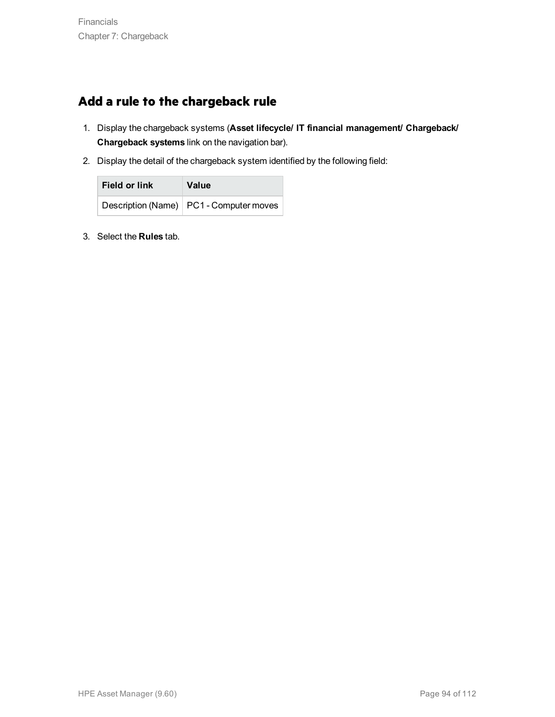### **Add a rule to the chargeback rule**

- 1. Display the chargeback systems (**Asset lifecycle/ IT financial management/ Chargeback/ Chargeback systems** link on the navigation bar).
- 2. Display the detail of the chargeback system identified by the following field:

| Field or link | <b>Value</b>                              |
|---------------|-------------------------------------------|
|               | Description (Name)   PC1 - Computer moves |

3. Select the **Rules** tab.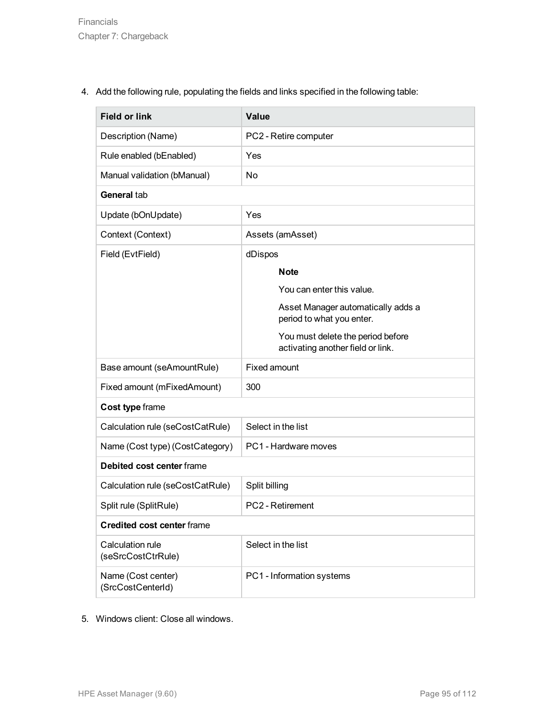4. Add the following rule, populating the fields and links specified in the following table:

| <b>Field or link</b>                    | Value                                                                  |
|-----------------------------------------|------------------------------------------------------------------------|
| Description (Name)                      | PC2 - Retire computer                                                  |
| Rule enabled (bEnabled)                 | Yes                                                                    |
| Manual validation (bManual)             | No                                                                     |
| General tab                             |                                                                        |
| Update (bOnUpdate)                      | Yes                                                                    |
| Context (Context)                       | Assets (amAsset)                                                       |
| Field (EvtField)                        | dDispos                                                                |
|                                         | <b>Note</b>                                                            |
|                                         | You can enter this value.                                              |
|                                         | Asset Manager automatically adds a<br>period to what you enter.        |
|                                         | You must delete the period before<br>activating another field or link. |
| Base amount (seAmountRule)              | <b>Fixed amount</b>                                                    |
| Fixed amount (mFixedAmount)             | 300                                                                    |
| Cost type frame                         |                                                                        |
| Calculation rule (seCostCatRule)        | Select in the list                                                     |
| Name (Cost type) (CostCategory)         | PC1 - Hardware moves                                                   |
| Debited cost center frame               |                                                                        |
| Calculation rule (seCostCatRule)        | Split billing                                                          |
| Split rule (SplitRule)                  | <b>PC2</b> - Retirement                                                |
| <b>Credited cost center frame</b>       |                                                                        |
| Calculation rule<br>(seSrcCostCtrRule)  | Select in the list                                                     |
| Name (Cost center)<br>(SrcCostCenterId) | PC1 - Information systems                                              |

5. Windows client: Close all windows.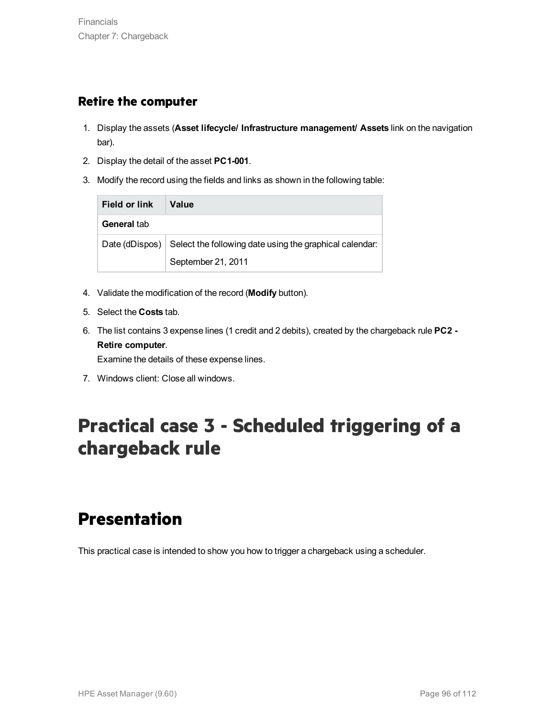#### **Retire the computer**

- 1. Display the assets (**Asset lifecycle/ Infrastructure management/ Assets** link on the navigation bar).
- 2. Display the detail of the asset **PC1-001**.
- 3. Modify the record using the fields and links as shown in the following table:

| Field or link      | Value                                                   |
|--------------------|---------------------------------------------------------|
| General tab        |                                                         |
| Date (dDispos) $ $ | Select the following date using the graphical calendar: |
|                    | September 21, 2011                                      |

- 4. Validate the modification of the record (**Modify** button).
- 5. Select the **Costs** tab.
- 6. The list contains 3 expense lines (1 credit and 2 debits), created by the chargeback rule **PC2 - Retire computer**.

Examine the details of these expense lines.

7. Windows client: Close all windows.

# **Practical case 3 - Scheduled triggering of a chargeback rule**

## **Presentation**

This practical case is intended to show you how to trigger a chargeback using a scheduler.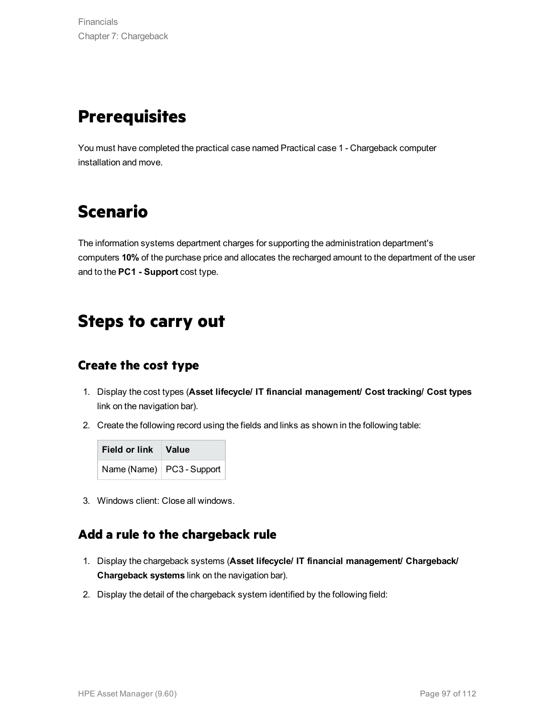# **Prerequisites**

You must have completed the practical case named Practical case 1 - Chargeback computer installation and move.

# **Scenario**

The information systems department charges for supporting the administration department's computers **10%** of the purchase price and allocates the recharged amount to the department of the user and to the **PC1 - Support** cost type.

### **Steps to carry out**

#### **Create the cost type**

- 1. Display the cost types (**Asset lifecycle/ IT financial management/ Cost tracking/ Cost types** link on the navigation bar).
- 2. Create the following record using the fields and links as shown in the following table:

| Field or link Value |                             |
|---------------------|-----------------------------|
|                     | Name (Name)   PC3 - Support |

3. Windows client: Close all windows.

### **Add a rule to the chargeback rule**

- 1. Display the chargeback systems (**Asset lifecycle/ IT financial management/ Chargeback/ Chargeback systems** link on the navigation bar).
- 2. Display the detail of the chargeback system identified by the following field: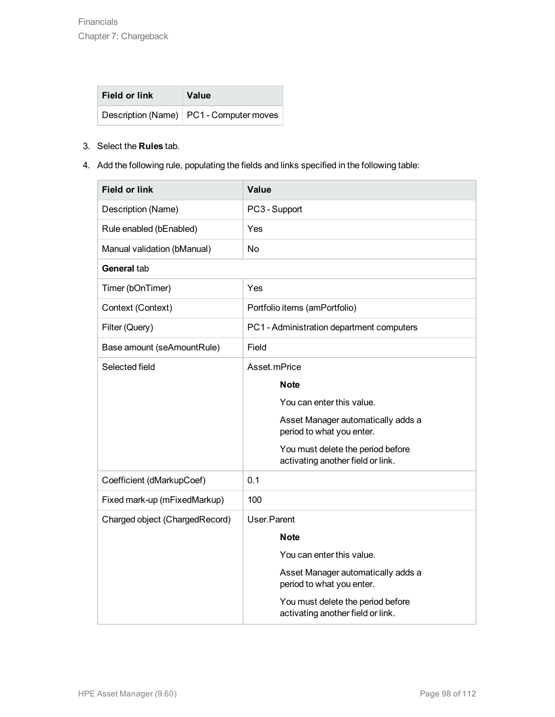| Field or link | Value                                     |
|---------------|-------------------------------------------|
|               | Description (Name)   PC1 - Computer moves |

#### 3. Select the **Rules** tab.

4. Add the following rule, populating the fields and links specified in the following table:

| <b>Field or link</b>           | Value                                                                  |
|--------------------------------|------------------------------------------------------------------------|
| Description (Name)             | PC3 - Support                                                          |
| Rule enabled (bEnabled)        | Yes                                                                    |
| Manual validation (bManual)    | <b>No</b>                                                              |
| General tab                    |                                                                        |
| Timer (bOnTimer)               | Yes                                                                    |
| Context (Context)              | Portfolio items (amPortfolio)                                          |
| Filter (Query)                 | PC1 - Administration department computers                              |
| Base amount (seAmountRule)     | Field                                                                  |
| Selected field                 | Asset.mPrice                                                           |
|                                | <b>Note</b><br>You can enter this value.                               |
|                                | Asset Manager automatically adds a                                     |
|                                | period to what you enter.                                              |
|                                | You must delete the period before<br>activating another field or link. |
| Coefficient (dMarkupCoef)      | 0.1                                                                    |
| Fixed mark-up (mFixedMarkup)   | 100                                                                    |
| Charged object (ChargedRecord) | User.Parent                                                            |
|                                | <b>Note</b>                                                            |
|                                | You can enter this value.                                              |
|                                | Asset Manager automatically adds a<br>period to what you enter.        |
|                                | You must delete the period before<br>activating another field or link. |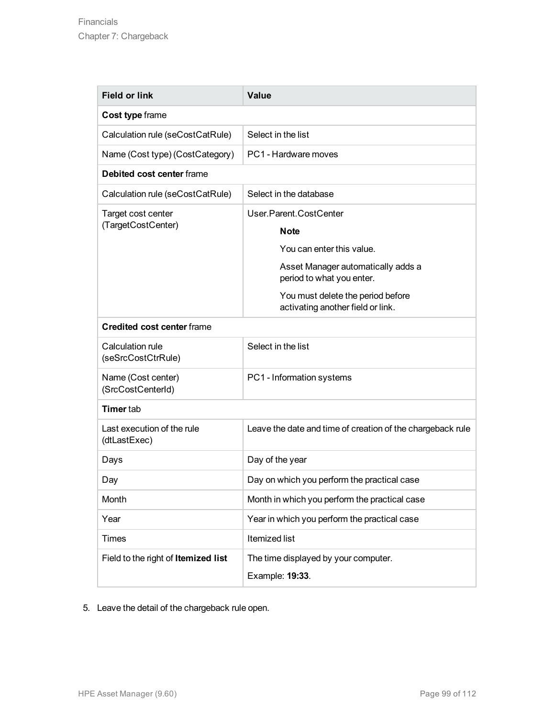| <b>Field or link</b>                       | <b>Value</b>                                                           |  |
|--------------------------------------------|------------------------------------------------------------------------|--|
| Cost type frame                            |                                                                        |  |
| Calculation rule (seCostCatRule)           | Select in the list                                                     |  |
| Name (Cost type) (CostCategory)            | PC1 - Hardware moves                                                   |  |
| Debited cost center frame                  |                                                                        |  |
| Calculation rule (seCostCatRule)           | Select in the database                                                 |  |
| Target cost center                         | User.Parent.CostCenter                                                 |  |
| (TargetCostCenter)                         | <b>Note</b>                                                            |  |
|                                            | You can enter this value.                                              |  |
|                                            | Asset Manager automatically adds a<br>period to what you enter.        |  |
|                                            | You must delete the period before<br>activating another field or link. |  |
| <b>Credited cost center frame</b>          |                                                                        |  |
| Calculation rule<br>(seSrcCostCtrRule)     | Select in the list                                                     |  |
| Name (Cost center)<br>(SrcCostCenterId)    | PC1 - Information systems                                              |  |
| <b>Timer</b> tab                           |                                                                        |  |
| Last execution of the rule<br>(dtLastExec) | Leave the date and time of creation of the chargeback rule             |  |
| Days                                       | Day of the year                                                        |  |
| Day                                        | Day on which you perform the practical case                            |  |
| Month                                      | Month in which you perform the practical case                          |  |
| Year                                       | Year in which you perform the practical case                           |  |
| <b>Times</b>                               | <b>Itemized list</b>                                                   |  |
| Field to the right of Itemized list        | The time displayed by your computer.<br>Example: 19:33.                |  |

5. Leave the detail of the chargeback rule open.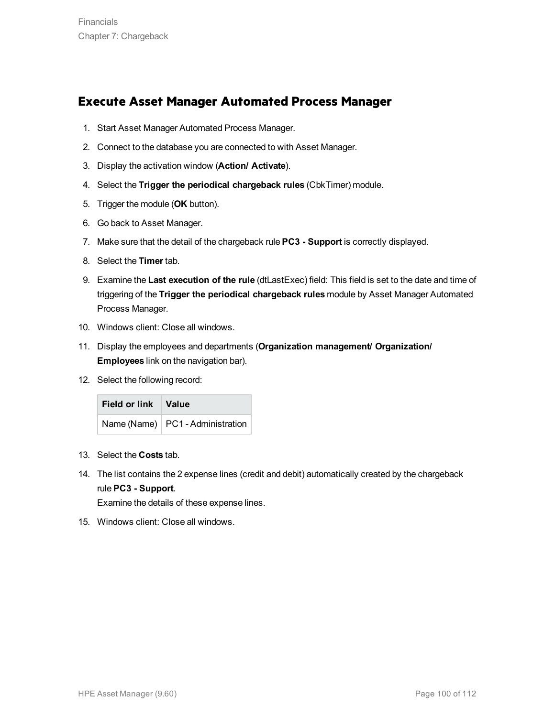### **Execute Asset Manager Automated Process Manager**

- 1. Start Asset Manager Automated Process Manager.
- 2. Connect to the database you are connected to with Asset Manager.
- 3. Display the activation window (**Action/ Activate**).
- 4. Select the **Trigger the periodical chargeback rules** (CbkTimer) module.
- 5. Trigger the module (**OK** button).
- 6. Go back to Asset Manager.
- 7. Make sure that the detail of the chargeback rule **PC3 - Support** is correctly displayed.
- 8. Select the **Timer** tab.
- 9. Examine the **Last execution of the rule** (dtLastExec) field: This field is set to the date and time of triggering of the **Trigger the periodical chargeback rules** module by Asset Manager Automated Process Manager.
- 10. Windows client: Close all windows.
- 11. Display the employees and departments (**Organization management/ Organization/ Employees** link on the navigation bar).
- 12. Select the following record:

| Field or link Value |                                    |
|---------------------|------------------------------------|
|                     | Name (Name)   PC1 - Administration |

- 13. Select the **Costs** tab.
- 14. The list contains the 2 expense lines (credit and debit) automatically created by the chargeback rule **PC3 - Support**.

Examine the details of these expense lines.

15. Windows client: Close all windows.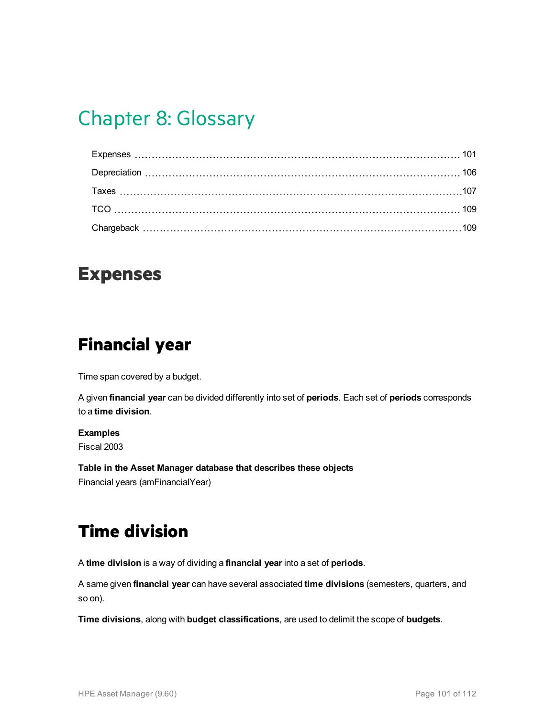# Chapter 8: Glossary

### <span id="page-100-0"></span>**Expenses**

## **Financial year**

Time span covered by a budget.

A given **financial year** can be divided differently into set of **periods**. Each set of **periods** corresponds to a **time division**.

#### **Examples**

Fiscal 2003

**Table in the Asset Manager database that describes these objects** Financial years (amFinancialYear)

# **Time division**

A **time division** is a way of dividing a **financial year** into a set of **periods**.

A same given **financial year** can have several associated **time divisions** (semesters, quarters, and so on).

**Time divisions**, along with **budget classifications**, are used to delimit the scope of **budgets**.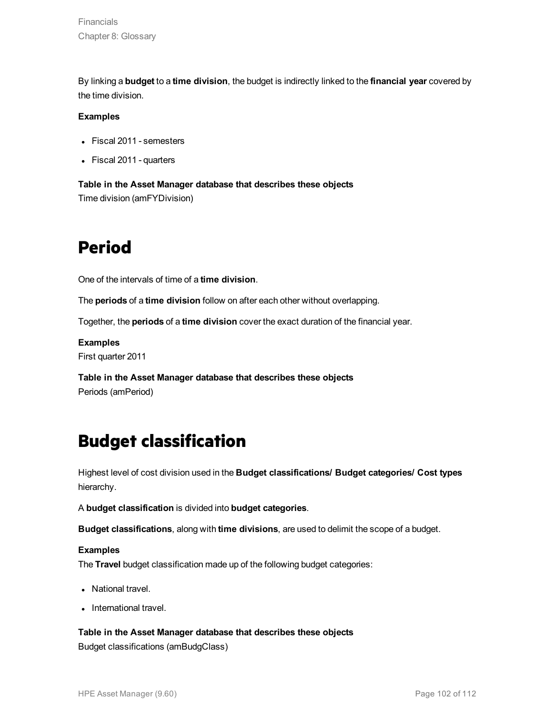By linking a **budget** to a **time division**, the budget is indirectly linked to the **financial year** covered by the time division.

#### **Examples**

- Fiscal 2011 semesters
- Fiscal 2011 quarters

**Table in the Asset Manager database that describes these objects** Time division (amFYDivision)

## **Period**

One of the intervals of time of a **time division**.

The **periods** of a **time division** follow on after each other without overlapping.

Together, the **periods** of a **time division** cover the exact duration of the financial year.

**Examples**

First quarter 2011

**Table in the Asset Manager database that describes these objects** Periods (amPeriod)

## **Budget classification**

Highest level of cost division used in the **Budget classifications/ Budget categories/ Cost types** hierarchy.

A **budget classification** is divided into **budget categories**.

**Budget classifications**, along with **time divisions**, are used to delimit the scope of a budget.

#### **Examples**

The **Travel** budget classification made up of the following budget categories:

- National travel.
- International travel.

#### **Table in the Asset Manager database that describes these objects**

Budget classifications (amBudgClass)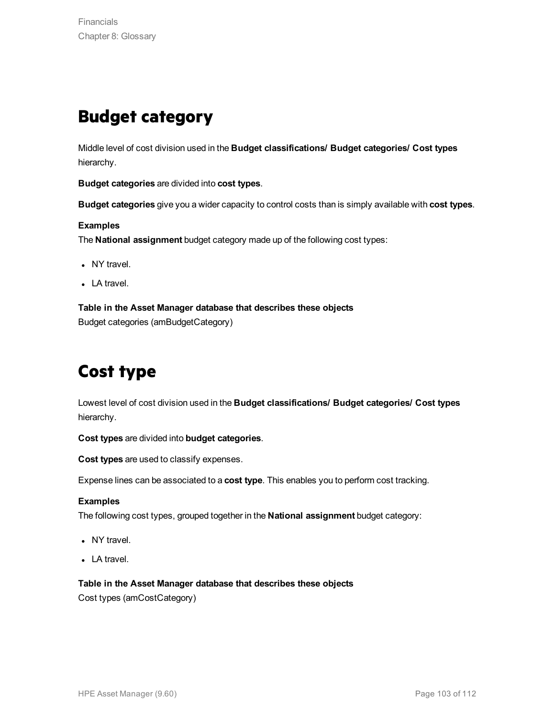## **Budget category**

Middle level of cost division used in the **Budget classifications/ Budget categories/ Cost types** hierarchy.

**Budget categories** are divided into **cost types**.

**Budget categories** give you a wider capacity to control costs than is simply available with **cost types**.

#### **Examples**

The **National assignment** budget category made up of the following cost types:

- NY travel.
- $\bullet$  LA travel.

**Table in the Asset Manager database that describes these objects** Budget categories (amBudgetCategory)

## **Cost type**

Lowest level of cost division used in the **Budget classifications/ Budget categories/ Cost types** hierarchy.

**Cost types** are divided into **budget categories**.

**Cost types** are used to classify expenses.

Expense lines can be associated to a **cost type**. This enables you to perform cost tracking.

#### **Examples**

The following cost types, grouped together in the **National assignment** budget category:

- NY travel.
- $\bullet$  LA travel.

**Table in the Asset Manager database that describes these objects**

Cost types (amCostCategory)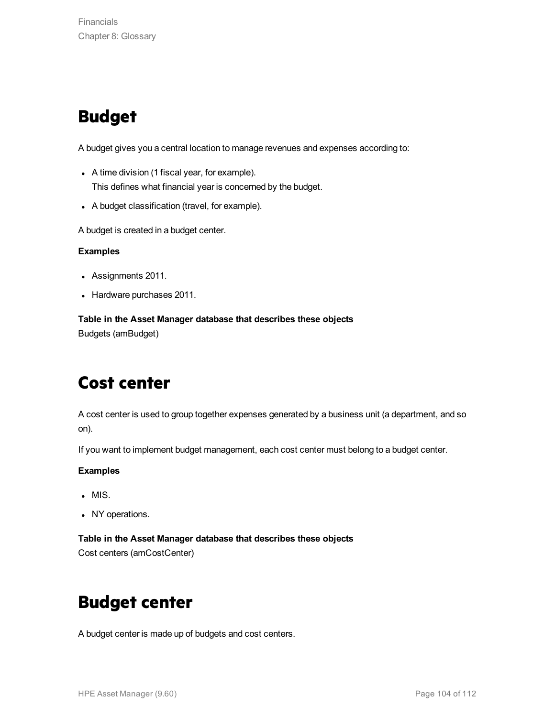# **Budget**

A budget gives you a central location to manage revenues and expenses according to:

- A time division (1 fiscal year, for example). This defines what financial year is concerned by the budget.
- A budget classification (travel, for example).

A budget is created in a budget center.

#### **Examples**

- Assignments 2011.
- Hardware purchases 2011.

**Table in the Asset Manager database that describes these objects** Budgets (amBudget)

## **Cost center**

A cost center is used to group together expenses generated by a business unit (a department, and so on).

If you want to implement budget management, each cost center must belong to a budget center.

#### **Examples**

- $\blacksquare$  MIS.
- NY operations.

#### **Table in the Asset Manager database that describes these objects**

Cost centers (amCostCenter)

## **Budget center**

A budget center is made up of budgets and cost centers.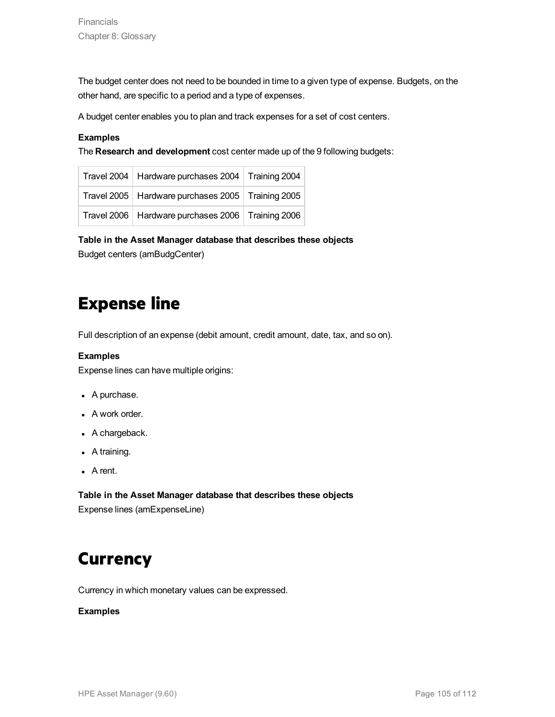The budget center does not need to be bounded in time to a given type of expense. Budgets, on the other hand, are specific to a period and a type of expenses.

A budget center enables you to plan and track expenses for a set of cost centers.

#### **Examples**

The **Research and development** cost center made up of the 9 following budgets:

| Travel 2004   Hardware purchases 2004   Training 2004 |  |
|-------------------------------------------------------|--|
| Travel 2005   Hardware purchases 2005   Training 2005 |  |
| Travel 2006   Hardware purchases 2006   Training 2006 |  |

**Table in the Asset Manager database that describes these objects**

Budget centers (amBudgCenter)

### **Expense line**

Full description of an expense (debit amount, credit amount, date, tax, and so on).

#### **Examples**

Expense lines can have multiple origins:

- A purchase.
- A work order.
- A chargeback.
- $\bullet$  A training.
- $\bullet$  A rent.

**Table in the Asset Manager database that describes these objects** Expense lines (amExpenseLine)

## **Currency**

Currency in which monetary values can be expressed.

#### **Examples**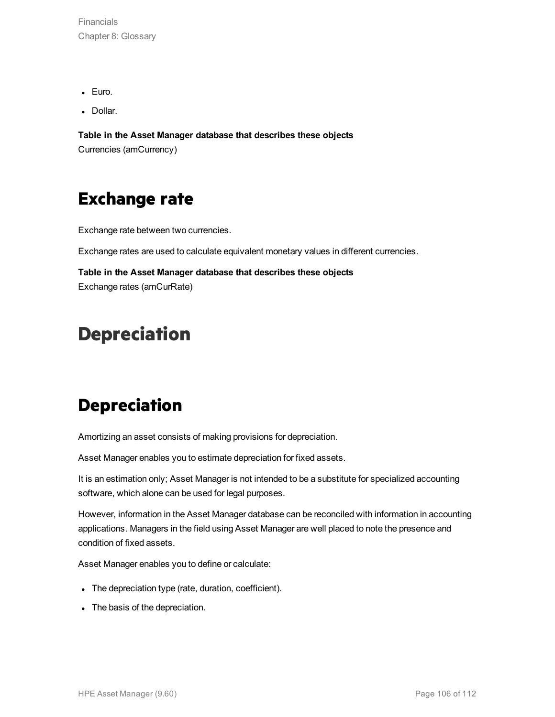Financials Chapter 8: Glossary

- Euro.
- Dollar.

**Table in the Asset Manager database that describes these objects** Currencies (amCurrency)

## **Exchange rate**

Exchange rate between two currencies.

Exchange rates are used to calculate equivalent monetary values in different currencies.

**Table in the Asset Manager database that describes these objects** Exchange rates (amCurRate)

## <span id="page-105-0"></span>**Depreciation**

## **Depreciation**

Amortizing an asset consists of making provisions for depreciation.

Asset Manager enables you to estimate depreciation for fixed assets.

It is an estimation only; Asset Manager is not intended to be a substitute for specialized accounting software, which alone can be used for legal purposes.

However, information in the Asset Manager database can be reconciled with information in accounting applications. Managers in the field using Asset Manager are well placed to note the presence and condition of fixed assets.

Asset Manager enables you to define or calculate:

- The depreciation type (rate, duration, coefficient).
- The basis of the depreciation.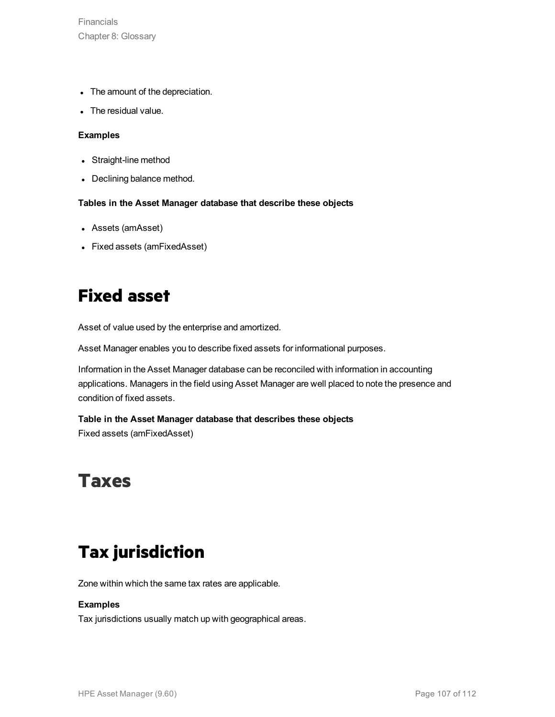Financials Chapter 8: Glossary

- The amount of the depreciation.
- The residual value.

#### **Examples**

- Straight-line method
- Declining balance method.

#### **Tables in the Asset Manager database that describe these objects**

- Assets (amAsset)
- Fixed assets (amFixedAsset)

## **Fixed asset**

Asset of value used by the enterprise and amortized.

Asset Manager enables you to describe fixed assets for informational purposes.

Information in the Asset Manager database can be reconciled with information in accounting applications. Managers in the field using Asset Manager are well placed to note the presence and condition of fixed assets.

#### **Table in the Asset Manager database that describes these objects** Fixed assets (amFixedAsset)

## <span id="page-106-0"></span>**Taxes**

## **Tax jurisdiction**

Zone within which the same tax rates are applicable.

#### **Examples**

Tax jurisdictions usually match up with geographical areas.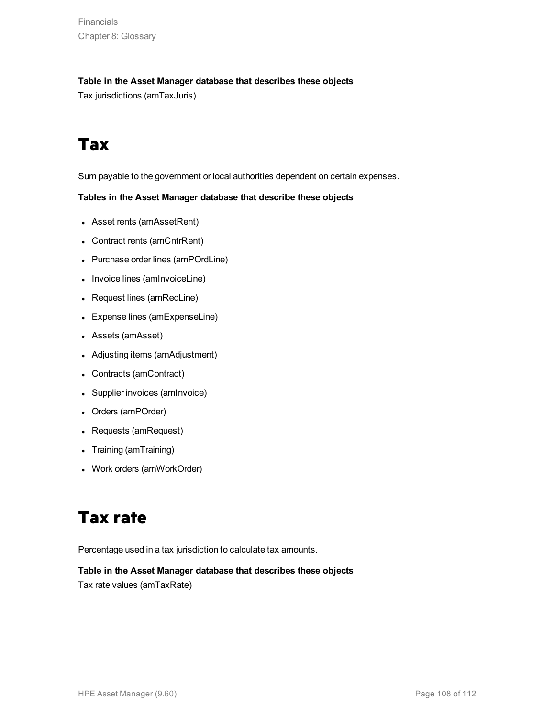**Financials** Chapter 8: Glossary

#### **Table in the Asset Manager database that describes these objects**

Tax jurisdictions (amTaxJuris)

# **Tax**

Sum payable to the government or local authorities dependent on certain expenses.

#### **Tables in the Asset Manager database that describe these objects**

- Asset rents (amAssetRent)
- Contract rents (amCntrRent)
- Purchase order lines (amPOrdLine)
- Invoice lines (amInvoiceLine)
- Request lines (amReqLine)
- Expense lines (amExpenseLine)
- Assets (amAsset)
- Adjusting items (amAdjustment)
- Contracts (amContract)
- Supplier invoices (amInvoice)
- Orders (amPOrder)
- Requests (amRequest)
- Training (amTraining)
- Work orders (amWorkOrder)

# **Tax rate**

Percentage used in a tax jurisdiction to calculate tax amounts.

#### **Table in the Asset Manager database that describes these objects**

Tax rate values (amTaxRate)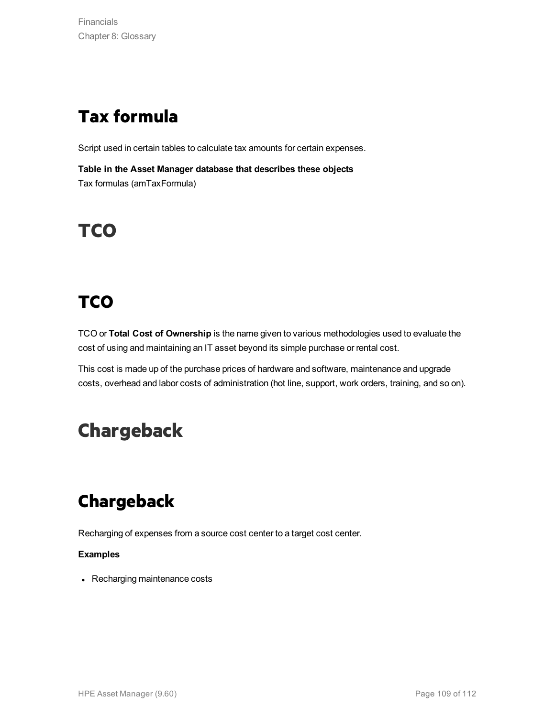## **Tax formula**

Script used in certain tables to calculate tax amounts for certain expenses.

**Table in the Asset Manager database that describes these objects** Tax formulas (amTaxFormula)

# **TCO**

# **TCO**

TCO or **Total Cost of Ownership** is the name given to various methodologies used to evaluate the cost of using and maintaining an IT asset beyond its simple purchase or rental cost.

This cost is made up of the purchase prices of hardware and software, maintenance and upgrade costs, overhead and labor costs of administration (hot line, support, work orders, training, and so on).

# **Chargeback**

## **Chargeback**

Recharging of expenses from a source cost center to a target cost center.

#### **Examples**

• Recharging maintenance costs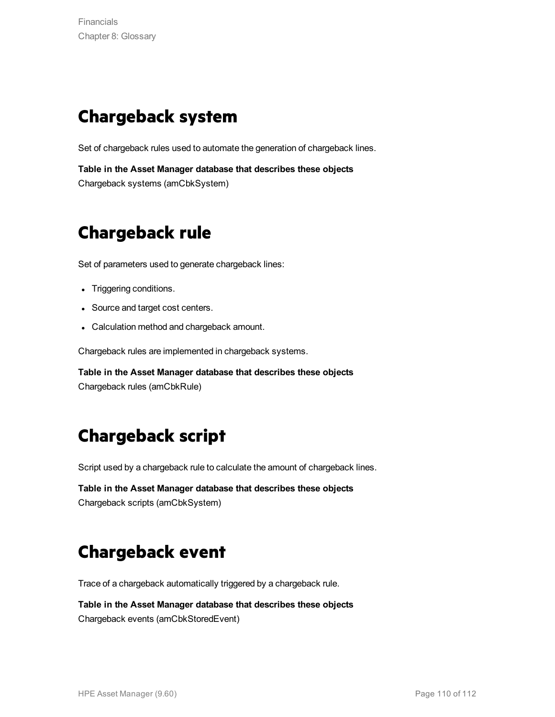### **Chargeback system**

Set of chargeback rules used to automate the generation of chargeback lines.

**Table in the Asset Manager database that describes these objects** Chargeback systems (amCbkSystem)

### **Chargeback rule**

Set of parameters used to generate chargeback lines:

- Triggering conditions.
- Source and target cost centers.
- Calculation method and chargeback amount.

Chargeback rules are implemented in chargeback systems.

**Table in the Asset Manager database that describes these objects** Chargeback rules (amCbkRule)

#### **Chargeback script**

Script used by a chargeback rule to calculate the amount of chargeback lines.

**Table in the Asset Manager database that describes these objects** Chargeback scripts (amCbkSystem)

#### **Chargeback event**

Trace of a chargeback automatically triggered by a chargeback rule.

**Table in the Asset Manager database that describes these objects** Chargeback events (amCbkStoredEvent)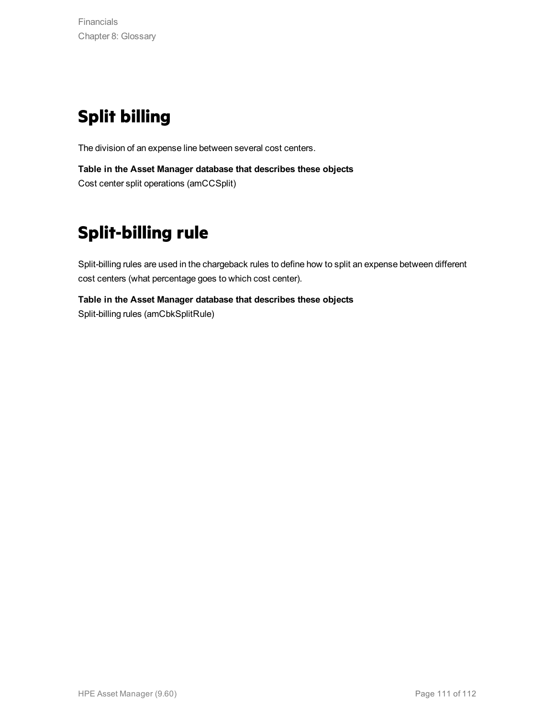# **Split billing**

The division of an expense line between several cost centers.

**Table in the Asset Manager database that describes these objects** Cost center split operations (amCCSplit)

# **Split-billing rule**

Split-billing rules are used in the chargeback rules to define how to split an expense between different cost centers (what percentage goes to which cost center).

**Table in the Asset Manager database that describes these objects** Split-billing rules (amCbkSplitRule)